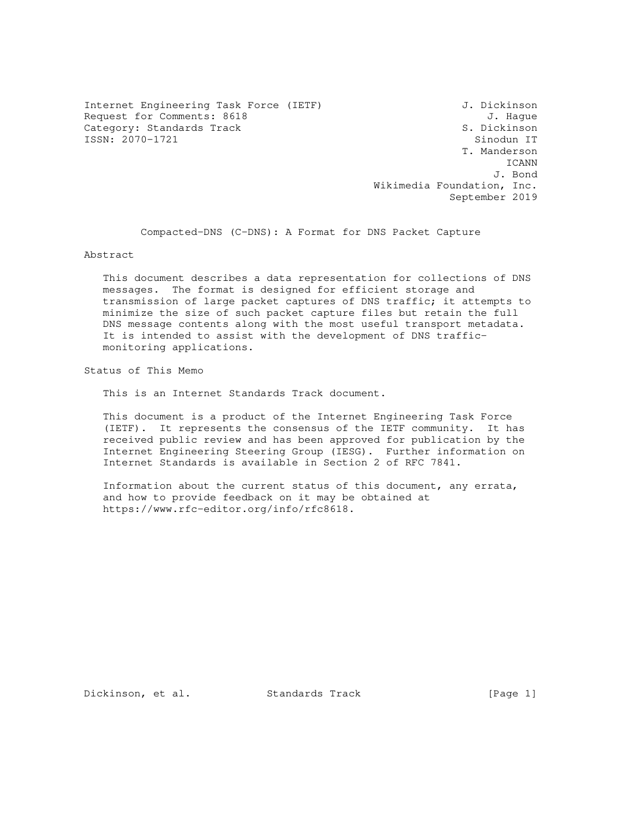Internet Engineering Task Force (IETF) J. Dickinson Request for Comments: 8618 J. Hague<br>Category: Standards Track Gategory: Standards Track Category: Standards Track S. Dickinson<br>
S. Dickinson<br>
Sinodun IT SSN: 2070-1721  $ISSN: 2070-1721$ 

 T. Manderson ICANN J. Bond Wikimedia Foundation, Inc. September 2019

Compacted-DNS (C-DNS): A Format for DNS Packet Capture

Abstract

 This document describes a data representation for collections of DNS messages. The format is designed for efficient storage and transmission of large packet captures of DNS traffic; it attempts to minimize the size of such packet capture files but retain the full DNS message contents along with the most useful transport metadata. It is intended to assist with the development of DNS traffic monitoring applications.

Status of This Memo

This is an Internet Standards Track document.

 This document is a product of the Internet Engineering Task Force (IETF). It represents the consensus of the IETF community. It has received public review and has been approved for publication by the Internet Engineering Steering Group (IESG). Further information on Internet Standards is available in Section 2 of RFC 7841.

 Information about the current status of this document, any errata, and how to provide feedback on it may be obtained at https://www.rfc-editor.org/info/rfc8618.

Dickinson, et al. Standards Track [Page 1]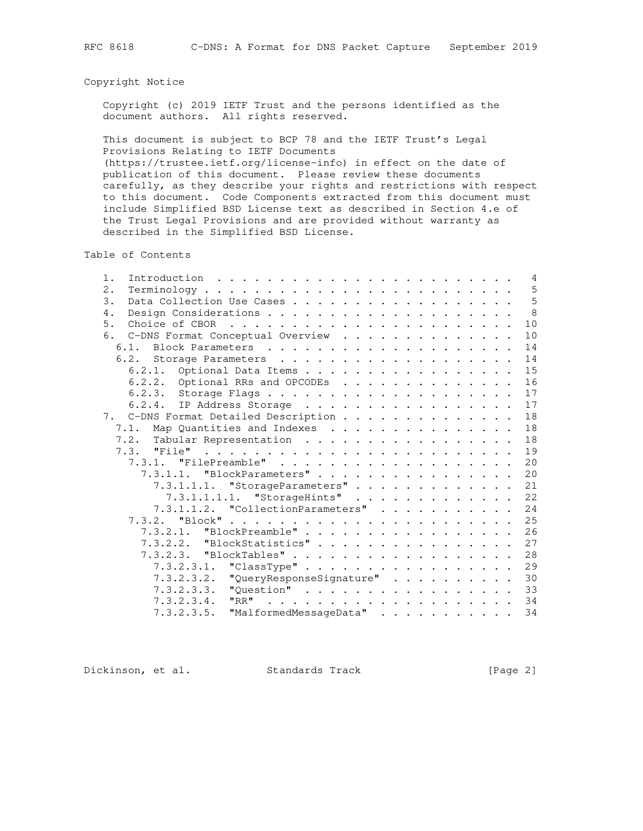### Copyright Notice

 Copyright (c) 2019 IETF Trust and the persons identified as the document authors. All rights reserved.

 This document is subject to BCP 78 and the IETF Trust's Legal Provisions Relating to IETF Documents (https://trustee.ietf.org/license-info) in effect on the date of

 publication of this document. Please review these documents carefully, as they describe your rights and restrictions with respect to this document. Code Components extracted from this document must include Simplified BSD License text as described in Section 4.e of the Trust Legal Provisions and are provided without warranty as described in the Simplified BSD License.

Table of Contents

| 5<br>2.<br>$Terminology \ldots \ldots \ldots \ldots \ldots \ldots \ldots \ldots \ldots$<br>5<br>3.<br>8<br>4.<br>10<br>5.<br>10<br>6. C-DNS Format Conceptual Overview<br>14<br>14<br>15<br>6.2.1. Optional Data Items<br>16<br>6.2.2. Optional RRs and OPCODEs<br>17<br>17<br>6.2.4. IP Address Storage<br>18<br>7. C-DNS Format Detailed Description<br>18<br>7.1. Map Quantities and Indexes<br>18<br>7.2. Tabular Representation<br>19<br>a de la caractería de la caractería de la caractería de la caractería<br>7.3. "File"<br>20<br>7.3.1.1. "BlockParameters"<br>20<br>21<br>7.3.1.1.1. "StorageParameters"<br>22<br>7.3.1.1.1.1. "StorageHints"<br>7.3.1.1.2. "CollectionParameters"<br>24<br>25<br>26<br>7.3.2.1. "BlockPreamble"<br>27<br>$7.3.2.2.$ "BlockStatistics"<br>7.3.2.3. "BlockTables" 28 |
|-----------------------------------------------------------------------------------------------------------------------------------------------------------------------------------------------------------------------------------------------------------------------------------------------------------------------------------------------------------------------------------------------------------------------------------------------------------------------------------------------------------------------------------------------------------------------------------------------------------------------------------------------------------------------------------------------------------------------------------------------------------------------------------------------------------------|
|                                                                                                                                                                                                                                                                                                                                                                                                                                                                                                                                                                                                                                                                                                                                                                                                                 |
|                                                                                                                                                                                                                                                                                                                                                                                                                                                                                                                                                                                                                                                                                                                                                                                                                 |
|                                                                                                                                                                                                                                                                                                                                                                                                                                                                                                                                                                                                                                                                                                                                                                                                                 |
|                                                                                                                                                                                                                                                                                                                                                                                                                                                                                                                                                                                                                                                                                                                                                                                                                 |
|                                                                                                                                                                                                                                                                                                                                                                                                                                                                                                                                                                                                                                                                                                                                                                                                                 |
|                                                                                                                                                                                                                                                                                                                                                                                                                                                                                                                                                                                                                                                                                                                                                                                                                 |
|                                                                                                                                                                                                                                                                                                                                                                                                                                                                                                                                                                                                                                                                                                                                                                                                                 |
|                                                                                                                                                                                                                                                                                                                                                                                                                                                                                                                                                                                                                                                                                                                                                                                                                 |
|                                                                                                                                                                                                                                                                                                                                                                                                                                                                                                                                                                                                                                                                                                                                                                                                                 |
|                                                                                                                                                                                                                                                                                                                                                                                                                                                                                                                                                                                                                                                                                                                                                                                                                 |
|                                                                                                                                                                                                                                                                                                                                                                                                                                                                                                                                                                                                                                                                                                                                                                                                                 |
|                                                                                                                                                                                                                                                                                                                                                                                                                                                                                                                                                                                                                                                                                                                                                                                                                 |
|                                                                                                                                                                                                                                                                                                                                                                                                                                                                                                                                                                                                                                                                                                                                                                                                                 |
|                                                                                                                                                                                                                                                                                                                                                                                                                                                                                                                                                                                                                                                                                                                                                                                                                 |
|                                                                                                                                                                                                                                                                                                                                                                                                                                                                                                                                                                                                                                                                                                                                                                                                                 |
|                                                                                                                                                                                                                                                                                                                                                                                                                                                                                                                                                                                                                                                                                                                                                                                                                 |
|                                                                                                                                                                                                                                                                                                                                                                                                                                                                                                                                                                                                                                                                                                                                                                                                                 |
|                                                                                                                                                                                                                                                                                                                                                                                                                                                                                                                                                                                                                                                                                                                                                                                                                 |
|                                                                                                                                                                                                                                                                                                                                                                                                                                                                                                                                                                                                                                                                                                                                                                                                                 |
|                                                                                                                                                                                                                                                                                                                                                                                                                                                                                                                                                                                                                                                                                                                                                                                                                 |
|                                                                                                                                                                                                                                                                                                                                                                                                                                                                                                                                                                                                                                                                                                                                                                                                                 |
|                                                                                                                                                                                                                                                                                                                                                                                                                                                                                                                                                                                                                                                                                                                                                                                                                 |
|                                                                                                                                                                                                                                                                                                                                                                                                                                                                                                                                                                                                                                                                                                                                                                                                                 |
|                                                                                                                                                                                                                                                                                                                                                                                                                                                                                                                                                                                                                                                                                                                                                                                                                 |
| 29<br>7.3.2.3.1. "ClassType"                                                                                                                                                                                                                                                                                                                                                                                                                                                                                                                                                                                                                                                                                                                                                                                    |
| 30<br>7.3.2.3.2.<br>"QueryResponseSignature"                                                                                                                                                                                                                                                                                                                                                                                                                                                                                                                                                                                                                                                                                                                                                                    |
| 33<br>"Question"<br>7.3.2.3.3.                                                                                                                                                                                                                                                                                                                                                                                                                                                                                                                                                                                                                                                                                                                                                                                  |
| "RR"<br>34<br>7.3.2.3.4.                                                                                                                                                                                                                                                                                                                                                                                                                                                                                                                                                                                                                                                                                                                                                                                        |
| 34<br>"MalformedMessageData"<br>7.3.2.3.5.                                                                                                                                                                                                                                                                                                                                                                                                                                                                                                                                                                                                                                                                                                                                                                      |

Dickinson, et al. Standards Track [Page 2]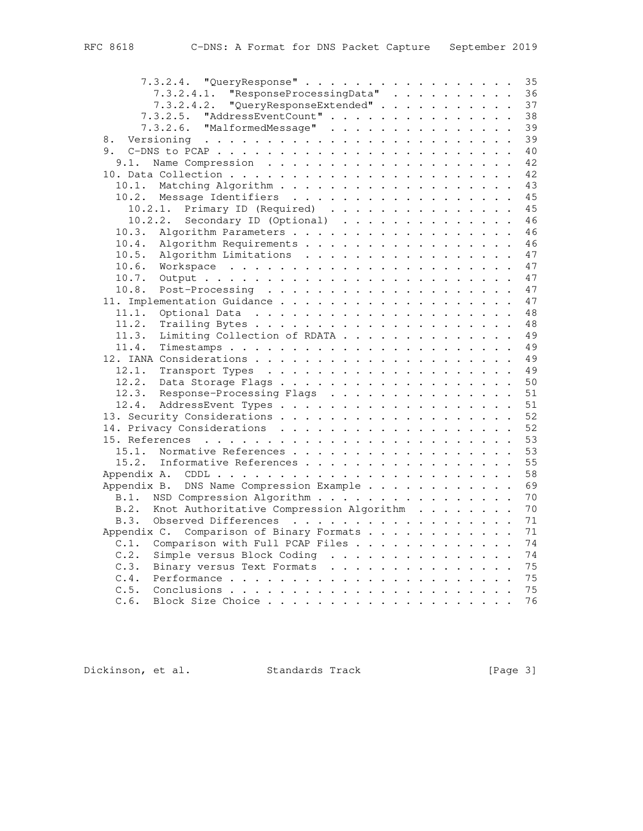| 7.3.2.4. "QueryResponse"                         | 35 |
|--------------------------------------------------|----|
| 7.3.2.4.1. "ResponseProcessingData"              | 36 |
| 7.3.2.4.2. "QueryResponseExtended"               | 37 |
| "AddressEventCount"<br>7.3.2.5.                  | 38 |
| "MalformedMessage"<br>7.3.2.6.                   | 39 |
| 8.                                               | 39 |
|                                                  | 40 |
| 9.1.                                             | 42 |
|                                                  | 42 |
| 10.1.                                            | 43 |
| 10.2. Message Identifiers                        | 45 |
| 10.2.1. Primary ID (Required)                    | 45 |
| 10.2.2.<br>Secondary ID (Optional) $\ldots$ ,    | 46 |
| 10.3.<br>Algorithm Parameters                    | 46 |
| Algorithm Requirements<br>10.4.                  | 46 |
| 10.5.                                            | 47 |
| Algorithm Limitations                            | 47 |
|                                                  |    |
| 10.7.                                            | 47 |
| 10.8.                                            | 47 |
|                                                  | 47 |
| 11.1.                                            | 48 |
| 11.2.                                            | 48 |
| Limiting Collection of RDATA<br>11.3.            | 49 |
| 11.4.                                            | 49 |
|                                                  | 49 |
| 12.1.                                            | 49 |
| 12.2.                                            | 50 |
| 12.3.<br>Response-Processing Flags               | 51 |
| 12.4.                                            | 51 |
|                                                  | 52 |
|                                                  | 52 |
|                                                  | 53 |
| 15.1.<br>Normative References                    | 53 |
| 15.2.<br>Informative References                  | 55 |
|                                                  | 58 |
| Appendix B. DNS Name Compression Example         | 69 |
| NSD Compression Algorithm<br>B.1.                | 70 |
| B.2.<br>Knot Authoritative Compression Algorithm | 70 |
| Observed Differences<br>B.3.                     | 71 |
| Appendix C. Comparison of Binary Formats         | 71 |
| Comparison with Full PCAP Files<br>C.1.          | 74 |
| C.2.<br>Simple versus Block Coding               | 74 |
| C.3.<br>Binary versus Text Formats               | 75 |
| C.4.                                             | 75 |
| C.5.                                             | 75 |
| C.6.                                             | 76 |
|                                                  |    |

Dickinson, et al. Standards Track [Page 3]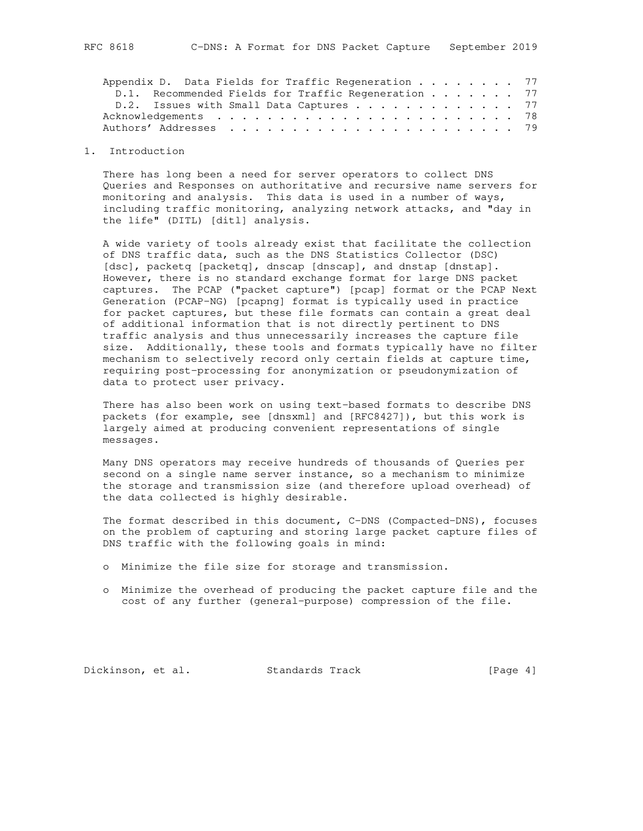| Appendix D. Data Fields for Traffic Regeneration 77 |                                                     |  |  |  |  |  |  |  |  |  |  |  |
|-----------------------------------------------------|-----------------------------------------------------|--|--|--|--|--|--|--|--|--|--|--|
|                                                     | D.1. Recommended Fields for Traffic Regeneration 77 |  |  |  |  |  |  |  |  |  |  |  |
|                                                     | D.2. Issues with Small Data Captures 77             |  |  |  |  |  |  |  |  |  |  |  |
|                                                     |                                                     |  |  |  |  |  |  |  |  |  |  |  |
|                                                     |                                                     |  |  |  |  |  |  |  |  |  |  |  |
|                                                     |                                                     |  |  |  |  |  |  |  |  |  |  |  |

#### 1. Introduction

 There has long been a need for server operators to collect DNS Queries and Responses on authoritative and recursive name servers for monitoring and analysis. This data is used in a number of ways, including traffic monitoring, analyzing network attacks, and "day in the life" (DITL) [ditl] analysis.

 A wide variety of tools already exist that facilitate the collection of DNS traffic data, such as the DNS Statistics Collector (DSC) [dsc], packetq [packetq], dnscap [dnscap], and dnstap [dnstap]. However, there is no standard exchange format for large DNS packet captures. The PCAP ("packet capture") [pcap] format or the PCAP Next Generation (PCAP-NG) [pcapng] format is typically used in practice for packet captures, but these file formats can contain a great deal of additional information that is not directly pertinent to DNS traffic analysis and thus unnecessarily increases the capture file size. Additionally, these tools and formats typically have no filter mechanism to selectively record only certain fields at capture time, requiring post-processing for anonymization or pseudonymization of data to protect user privacy.

 There has also been work on using text-based formats to describe DNS packets (for example, see [dnsxml] and [RFC8427]), but this work is largely aimed at producing convenient representations of single messages.

 Many DNS operators may receive hundreds of thousands of Queries per second on a single name server instance, so a mechanism to minimize the storage and transmission size (and therefore upload overhead) of the data collected is highly desirable.

 The format described in this document, C-DNS (Compacted-DNS), focuses on the problem of capturing and storing large packet capture files of DNS traffic with the following goals in mind:

- o Minimize the file size for storage and transmission.
- o Minimize the overhead of producing the packet capture file and the cost of any further (general-purpose) compression of the file.

Dickinson, et al. Standards Track [Page 4]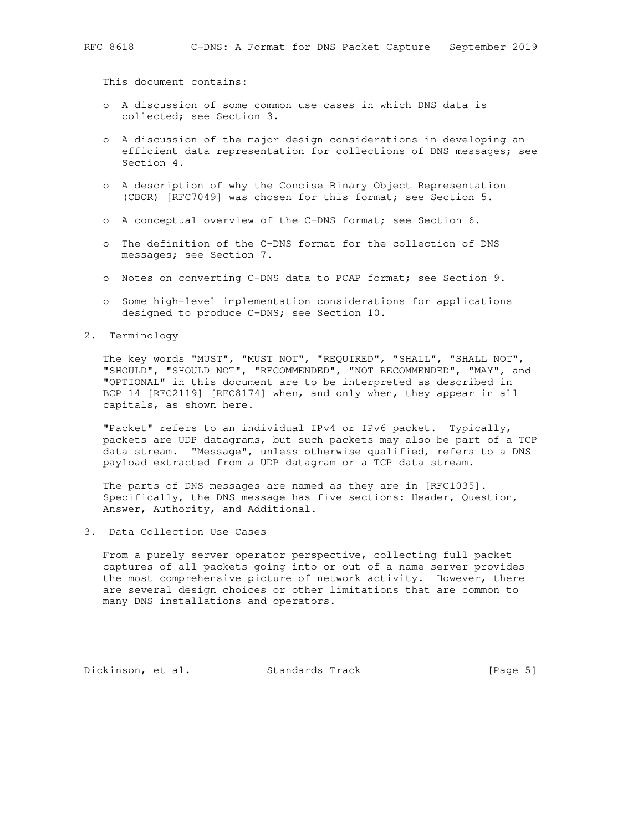This document contains:

- o A discussion of some common use cases in which DNS data is collected; see Section 3.
- o A discussion of the major design considerations in developing an efficient data representation for collections of DNS messages; see Section 4.
- o A description of why the Concise Binary Object Representation (CBOR) [RFC7049] was chosen for this format; see Section 5.
- o A conceptual overview of the C-DNS format; see Section 6.
- o The definition of the C-DNS format for the collection of DNS messages; see Section 7.
- o Notes on converting C-DNS data to PCAP format; see Section 9.
- o Some high-level implementation considerations for applications designed to produce C-DNS; see Section 10.
- 2. Terminology

 The key words "MUST", "MUST NOT", "REQUIRED", "SHALL", "SHALL NOT", "SHOULD", "SHOULD NOT", "RECOMMENDED", "NOT RECOMMENDED", "MAY", and "OPTIONAL" in this document are to be interpreted as described in BCP 14 [RFC2119] [RFC8174] when, and only when, they appear in all capitals, as shown here.

 "Packet" refers to an individual IPv4 or IPv6 packet. Typically, packets are UDP datagrams, but such packets may also be part of a TCP data stream. "Message", unless otherwise qualified, refers to a DNS payload extracted from a UDP datagram or a TCP data stream.

 The parts of DNS messages are named as they are in [RFC1035]. Specifically, the DNS message has five sections: Header, Question, Answer, Authority, and Additional.

3. Data Collection Use Cases

 From a purely server operator perspective, collecting full packet captures of all packets going into or out of a name server provides the most comprehensive picture of network activity. However, there are several design choices or other limitations that are common to many DNS installations and operators.

Dickinson, et al. Standards Track [Page 5]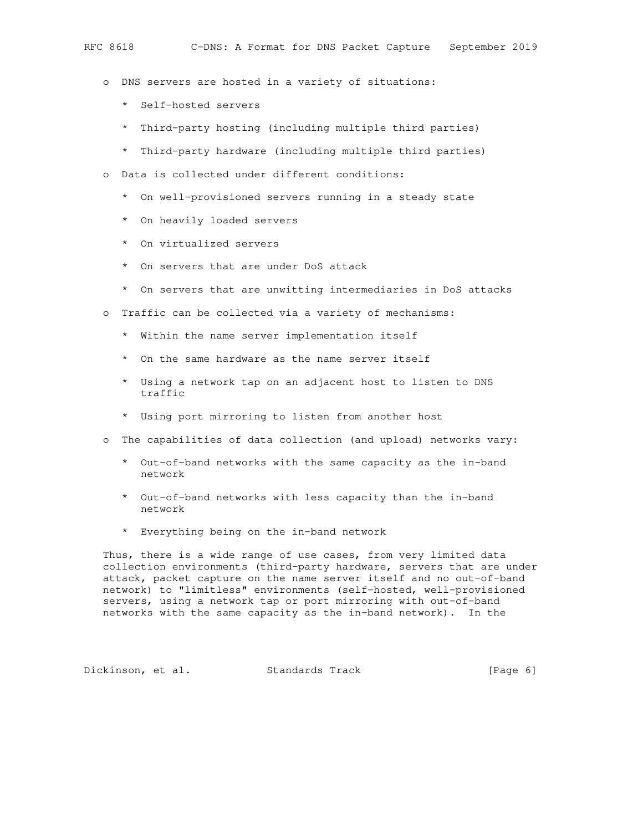- o DNS servers are hosted in a variety of situations:
	- \* Self-hosted servers
	- \* Third-party hosting (including multiple third parties)
	- \* Third-party hardware (including multiple third parties)
- o Data is collected under different conditions:
	- \* On well-provisioned servers running in a steady state
	- \* On heavily loaded servers
	- \* On virtualized servers
	- \* On servers that are under DoS attack
	- \* On servers that are unwitting intermediaries in DoS attacks
- o Traffic can be collected via a variety of mechanisms:
	- \* Within the name server implementation itself
	- \* On the same hardware as the name server itself
	- \* Using a network tap on an adjacent host to listen to DNS traffic
	- \* Using port mirroring to listen from another host
- o The capabilities of data collection (and upload) networks vary:
	- \* Out-of-band networks with the same capacity as the in-band network
	- \* Out-of-band networks with less capacity than the in-band network
	- \* Everything being on the in-band network

 Thus, there is a wide range of use cases, from very limited data collection environments (third-party hardware, servers that are under attack, packet capture on the name server itself and no out-of-band network) to "limitless" environments (self-hosted, well-provisioned servers, using a network tap or port mirroring with out-of-band networks with the same capacity as the in-band network). In the

Dickinson, et al. Standards Track [Page 6]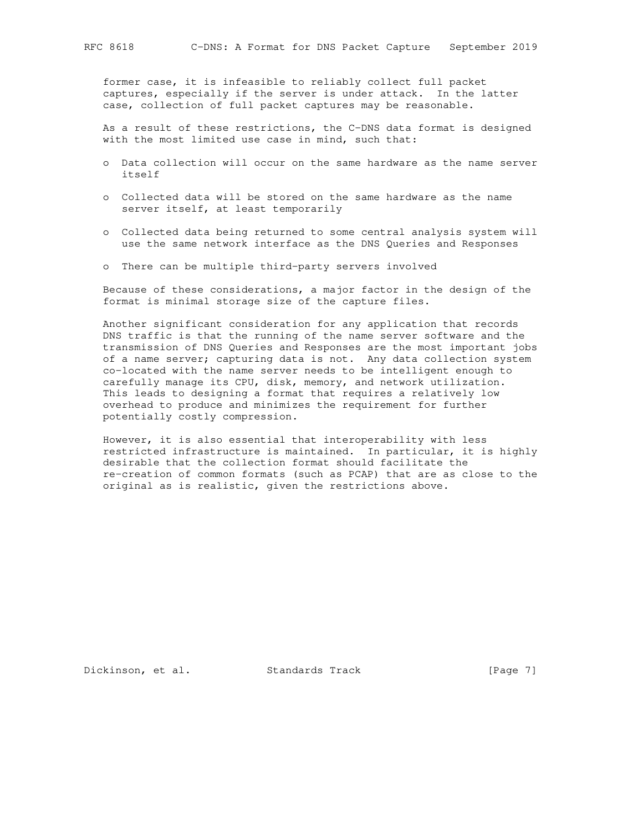former case, it is infeasible to reliably collect full packet captures, especially if the server is under attack. In the latter case, collection of full packet captures may be reasonable.

 As a result of these restrictions, the C-DNS data format is designed with the most limited use case in mind, such that:

- o Data collection will occur on the same hardware as the name server itself
- o Collected data will be stored on the same hardware as the name server itself, at least temporarily
- o Collected data being returned to some central analysis system will use the same network interface as the DNS Queries and Responses
- o There can be multiple third-party servers involved

 Because of these considerations, a major factor in the design of the format is minimal storage size of the capture files.

 Another significant consideration for any application that records DNS traffic is that the running of the name server software and the transmission of DNS Queries and Responses are the most important jobs of a name server; capturing data is not. Any data collection system co-located with the name server needs to be intelligent enough to carefully manage its CPU, disk, memory, and network utilization. This leads to designing a format that requires a relatively low overhead to produce and minimizes the requirement for further potentially costly compression.

 However, it is also essential that interoperability with less restricted infrastructure is maintained. In particular, it is highly desirable that the collection format should facilitate the re-creation of common formats (such as PCAP) that are as close to the original as is realistic, given the restrictions above.

Dickinson, et al. Standards Track [Page 7]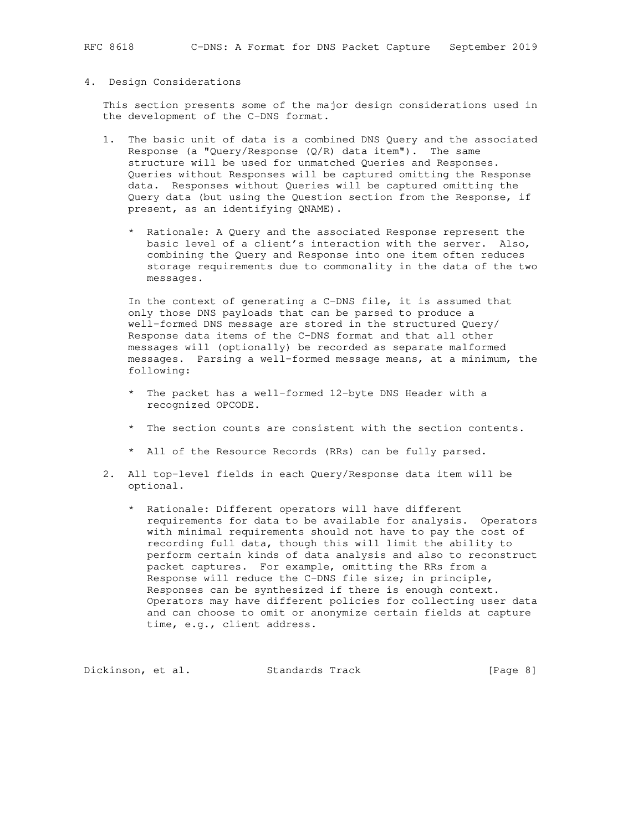#### 4. Design Considerations

 This section presents some of the major design considerations used in the development of the C-DNS format.

- 1. The basic unit of data is a combined DNS Query and the associated Response (a "Query/Response  $(Q/R)$  data item"). The same structure will be used for unmatched Queries and Responses. Queries without Responses will be captured omitting the Response data. Responses without Queries will be captured omitting the Query data (but using the Question section from the Response, if present, as an identifying QNAME).
	- \* Rationale: A Query and the associated Response represent the basic level of a client's interaction with the server. Also, combining the Query and Response into one item often reduces storage requirements due to commonality in the data of the two messages.

 In the context of generating a C-DNS file, it is assumed that only those DNS payloads that can be parsed to produce a well-formed DNS message are stored in the structured Query/ Response data items of the C-DNS format and that all other messages will (optionally) be recorded as separate malformed messages. Parsing a well-formed message means, at a minimum, the following:

- \* The packet has a well-formed 12-byte DNS Header with a recognized OPCODE.
- \* The section counts are consistent with the section contents.
- \* All of the Resource Records (RRs) can be fully parsed.
- 2. All top-level fields in each Query/Response data item will be optional.
	- \* Rationale: Different operators will have different requirements for data to be available for analysis. Operators with minimal requirements should not have to pay the cost of recording full data, though this will limit the ability to perform certain kinds of data analysis and also to reconstruct packet captures. For example, omitting the RRs from a Response will reduce the C-DNS file size; in principle, Responses can be synthesized if there is enough context. Operators may have different policies for collecting user data and can choose to omit or anonymize certain fields at capture time, e.g., client address.

Dickinson, et al. Standards Track [Page 8]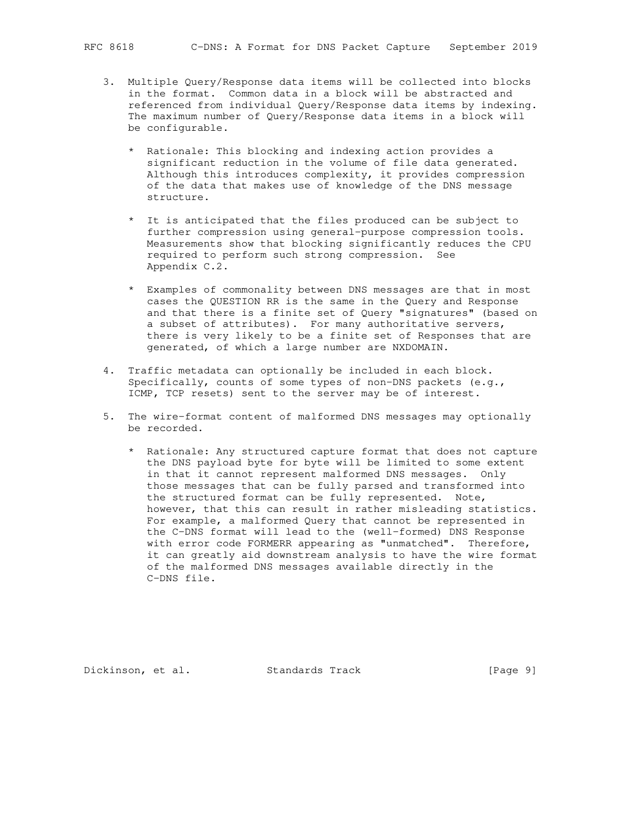- 3. Multiple Query/Response data items will be collected into blocks in the format. Common data in a block will be abstracted and referenced from individual Query/Response data items by indexing. The maximum number of Query/Response data items in a block will be configurable.
	- \* Rationale: This blocking and indexing action provides a significant reduction in the volume of file data generated. Although this introduces complexity, it provides compression of the data that makes use of knowledge of the DNS message structure.
	- \* It is anticipated that the files produced can be subject to further compression using general-purpose compression tools. Measurements show that blocking significantly reduces the CPU required to perform such strong compression. See Appendix C.2.
	- \* Examples of commonality between DNS messages are that in most cases the QUESTION RR is the same in the Query and Response and that there is a finite set of Query "signatures" (based on a subset of attributes). For many authoritative servers, there is very likely to be a finite set of Responses that are generated, of which a large number are NXDOMAIN.
- 4. Traffic metadata can optionally be included in each block. Specifically, counts of some types of non-DNS packets (e.g., ICMP, TCP resets) sent to the server may be of interest.
- 5. The wire-format content of malformed DNS messages may optionally be recorded.
	- \* Rationale: Any structured capture format that does not capture the DNS payload byte for byte will be limited to some extent in that it cannot represent malformed DNS messages. Only those messages that can be fully parsed and transformed into the structured format can be fully represented. Note, however, that this can result in rather misleading statistics. For example, a malformed Query that cannot be represented in the C-DNS format will lead to the (well-formed) DNS Response with error code FORMERR appearing as "unmatched". Therefore, it can greatly aid downstream analysis to have the wire format of the malformed DNS messages available directly in the C-DNS file.

Dickinson, et al. Standards Track [Page 9]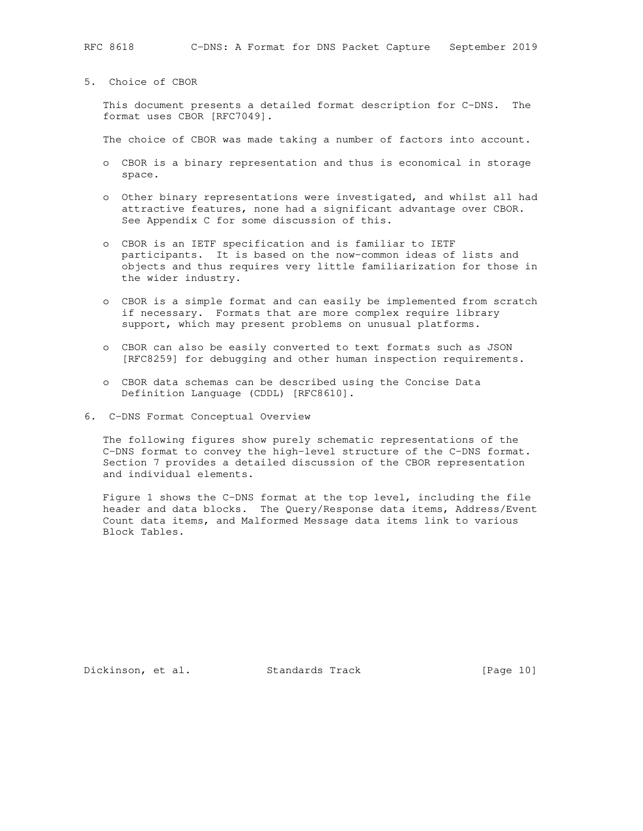This document presents a detailed format description for C-DNS. The format uses CBOR [RFC7049].

The choice of CBOR was made taking a number of factors into account.

- o CBOR is a binary representation and thus is economical in storage space.
- o Other binary representations were investigated, and whilst all had attractive features, none had a significant advantage over CBOR. See Appendix C for some discussion of this.
- o CBOR is an IETF specification and is familiar to IETF participants. It is based on the now-common ideas of lists and objects and thus requires very little familiarization for those in the wider industry.
- o CBOR is a simple format and can easily be implemented from scratch if necessary. Formats that are more complex require library support, which may present problems on unusual platforms.
- o CBOR can also be easily converted to text formats such as JSON [RFC8259] for debugging and other human inspection requirements.
- o CBOR data schemas can be described using the Concise Data Definition Language (CDDL) [RFC8610].
- 6. C-DNS Format Conceptual Overview

 The following figures show purely schematic representations of the C-DNS format to convey the high-level structure of the C-DNS format. Section 7 provides a detailed discussion of the CBOR representation and individual elements.

 Figure 1 shows the C-DNS format at the top level, including the file header and data blocks. The Query/Response data items, Address/Event Count data items, and Malformed Message data items link to various Block Tables.

Dickinson, et al. Standards Track [Page 10]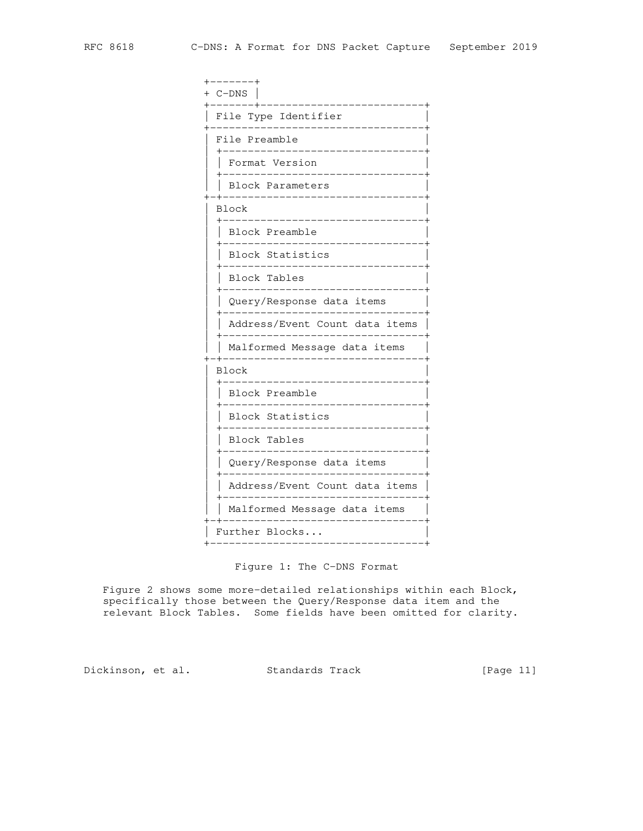|  | -------+<br>$C$ -DNS           |
|--|--------------------------------|
|  | File Type Identifier           |
|  | File Preamble                  |
|  | Format Version                 |
|  | Block Parameters               |
|  | Block                          |
|  | Block Preamble                 |
|  | Block Statistics               |
|  | Block Tables                   |
|  | Query/Response data items      |
|  | Address/Event Count data items |
|  | Malformed Message data items   |
|  | Block                          |
|  | Block Preamble                 |
|  | Block Statistics               |
|  | <b>Block Tables</b>            |
|  | Query/Response data items      |
|  | Address/Event Count data items |
|  | Malformed Message data items   |
|  | Further Blocks                 |

Figure 1: The C-DNS Format

 Figure 2 shows some more-detailed relationships within each Block, specifically those between the Query/Response data item and the relevant Block Tables. Some fields have been omitted for clarity.

Dickinson, et al. Standards Track [Page 11]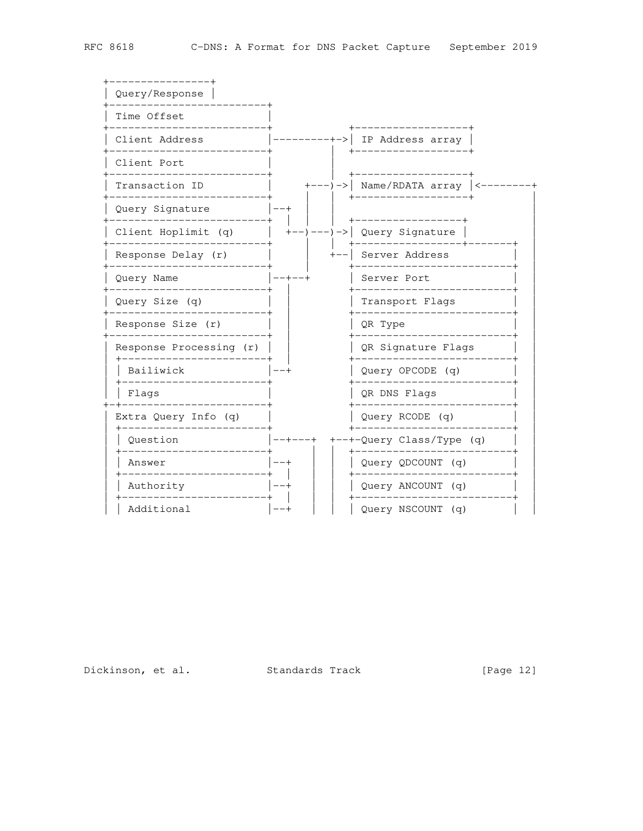

Dickinson, et al. Standards Track

[Page  $12$ ]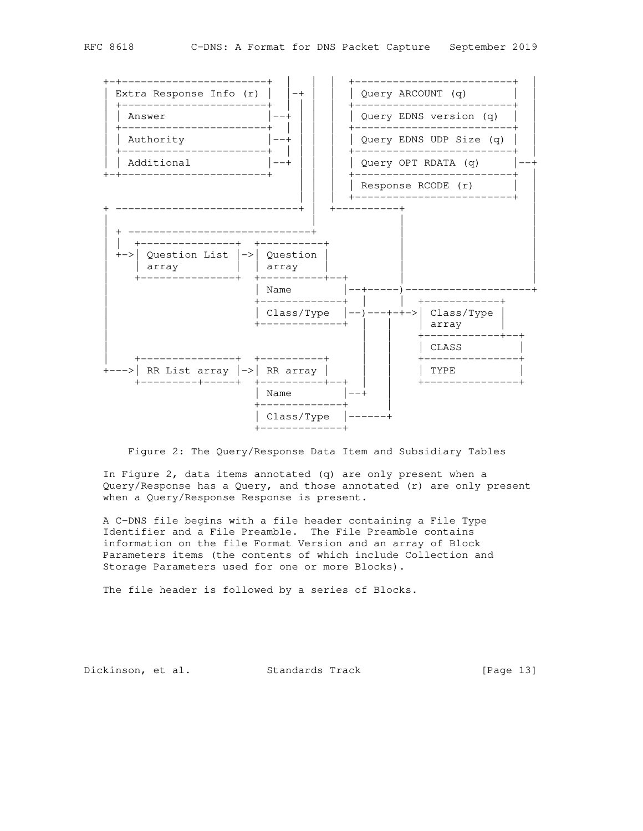



Figure 2: The Query/Response Data Item and Subsidiary Tables

 In Figure 2, data items annotated (q) are only present when a Query/Response has a Query, and those annotated (r) are only present when a Query/Response Response is present.

 A C-DNS file begins with a file header containing a File Type Identifier and a File Preamble. The File Preamble contains information on the file Format Version and an array of Block Parameters items (the contents of which include Collection and Storage Parameters used for one or more Blocks).

The file header is followed by a series of Blocks.

Dickinson, et al. Standards Track [Page 13]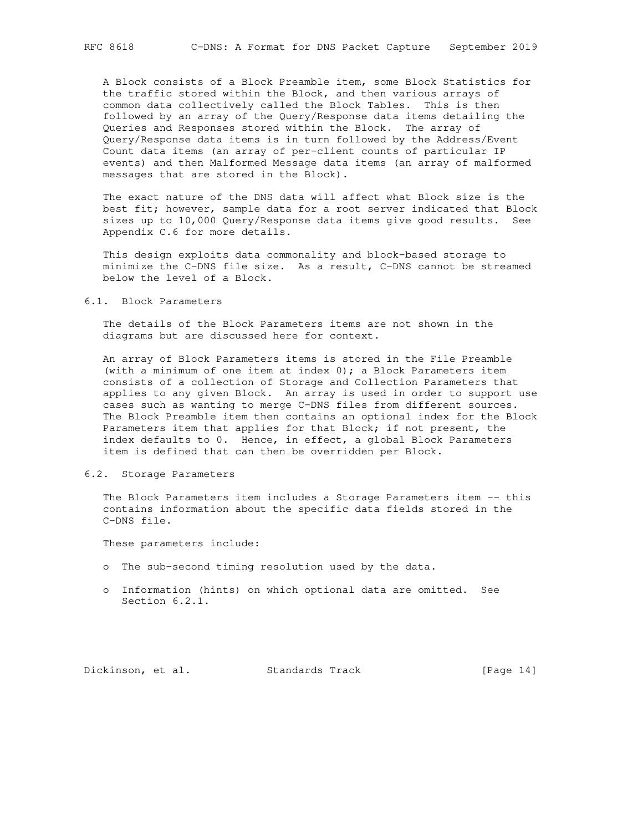A Block consists of a Block Preamble item, some Block Statistics for the traffic stored within the Block, and then various arrays of common data collectively called the Block Tables. This is then followed by an array of the Query/Response data items detailing the Queries and Responses stored within the Block. The array of Query/Response data items is in turn followed by the Address/Event Count data items (an array of per-client counts of particular IP events) and then Malformed Message data items (an array of malformed messages that are stored in the Block).

 The exact nature of the DNS data will affect what Block size is the best fit; however, sample data for a root server indicated that Block sizes up to 10,000 Query/Response data items give good results. See Appendix C.6 for more details.

 This design exploits data commonality and block-based storage to minimize the C-DNS file size. As a result, C-DNS cannot be streamed below the level of a Block.

6.1. Block Parameters

 The details of the Block Parameters items are not shown in the diagrams but are discussed here for context.

 An array of Block Parameters items is stored in the File Preamble (with a minimum of one item at index 0); a Block Parameters item consists of a collection of Storage and Collection Parameters that applies to any given Block. An array is used in order to support use cases such as wanting to merge C-DNS files from different sources. The Block Preamble item then contains an optional index for the Block Parameters item that applies for that Block; if not present, the index defaults to 0. Hence, in effect, a global Block Parameters item is defined that can then be overridden per Block.

#### 6.2. Storage Parameters

 The Block Parameters item includes a Storage Parameters item -- this contains information about the specific data fields stored in the C-DNS file.

These parameters include:

- o The sub-second timing resolution used by the data.
- o Information (hints) on which optional data are omitted. See Section 6.2.1.

Dickinson, et al. Standards Track [Page 14]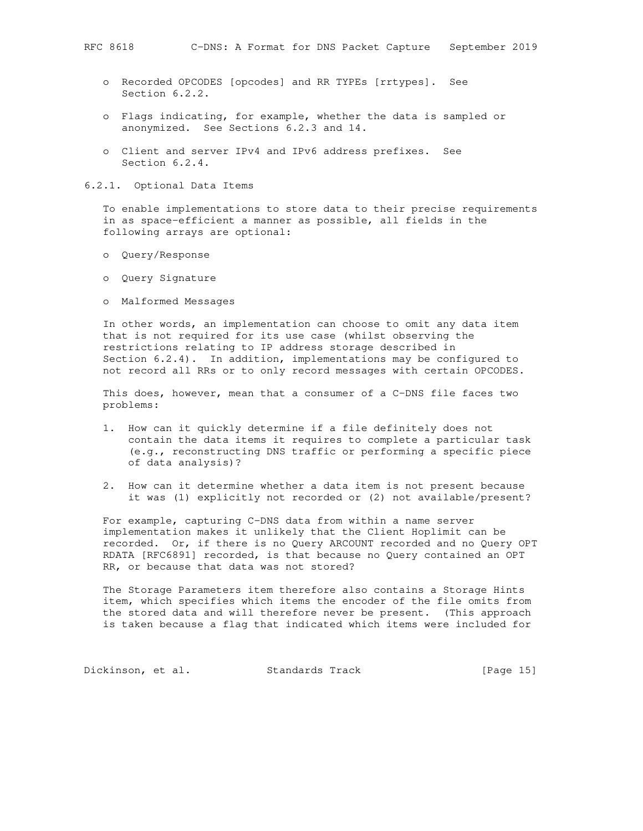- o Recorded OPCODES [opcodes] and RR TYPEs [rrtypes]. See Section 6.2.2.
- o Flags indicating, for example, whether the data is sampled or anonymized. See Sections 6.2.3 and 14.
- o Client and server IPv4 and IPv6 address prefixes. See Section 6.2.4.

6.2.1. Optional Data Items

 To enable implementations to store data to their precise requirements in as space-efficient a manner as possible, all fields in the following arrays are optional:

- o Query/Response
- o Query Signature
- o Malformed Messages

 In other words, an implementation can choose to omit any data item that is not required for its use case (whilst observing the restrictions relating to IP address storage described in Section 6.2.4). In addition, implementations may be configured to not record all RRs or to only record messages with certain OPCODES.

 This does, however, mean that a consumer of a C-DNS file faces two problems:

- 1. How can it quickly determine if a file definitely does not contain the data items it requires to complete a particular task (e.g., reconstructing DNS traffic or performing a specific piece of data analysis)?
- 2. How can it determine whether a data item is not present because it was (1) explicitly not recorded or (2) not available/present?

 For example, capturing C-DNS data from within a name server implementation makes it unlikely that the Client Hoplimit can be recorded. Or, if there is no Query ARCOUNT recorded and no Query OPT RDATA [RFC6891] recorded, is that because no Query contained an OPT RR, or because that data was not stored?

 The Storage Parameters item therefore also contains a Storage Hints item, which specifies which items the encoder of the file omits from the stored data and will therefore never be present. (This approach is taken because a flag that indicated which items were included for

Dickinson, et al. Standards Track [Page 15]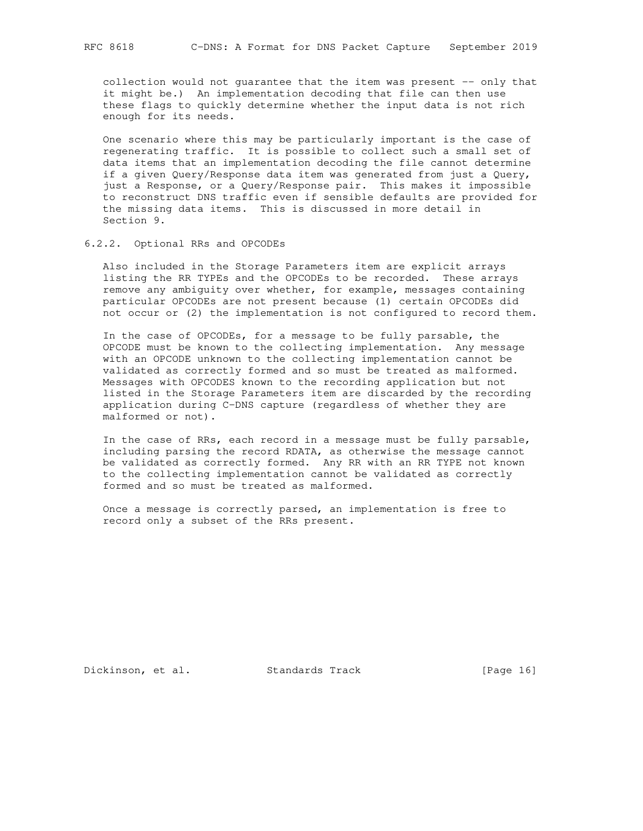collection would not guarantee that the item was present -- only that it might be.) An implementation decoding that file can then use these flags to quickly determine whether the input data is not rich enough for its needs.

 One scenario where this may be particularly important is the case of regenerating traffic. It is possible to collect such a small set of data items that an implementation decoding the file cannot determine if a given Query/Response data item was generated from just a Query, just a Response, or a Query/Response pair. This makes it impossible to reconstruct DNS traffic even if sensible defaults are provided for the missing data items. This is discussed in more detail in Section 9.

### 6.2.2. Optional RRs and OPCODEs

 Also included in the Storage Parameters item are explicit arrays listing the RR TYPEs and the OPCODEs to be recorded. These arrays remove any ambiguity over whether, for example, messages containing particular OPCODEs are not present because (1) certain OPCODEs did not occur or (2) the implementation is not configured to record them.

 In the case of OPCODEs, for a message to be fully parsable, the OPCODE must be known to the collecting implementation. Any message with an OPCODE unknown to the collecting implementation cannot be validated as correctly formed and so must be treated as malformed. Messages with OPCODES known to the recording application but not listed in the Storage Parameters item are discarded by the recording application during C-DNS capture (regardless of whether they are malformed or not).

 In the case of RRs, each record in a message must be fully parsable, including parsing the record RDATA, as otherwise the message cannot be validated as correctly formed. Any RR with an RR TYPE not known to the collecting implementation cannot be validated as correctly formed and so must be treated as malformed.

 Once a message is correctly parsed, an implementation is free to record only a subset of the RRs present.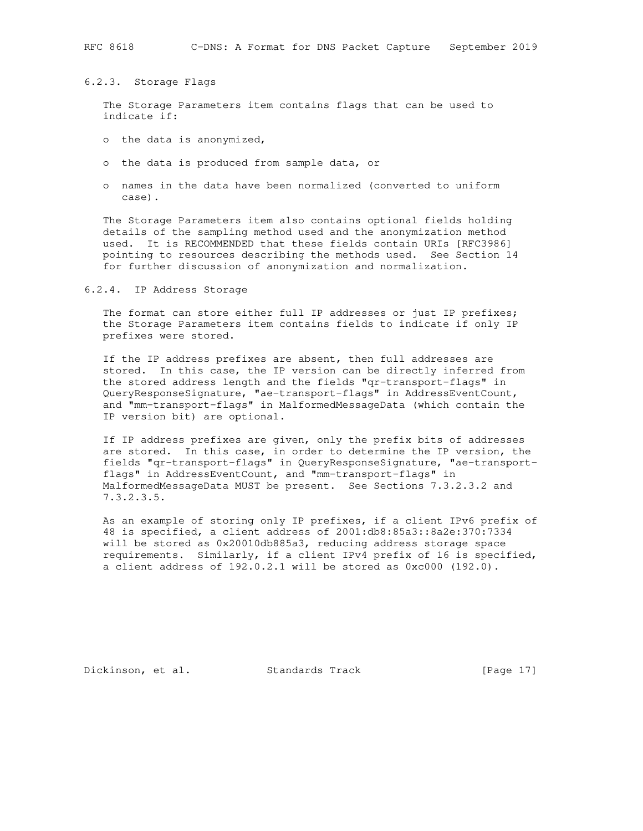6.2.3. Storage Flags

 The Storage Parameters item contains flags that can be used to indicate if:

- o the data is anonymized,
- o the data is produced from sample data, or
- o names in the data have been normalized (converted to uniform case).

 The Storage Parameters item also contains optional fields holding details of the sampling method used and the anonymization method used. It is RECOMMENDED that these fields contain URIs [RFC3986] pointing to resources describing the methods used. See Section 14 for further discussion of anonymization and normalization.

6.2.4. IP Address Storage

The format can store either full IP addresses or just IP prefixes; the Storage Parameters item contains fields to indicate if only IP prefixes were stored.

 If the IP address prefixes are absent, then full addresses are stored. In this case, the IP version can be directly inferred from the stored address length and the fields "qr-transport-flags" in QueryResponseSignature, "ae-transport-flags" in AddressEventCount, and "mm-transport-flags" in MalformedMessageData (which contain the IP version bit) are optional.

 If IP address prefixes are given, only the prefix bits of addresses are stored. In this case, in order to determine the IP version, the fields "qr-transport-flags" in QueryResponseSignature, "ae-transport flags" in AddressEventCount, and "mm-transport-flags" in MalformedMessageData MUST be present. See Sections 7.3.2.3.2 and 7.3.2.3.5.

 As an example of storing only IP prefixes, if a client IPv6 prefix of 48 is specified, a client address of 2001:db8:85a3::8a2e:370:7334 will be stored as 0x20010db885a3, reducing address storage space requirements. Similarly, if a client IPv4 prefix of 16 is specified, a client address of 192.0.2.1 will be stored as 0xc000 (192.0).

Dickinson, et al. Standards Track [Page 17]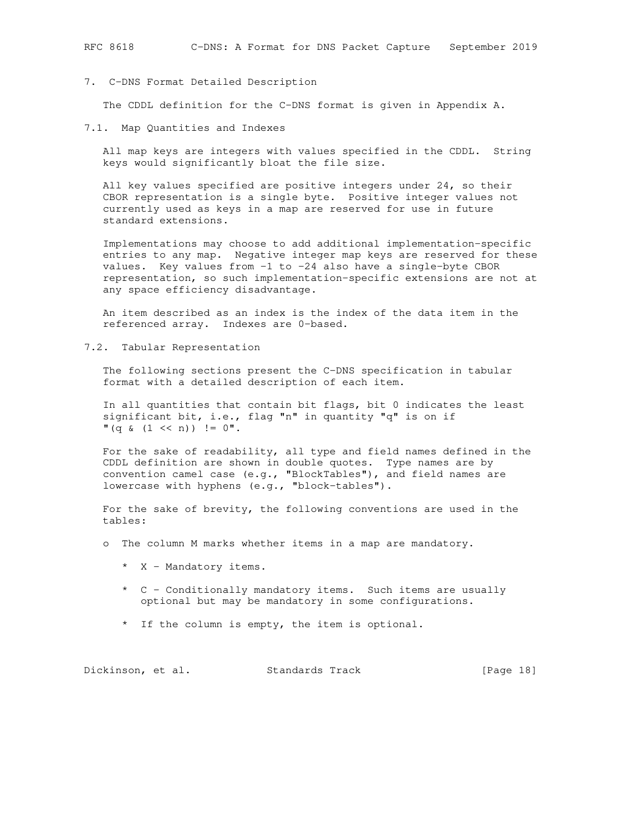7. C-DNS Format Detailed Description

The CDDL definition for the C-DNS format is given in Appendix A.

7.1. Map Quantities and Indexes

 All map keys are integers with values specified in the CDDL. String keys would significantly bloat the file size.

 All key values specified are positive integers under 24, so their CBOR representation is a single byte. Positive integer values not currently used as keys in a map are reserved for use in future standard extensions.

 Implementations may choose to add additional implementation-specific entries to any map. Negative integer map keys are reserved for these values. Key values from -1 to -24 also have a single-byte CBOR representation, so such implementation-specific extensions are not at any space efficiency disadvantage.

 An item described as an index is the index of the data item in the referenced array. Indexes are 0-based.

7.2. Tabular Representation

 The following sections present the C-DNS specification in tabular format with a detailed description of each item.

 In all quantities that contain bit flags, bit 0 indicates the least significant bit, i.e., flag "n" in quantity "q" is on if  $" (q \& (1 \leq n)) ! = 0".$ 

 For the sake of readability, all type and field names defined in the CDDL definition are shown in double quotes. Type names are by convention camel case (e.g., "BlockTables"), and field names are lowercase with hyphens (e.g., "block-tables").

 For the sake of brevity, the following conventions are used in the tables:

o The column M marks whether items in a map are mandatory.

- \* X Mandatory items.
- \* C Conditionally mandatory items. Such items are usually optional but may be mandatory in some configurations.
- \* If the column is empty, the item is optional.

Dickinson, et al. Standards Track [Page 18]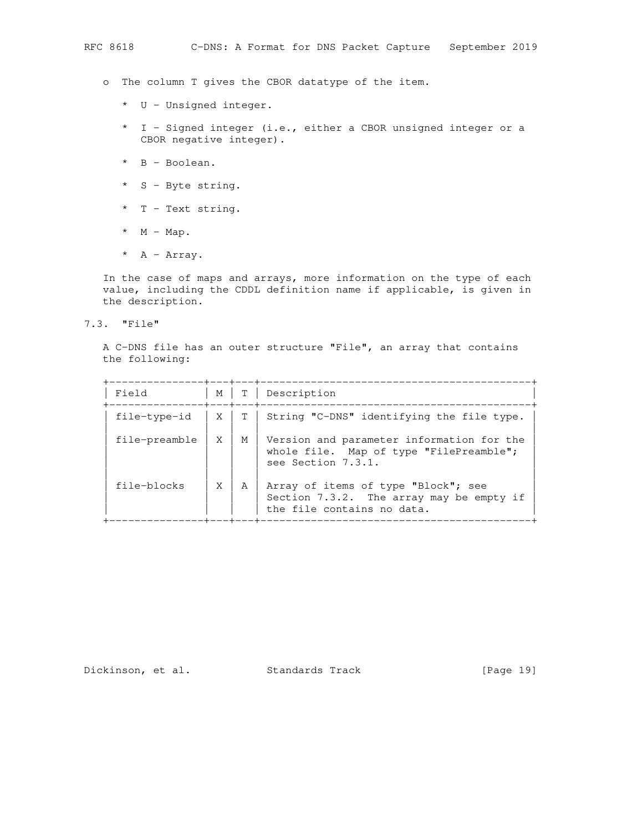- o The column T gives the CBOR datatype of the item.
	- \* U Unsigned integer.
	- \* I Signed integer (i.e., either a CBOR unsigned integer or a CBOR negative integer).
	- \* B Boolean.
	- \* S Byte string.
	- \* T Text string.
	- \*  $M Map$ .
	- \* A Array.

 In the case of maps and arrays, more information on the type of each value, including the CDDL definition name if applicable, is given in the description.

7.3. "File"

 A C-DNS file has an outer structure "File", an array that contains the following:

| Field         | M  | T <sub>1</sub><br>--+---+---+- | Description                                                                                                   |
|---------------|----|--------------------------------|---------------------------------------------------------------------------------------------------------------|
| file-type-id  | XI |                                | T   String "C-DNS" identifying the file type.                                                                 |
| file-preamble | X  | M                              | Version and parameter information for the<br>whole file. Map of type "FilePreamble";<br>see Section 7.3.1.    |
| file-blocks   | X  | A                              | Array of items of type "Block"; see<br>Section 7.3.2. The array may be empty if<br>the file contains no data. |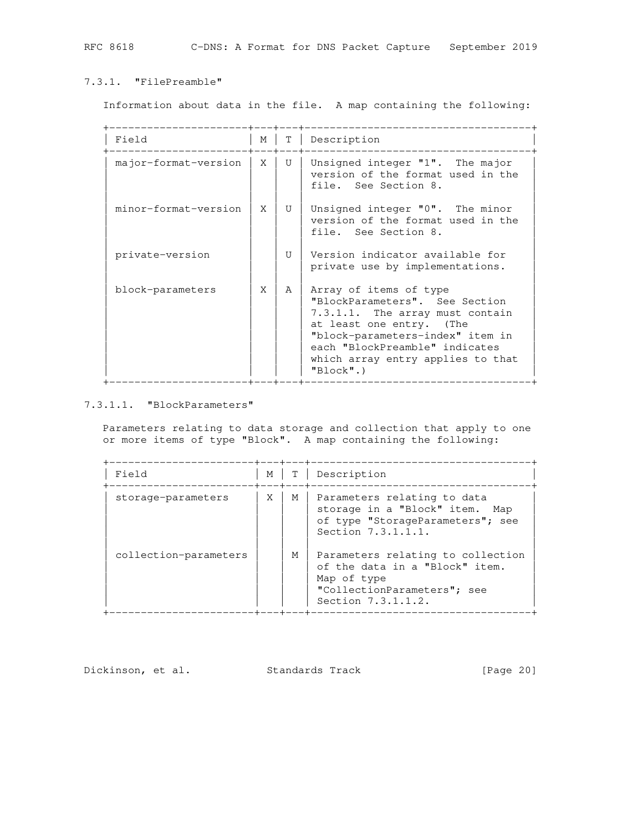### 7.3.1. "FilePreamble"

Information about data in the file. A map containing the following:

| Field                | М | T.           | Description                                                                                                                                                                                                                                     |
|----------------------|---|--------------|-------------------------------------------------------------------------------------------------------------------------------------------------------------------------------------------------------------------------------------------------|
| major-format-version | X | $\mathbf{U}$ | Unsigned integer "1". The major<br>version of the format used in the<br>file. See Section 8.                                                                                                                                                    |
| minor-format-version | X | $\mathbf{U}$ | Unsigned integer "0". The minor<br>version of the format used in the<br>file. See Section 8.                                                                                                                                                    |
| private-version      |   | $\mathbf{U}$ | Version indicator available for<br>private use by implementations.                                                                                                                                                                              |
| block-parameters     | X | A            | Array of items of type<br>"BlockParameters". See Section<br>7.3.1.1. The array must contain<br>at least one entry. (The<br>"block-parameters-index" item in<br>each "BlockPreamble" indicates<br>which array entry applies to that<br>"Block".) |

## 7.3.1.1. "BlockParameters"

 Parameters relating to data storage and collection that apply to one or more items of type "Block". A map containing the following:

| Field                 | М |   | Description                                                                                                                             |
|-----------------------|---|---|-----------------------------------------------------------------------------------------------------------------------------------------|
| storage-parameters    | X | M | Parameters relating to data<br>storage in a "Block" item. Map<br>of type "StorageParameters"; see<br>Section 7.3.1.1.1.                 |
| collection-parameters |   | М | Parameters relating to collection<br>of the data in a "Block" item.<br>Map of type<br>"CollectionParameters"; see<br>Section 7.3.1.1.2. |

Dickinson, et al. Standards Track [Page 20]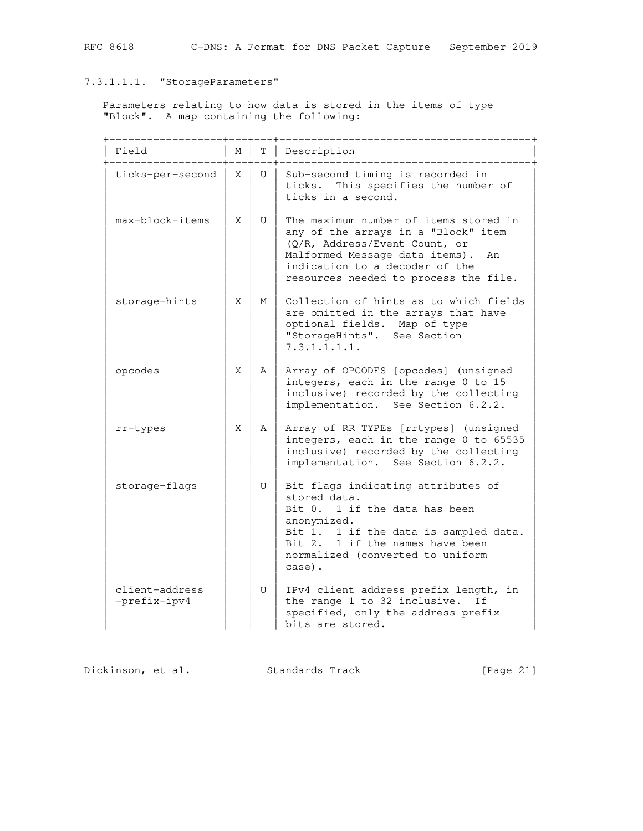# 7.3.1.1.1. "StorageParameters"

 Parameters relating to how data is stored in the items of type "Block". A map containing the following:

| Field                          | М  | T              | Description                                                                                                                                                                                                                      |
|--------------------------------|----|----------------|----------------------------------------------------------------------------------------------------------------------------------------------------------------------------------------------------------------------------------|
| ticks-per-second               | X  | U              | Sub-second timing is recorded in<br>This specifies the number of<br>ticks.<br>ticks in a second.                                                                                                                                 |
| max-block-items                | X  | U              | The maximum number of items stored in<br>any of the arrays in a "Block" item<br>(Q/R, Address/Event Count, or<br>Malformed Message data items).<br>An<br>indication to a decoder of the<br>resources needed to process the file. |
| storage-hints                  | X. | М              | Collection of hints as to which fields<br>are omitted in the arrays that have<br>optional fields. Map of type<br>"StorageHints". See Section<br>7.3.1.1.1.1.                                                                     |
| opcodes                        | X  | $\mathsf{A}$   | Array of OPCODES [opcodes] (unsigned<br>integers, each in the range 0 to 15<br>inclusive) recorded by the collecting<br>implementation. See Section 6.2.2.                                                                       |
| rr-types                       | X  | A              | Array of RR TYPEs [rrtypes] (unsigned<br>integers, each in the range 0 to 65535<br>inclusive) recorded by the collecting<br>implementation. See Section 6.2.2.                                                                   |
| storage-flags                  |    | $\overline{U}$ | Bit flags indicating attributes of<br>stored data.<br>Bit 0. 1 if the data has been<br>anonymized.<br>Bit 1. 1 if the data is sampled data.<br>Bit 2. 1 if the names have been<br>normalized (converted to uniform<br>case).     |
| client-address<br>-prefix-ipv4 |    | U              | IPv4 client address prefix length, in<br>the range 1 to 32 inclusive.<br>Ιf<br>specified, only the address prefix<br>bits are stored.                                                                                            |

Dickinson, et al. Standards Track [Page 21]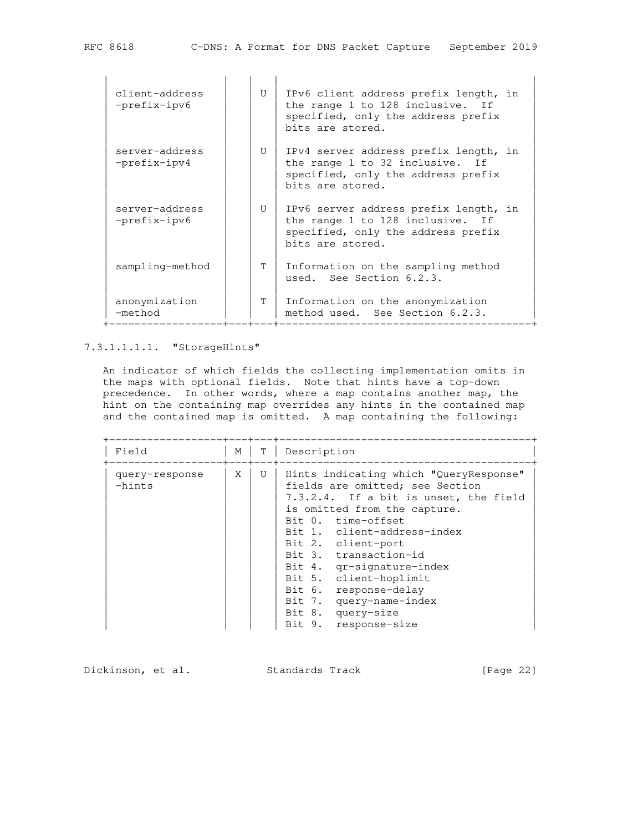| client-address<br>$-prefix-ipv6$ | U            | IPv6 client address prefix length, in<br>the range 1 to 128 inclusive. If<br>specified, only the address prefix<br>bits are stored. |
|----------------------------------|--------------|-------------------------------------------------------------------------------------------------------------------------------------|
| server-address<br>$-prefix-ipv4$ | $\mathbf{U}$ | IPv4 server address prefix length, in<br>the range 1 to 32 inclusive. If<br>specified, only the address prefix<br>bits are stored.  |
| server-address<br>$-prefix-ipv6$ | $\mathbf{U}$ | IPv6 server address prefix length, in<br>the range 1 to 128 inclusive. If<br>specified, only the address prefix<br>bits are stored. |
| sampling-method                  | T.           | Information on the sampling method<br>used. See Section 6.2.3.                                                                      |
| anonymization<br>-method         | T.           | Information on the anonymization<br>method used. See Section 6.2.3.                                                                 |

### 7.3.1.1.1.1. "StorageHints"

 An indicator of which fields the collecting implementation omits in the maps with optional fields. Note that hints have a top-down precedence. In other words, where a map contains another map, the hint on the containing map overrides any hints in the contained map and the contained map is omitted. A map containing the following:

| Field                      | M | T | Description                                                                                                                                                                                                                                                                                                                                                                                                    |
|----------------------------|---|---|----------------------------------------------------------------------------------------------------------------------------------------------------------------------------------------------------------------------------------------------------------------------------------------------------------------------------------------------------------------------------------------------------------------|
| query-response<br>$-hints$ | X | U | Hints indicating which "QueryResponse"<br>fields are omitted; see Section<br>7.3.2.4. If a bit is unset, the field<br>is omitted from the capture.<br>Bit 0. time-offset<br>Bit 1. client-address-index<br>Bit 2. client-port<br>Bit 3. transaction-id<br>Bit 4. qr-signature-index<br>Bit 5. client-hoplimit<br>Bit 6. response-delay<br>Bit 7. query-name-index<br>Bit 8. query-size<br>Bit 9. response-size |

Dickinson, et al. Standards Track [Page 22]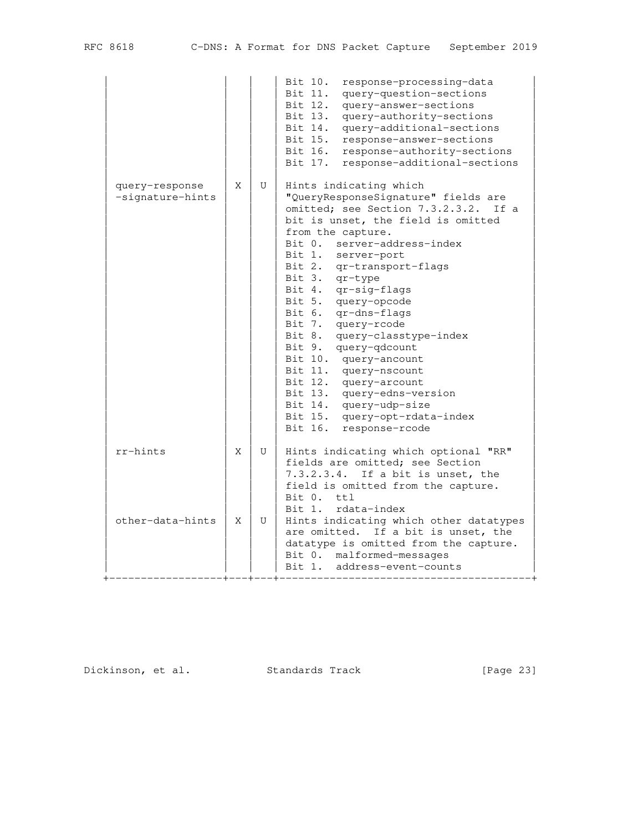|                                    |   |   | Bit 10.<br>response-processing-data<br>Bit 11.<br>query-question-sections<br>Bit 12.<br>query-answer-sections<br>Bit 13.<br>query-authority-sections<br>Bit 14.<br>query-additional-sections<br>Bit 15.<br>response-answer-sections<br>Bit 16. response-authority-sections<br>Bit 17.<br>response-additional-sections                                                                                                                                                                                                                                                                                                          |
|------------------------------------|---|---|--------------------------------------------------------------------------------------------------------------------------------------------------------------------------------------------------------------------------------------------------------------------------------------------------------------------------------------------------------------------------------------------------------------------------------------------------------------------------------------------------------------------------------------------------------------------------------------------------------------------------------|
| query-response<br>-signature-hints | X | U | Hints indicating which<br>"QueryResponseSignature" fields are<br>omitted; see Section 7.3.2.3.2.<br>If a<br>bit is unset, the field is omitted<br>from the capture.<br>Bit 0. server-address-index<br>Bit 1. server-port<br>Bit 2. qr-transport-flags<br>Bit 3.<br>qr-type<br>Bit 4. qr-sig-flags<br>Bit 5. query-opcode<br>Bit 6. qr-dns-flags<br>Bit 7. query-rcode<br>Bit 8.<br>query-classtype-index<br>Bit 9. query-qdcount<br>Bit 10. query-ancount<br>Bit 11. query-nscount<br>Bit 12. query-arcount<br>Bit 13. query-edns-version<br>Bit 14. query-udp-size<br>Bit 15. query-opt-rdata-index<br>Bit 16. response-rcode |
| rr-hints                           | Χ | U | Hints indicating which optional "RR"<br>fields are omitted; see Section<br>7.3.2.3.4.<br>If a bit is unset, the<br>field is omitted from the capture.<br>tt1<br>Bit 0.<br>rdata-index<br>Bit 1.                                                                                                                                                                                                                                                                                                                                                                                                                                |
| other-data-hints                   | X | U | Hints indicating which other datatypes<br>are omitted. If a bit is unset, the<br>datatype is omitted from the capture.<br>Bit 0. malformed-messages<br>Bit 1.<br>address-event-counts                                                                                                                                                                                                                                                                                                                                                                                                                                          |

Dickinson, et al. Standards Track [Page 23]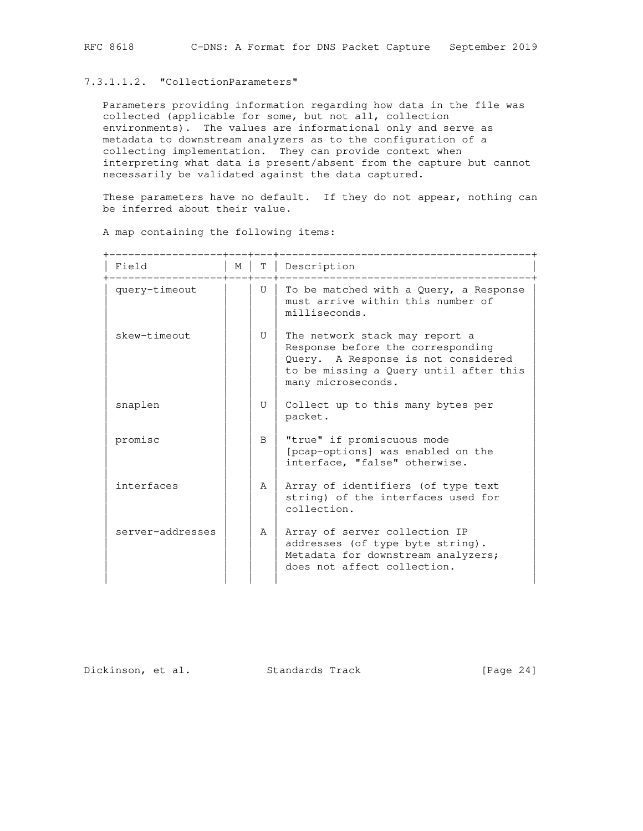#### 7.3.1.1.2. "CollectionParameters"

 Parameters providing information regarding how data in the file was collected (applicable for some, but not all, collection environments). The values are informational only and serve as metadata to downstream analyzers as to the configuration of a collecting implementation. They can provide context when interpreting what data is present/absent from the capture but cannot necessarily be validated against the data captured.

 These parameters have no default. If they do not appear, nothing can be inferred about their value.

|                  |   |              | ________________________                                                                                                                                                   |
|------------------|---|--------------|----------------------------------------------------------------------------------------------------------------------------------------------------------------------------|
| Field            | M |              | T   Description                                                                                                                                                            |
| query-timeout    |   | U            | To be matched with a Query, a Response<br>must arrive within this number of<br>milliseconds.                                                                               |
| skew-timeout     |   | $\mathbf{U}$ | The network stack may report a<br>Response before the corresponding<br>Query. A Response is not considered<br>to be missing a Query until after this<br>many microseconds. |
| snaplen          |   | $\mathbf{U}$ | Collect up to this many bytes per<br>packet.                                                                                                                               |
| promisc          |   | B            | "true" if promiscuous mode<br>[pcap-options] was enabled on the<br>interface, "false" otherwise.                                                                           |
| interfaces       |   | Α            | Array of identifiers (of type text<br>string) of the interfaces used for<br>collection.                                                                                    |
| server-addresses |   | $\mathsf{A}$ | Array of server collection IP<br>addresses (of type byte string).<br>Metadata for downstream analyzers;<br>does not affect collection.                                     |

A map containing the following items:

Dickinson, et al. Standards Track [Page 24]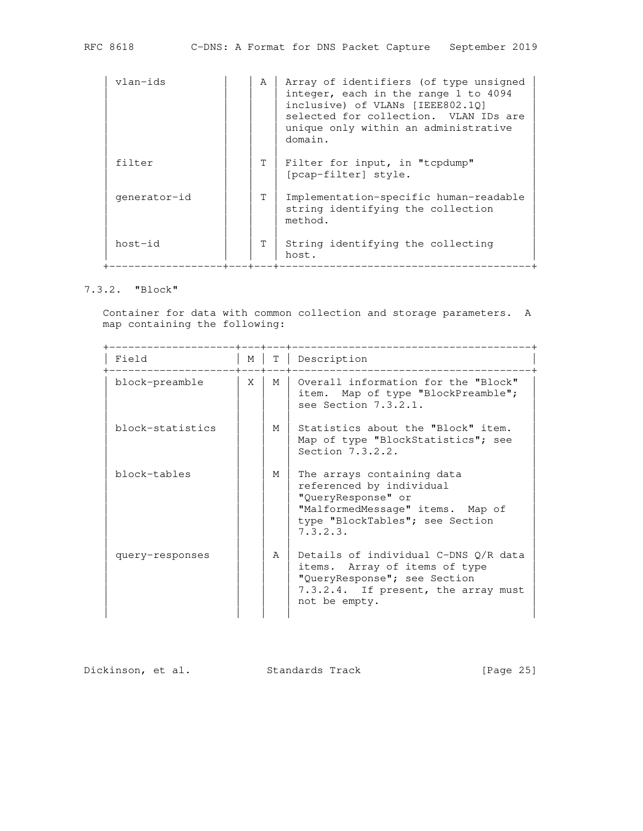| vlan-ids     | A  | Array of identifiers (of type unsigned<br>integer, each in the range 1 to 4094<br>inclusive) of VLANs [IEEE802.10]<br>selected for collection. VLAN IDs are<br>unique only within an administrative<br>domain. |
|--------------|----|----------------------------------------------------------------------------------------------------------------------------------------------------------------------------------------------------------------|
| filter       | T. | Filter for input, in "topdump"<br>[pcap-filter] style.                                                                                                                                                         |
| qenerator-id | T. | Implementation-specific human-readable<br>string identifying the collection<br>method.                                                                                                                         |
| host-id      | T. | String identifying the collecting<br>host.<br>___________________                                                                                                                                              |

### 7.3.2. "Block"

 Container for data with common collection and storage parameters. A map containing the following:

| Field            | M |   | T   Description                                                                                                                                                 |
|------------------|---|---|-----------------------------------------------------------------------------------------------------------------------------------------------------------------|
| block-preamble   | X | M | Overall information for the "Block"<br>item. Map of type "BlockPreamble";<br>see Section 7.3.2.1.                                                               |
| block-statistics |   | M | Statistics about the "Block" item.<br>Map of type "BlockStatistics"; see<br>Section 7.3.2.2.                                                                    |
| block-tables     |   | M | The arrays containing data<br>referenced by individual<br>"QueryResponse" or<br>"MalformedMessage" items. Map of<br>type "BlockTables"; see Section<br>7.3.2.3. |
| query-responses  |   | A | Details of individual C-DNS O/R data<br>items. Array of items of type<br>"QueryResponse"; see Section<br>7.3.2.4. If present, the array must<br>not be empty.   |

Dickinson, et al. Standards Track [Page 25]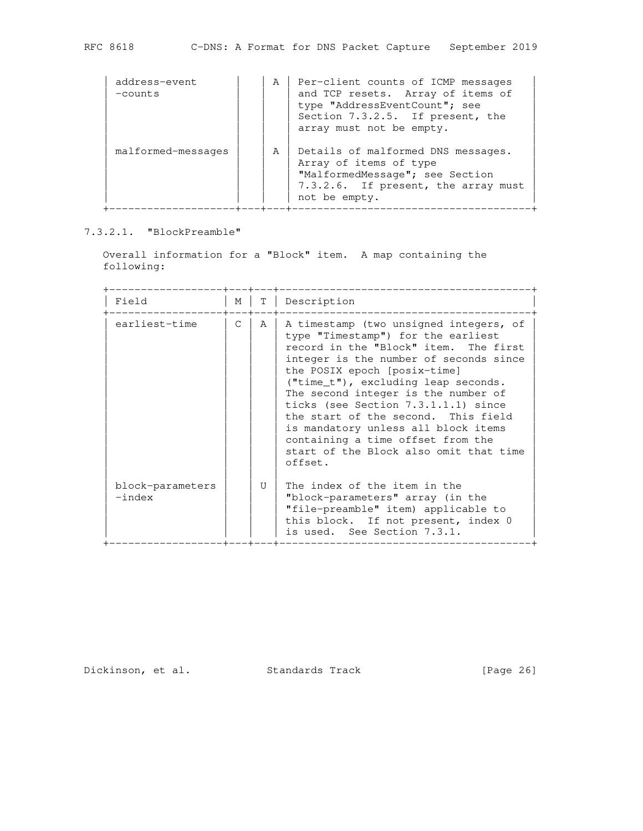| address-event<br>$-counts$ | A | Per-client counts of ICMP messages<br>and TCP resets. Array of items of<br>type "AddressEventCount"; see<br>Section 7.3.2.5. If present, the<br>array must not be empty. |
|----------------------------|---|--------------------------------------------------------------------------------------------------------------------------------------------------------------------------|
| malformed-messages         | A | Details of malformed DNS messages.<br>Array of items of type<br>"MalformedMessage"; see Section<br>7.3.2.6. If present, the array must<br>not be empty.                  |

7.3.2.1. "BlockPreamble"

 Overall information for a "Block" item. A map containing the following:

| Field                        | M             | Т | Description                                                                                                                                                                                                                                                                                                                                                                                                                                                                                    |
|------------------------------|---------------|---|------------------------------------------------------------------------------------------------------------------------------------------------------------------------------------------------------------------------------------------------------------------------------------------------------------------------------------------------------------------------------------------------------------------------------------------------------------------------------------------------|
| earliest-time                | $\mathcal{C}$ | A | A timestamp (two unsigned integers, of<br>type "Timestamp") for the earliest<br>record in the "Block" item. The first<br>integer is the number of seconds since<br>the POSIX epoch [posix-time]<br>$("time_t"), excluding leap seconds.$<br>The second integer is the number of<br>ticks (see Section 7.3.1.1.1) since<br>the start of the second. This field<br>is mandatory unless all block items<br>containing a time offset from the<br>start of the Block also omit that time<br>offset. |
| block-parameters<br>$-index$ |               | Π | The index of the item in the<br>"block-parameters" array (in the<br>"file-preamble" item) applicable to<br>this block. If not present, index 0<br>is used. See Section 7.3.1.                                                                                                                                                                                                                                                                                                                  |

Dickinson, et al. Standards Track [Page 26]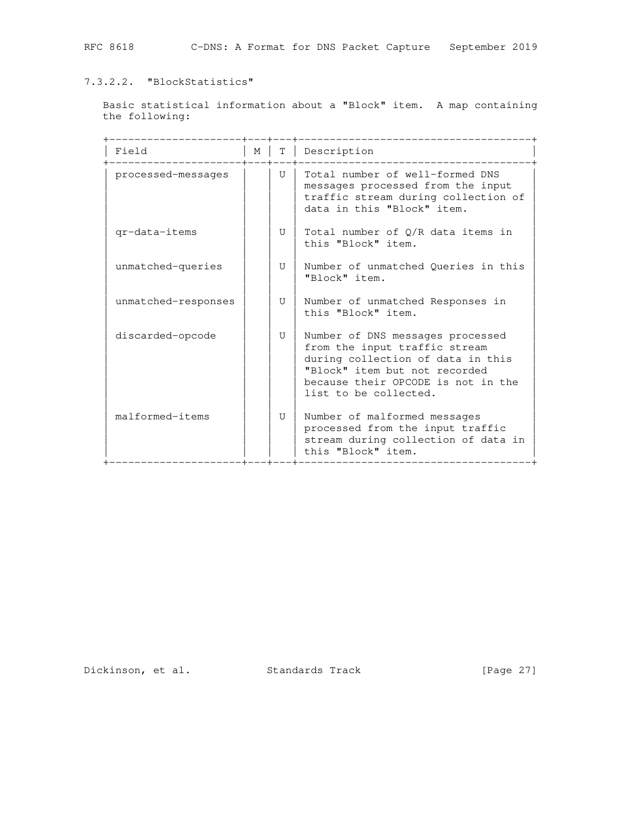# 7.3.2.2. "BlockStatistics"

 Basic statistical information about a "Block" item. A map containing the following:

| Field               | М | T. | Description                                                                                                                                                                                            |
|---------------------|---|----|--------------------------------------------------------------------------------------------------------------------------------------------------------------------------------------------------------|
| processed-messages  |   | U  | Total number of well-formed DNS<br>messages processed from the input<br>traffic stream during collection of<br>data in this "Block" item.                                                              |
| gr-data-items       |   | U  | Total number of O/R data items in<br>this "Block" item.                                                                                                                                                |
| unmatched-queries   |   | U  | Number of unmatched Queries in this<br>"Block" item.                                                                                                                                                   |
| unmatched-responses |   | U  | Number of unmatched Responses in<br>this "Block" item.                                                                                                                                                 |
| discarded-opcode    |   | U  | Number of DNS messages processed<br>from the input traffic stream<br>during collection of data in this<br>"Block" item but not recorded<br>because their OPCODE is not in the<br>list to be collected. |
| malformed-items     |   | U  | Number of malformed messages<br>processed from the input traffic<br>stream during collection of data in<br>this "Block" item.                                                                          |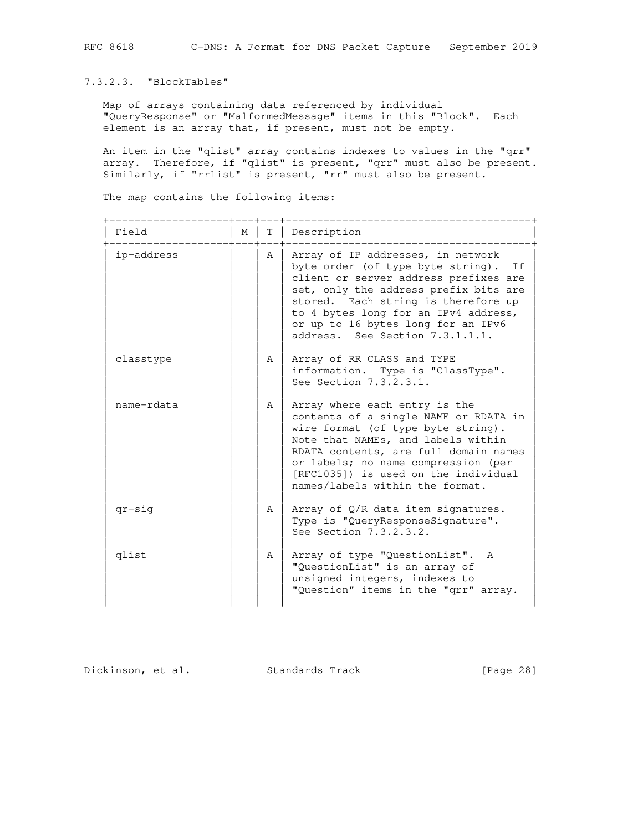7.3.2.3. "BlockTables"

 Map of arrays containing data referenced by individual "QueryResponse" or "MalformedMessage" items in this "Block". Each element is an array that, if present, must not be empty.

An item in the "qlist" array contains indexes to values in the "qrr" array. Therefore, if "qlist" is present, "qrr" must also be present. Similarly, if "rrlist" is present, "rr" must also be present.

The map contains the following items:

| Field      | $M_{\odot}$ | T             | Description                                                                                                                                                                                                                                                                                                            |
|------------|-------------|---------------|------------------------------------------------------------------------------------------------------------------------------------------------------------------------------------------------------------------------------------------------------------------------------------------------------------------------|
| ip-address |             | Α             | Array of IP addresses, in network<br>byte order (of type byte string).<br>If<br>client or server address prefixes are<br>set, only the address prefix bits are<br>stored. Each string is therefore up<br>to 4 bytes long for an IPv4 address,<br>or up to 16 bytes long for an IPv6<br>address. See Section 7.3.1.1.1. |
| classtype  |             | A             | Array of RR CLASS and TYPE<br>information. Type is "ClassType".<br>See Section 7.3.2.3.1.                                                                                                                                                                                                                              |
| name-rdata |             | Α             | Array where each entry is the<br>contents of a single NAME or RDATA in<br>wire format (of type byte string).<br>Note that NAMEs, and labels within<br>RDATA contents, are full domain names<br>or labels; no name compression (per<br>[RFC1035]) is used on the individual<br>names/labels within the format.          |
| $qr-siq$   |             | $\mathcal{A}$ | Array of Q/R data item signatures.<br>Type is "QueryResponseSignature".<br>See Section 7.3.2.3.2.                                                                                                                                                                                                                      |
| glist      |             | A             | Array of type "QuestionList". A<br>"QuestionList" is an array of<br>unsigned integers, indexes to<br>"Question" items in the "qrr" array.                                                                                                                                                                              |

Dickinson, et al. Standards Track [Page 28]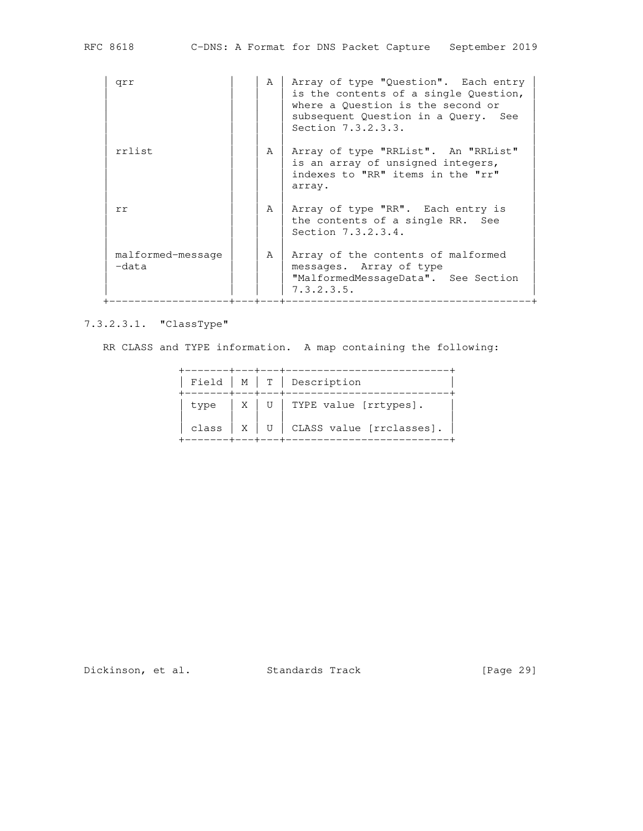| qrr                        | A | Array of type "Question". Each entry<br>is the contents of a single Question,<br>where a Question is the second or<br>subsequent Question in a Query. See<br>Section 7.3.2.3.3. |
|----------------------------|---|---------------------------------------------------------------------------------------------------------------------------------------------------------------------------------|
| rrlist                     | A | Array of type "RRList". An "RRList"<br>is an array of unsigned integers,<br>indexes to "RR" items in the "rr"<br>array.                                                         |
| rr                         | A | Array of type "RR". Each entry is<br>the contents of a single RR. See<br>Section 7.3.2.3.4.                                                                                     |
| malformed-message<br>-data | A | Array of the contents of malformed<br>messages. Array of type<br>"MalformedMessageData". See Section<br>7.3.2.3.5.                                                              |

7.3.2.3.1. "ClassType"

RR CLASS and TYPE information. A map containing the following:

|  |  | Field $ M T $ Description                           |
|--|--|-----------------------------------------------------|
|  |  | type $ X $ U   TYPE value [rrtypes].                |
|  |  | class $\mid X \mid U \mid$ CLASS value [rrclasses]. |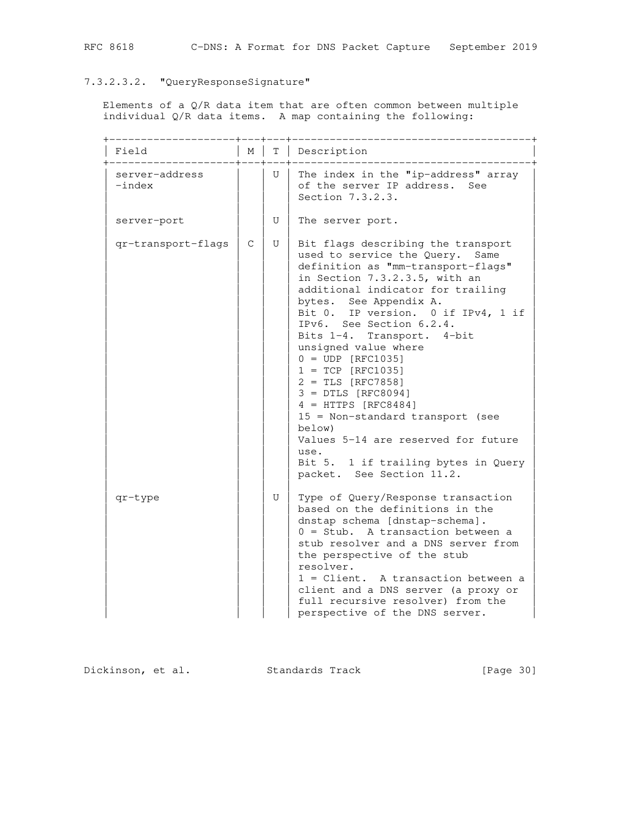# 7.3.2.3.2. "QueryResponseSignature"

 Elements of a Q/R data item that are often common between multiple individual Q/R data items. A map containing the following:

| Field                       | М            | Т | Description                                                                                                                                                                                                                                                                                                                                                                                                                                                                                                                                                                                                                         |
|-----------------------------|--------------|---|-------------------------------------------------------------------------------------------------------------------------------------------------------------------------------------------------------------------------------------------------------------------------------------------------------------------------------------------------------------------------------------------------------------------------------------------------------------------------------------------------------------------------------------------------------------------------------------------------------------------------------------|
| server-address<br>$-$ index |              | U | The index in the "ip-address" array<br>of the server IP address. See<br>Section 7.3.2.3.                                                                                                                                                                                                                                                                                                                                                                                                                                                                                                                                            |
| server-port                 |              | U | The server port.                                                                                                                                                                                                                                                                                                                                                                                                                                                                                                                                                                                                                    |
| qr-transport-flags          | $\mathsf{C}$ | U | Bit flags describing the transport<br>used to service the Query.<br>Same<br>definition as "mm-transport-flags"<br>in Section 7.3.2.3.5, with an<br>additional indicator for trailing<br>bytes. See Appendix A.<br>Bit 0. IP version. 0 if IPv4, 1 if<br>IPv6. See Section 6.2.4.<br>Bits 1-4. Transport.<br>$4$ -bit<br>unsigned value where<br>$0 = UDP [RFC1035]$<br>$1 = TCP [RFC1035]$<br>$2 = TLS [RFC7858]$<br>$3 = DTLS [RFC8094]$<br>$4 = HTTPS [RFC8484]$<br>15 = Non-standard transport (see<br>below)<br>Values 5-14 are reserved for future<br>use.<br>Bit 5. 1 if trailing bytes in Query<br>packet. See Section 11.2. |
| qr-type                     |              | U | Type of Query/Response transaction<br>based on the definitions in the<br>dnstap schema [dnstap-schema].<br>$0 =$ Stub. A transaction between a<br>stub resolver and a DNS server from<br>the perspective of the stub<br>resolver.<br>1 = Client. A transaction between a<br>client and a DNS server (a proxy or<br>full recursive resolver) from the<br>perspective of the DNS server.                                                                                                                                                                                                                                              |

Dickinson, et al. Standards Track [Page 30]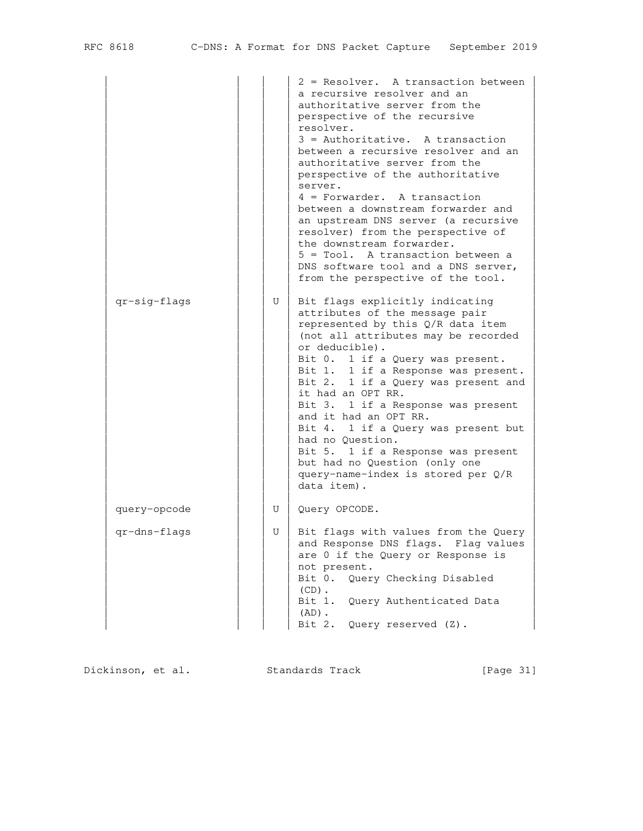|              |   | 2 = Resolver. A transaction between<br>a recursive resolver and an<br>authoritative server from the<br>perspective of the recursive<br>resolver.<br>$3 =$ Authoritative. A transaction<br>between a recursive resolver and an<br>authoritative server from the<br>perspective of the authoritative<br>server.<br>$4$ = Forwarder. A transaction<br>between a downstream forwarder and<br>an upstream DNS server (a recursive<br>resolver) from the perspective of<br>the downstream forwarder.<br>5 = Tool. A transaction between a<br>DNS software tool and a DNS server,<br>from the perspective of the tool. |
|--------------|---|-----------------------------------------------------------------------------------------------------------------------------------------------------------------------------------------------------------------------------------------------------------------------------------------------------------------------------------------------------------------------------------------------------------------------------------------------------------------------------------------------------------------------------------------------------------------------------------------------------------------|
| qr-sig-flags | U | Bit flags explicitly indicating<br>attributes of the message pair<br>represented by this Q/R data item<br>(not all attributes may be recorded<br>or deducible).<br>Bit 0. 1 if a Query was present.<br>Bit 1. 1 if a Response was present.<br>Bit 2. 1 if a Query was present and<br>it had an OPT RR.<br>Bit 3. 1 if a Response was present<br>and it had an OPT RR.<br>Bit 4. 1 if a Query was present but<br>had no Question.<br>Bit 5. 1 if a Response was present<br>but had no Question (only one<br>query-name-index is stored per Q/R<br>data item).                                                    |
| query-opcode | U | Query OPCODE.                                                                                                                                                                                                                                                                                                                                                                                                                                                                                                                                                                                                   |
| qr-dns-flags | U | Bit flags with values from the Query<br>and Response DNS flags. Flag values<br>are 0 if the Query or Response is<br>not present.<br>Bit 0. Query Checking Disabled<br>$(CD)$ .<br>Query Authenticated Data<br>Bit 1.<br>$(AD)$ .<br>Query reserved (Z).<br>Bit 2.                                                                                                                                                                                                                                                                                                                                               |

Dickinson, et al. Standards Track [Page 31]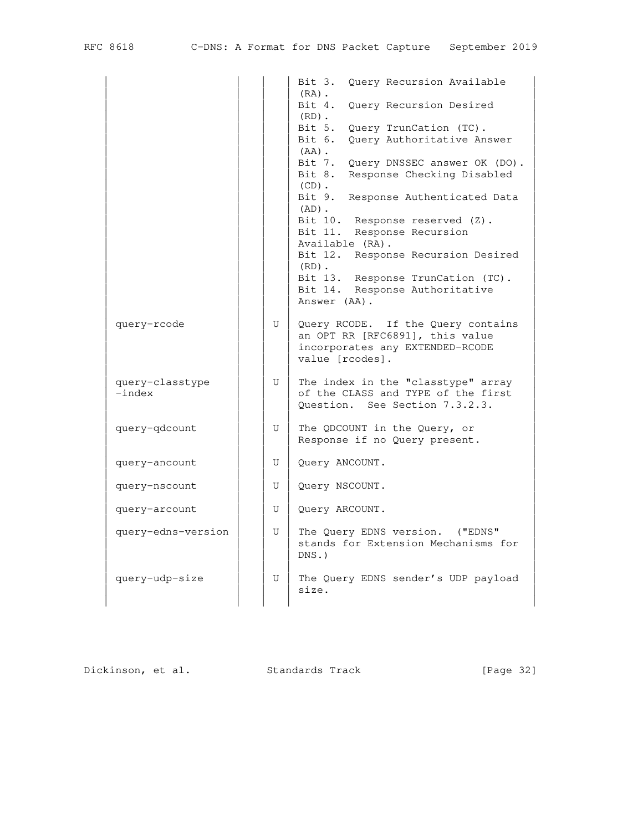| RFC | 8618 |
|-----|------|
|-----|------|

|                    |              | Bit 3.<br>Query Recursion Available<br>$(RA)$ . |
|--------------------|--------------|-------------------------------------------------|
|                    |              | Bit 4.<br>Query Recursion Desired<br>$(RD)$ .   |
|                    |              | Bit 5.<br>Query TrunCation (TC).                |
|                    |              | Bit 6.<br>Query Authoritative Answer            |
|                    |              | $(AA)$ .                                        |
|                    |              | Bit 7.<br>Query DNSSEC answer OK (DO).          |
|                    |              | Bit 8.<br>Response Checking Disabled            |
|                    |              | $(CD)$ .                                        |
|                    |              | Bit 9.<br>Response Authenticated Data           |
|                    |              | $(AD)$ .                                        |
|                    |              | Bit 10. Response reserved (Z).                  |
|                    |              | Bit 11. Response Recursion                      |
|                    |              | Available (RA).                                 |
|                    |              | Bit 12. Response Recursion Desired              |
|                    |              | $(RD)$ .                                        |
|                    |              | Bit 13. Response TrunCation (TC).               |
|                    |              | Bit 14. Response Authoritative                  |
|                    |              | Answer (AA).                                    |
| query-rcode        | U            | Query RCODE. If the Query contains              |
|                    |              | an OPT RR [RFC6891], this value                 |
|                    |              | incorporates any EXTENDED-RCODE                 |
|                    |              | value [rcodes].                                 |
|                    |              |                                                 |
| query-classtype    | U            | The index in the "classtype" array              |
| $-index$           |              | of the CLASS and TYPE of the first              |
|                    |              | Ouestion. See Section 7.3.2.3.                  |
|                    |              |                                                 |
| query-qdcount      | U            | The QDCOUNT in the Query, or                    |
|                    |              | Response if no Query present.                   |
| query-ancount      | $\mathbf{U}$ | Query ANCOUNT.                                  |
|                    |              |                                                 |
| query-nscount      | U            | Query NSCOUNT.                                  |
|                    |              |                                                 |
| query-arcount      | U            | Query ARCOUNT.                                  |
|                    |              |                                                 |
| query-edns-version | U            | The Query EDNS version.<br>$($ "EDNS"           |
|                    |              | stands for Extension Mechanisms for             |
|                    |              | $DNS.$ )                                        |
|                    |              |                                                 |
| query-udp-size     | U            | The Query EDNS sender's UDP payload<br>size.    |
|                    |              |                                                 |
|                    |              |                                                 |

Dickinson, et al. Standards Track [Page 32]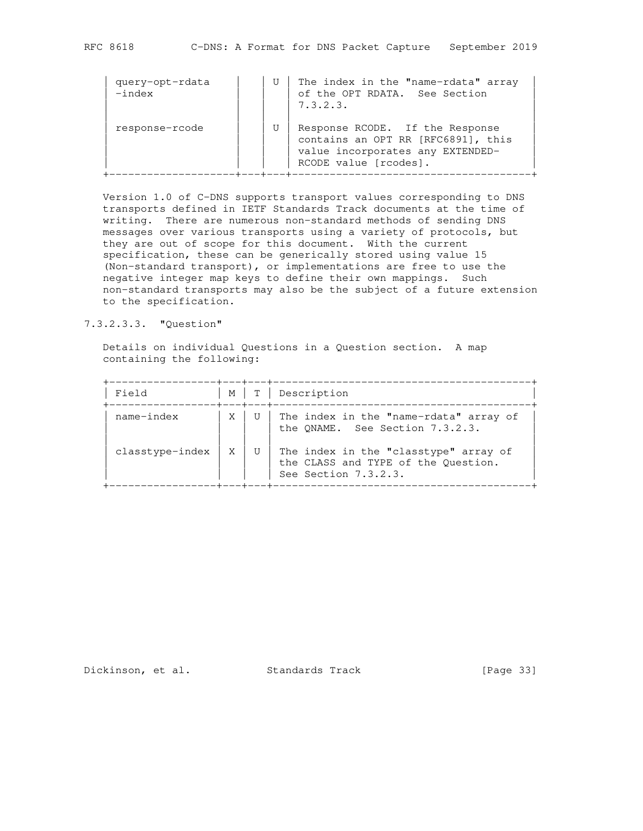| query-opt-rdata<br>$-index$ | U | The index in the "name-rdata" array<br>of the OPT RDATA. See Section<br>7.3.2.3.                                                   |
|-----------------------------|---|------------------------------------------------------------------------------------------------------------------------------------|
| response-rcode              | U | Response RCODE. If the Response<br>contains an OPT RR [RFC6891], this<br>value incorporates any EXTENDED-<br>RCODE value [rcodes]. |

 Version 1.0 of C-DNS supports transport values corresponding to DNS transports defined in IETF Standards Track documents at the time of writing. There are numerous non-standard methods of sending DNS messages over various transports using a variety of protocols, but they are out of scope for this document. With the current specification, these can be generically stored using value 15 (Non-standard transport), or implementations are free to use the negative integer map keys to define their own mappings. Such non-standard transports may also be the subject of a future extension to the specification.

7.3.2.3.3. "Question"

 Details on individual Questions in a Question section. A map containing the following:

| Field           | M |   | Description                                                                                          |
|-----------------|---|---|------------------------------------------------------------------------------------------------------|
| name-index      | X |   | The index in the "name-rdata" array of<br>the ONAME. See Section 7.3.2.3.                            |
| classtype-index | Χ | U | The index in the "classtype" array of<br>the CLASS and TYPE of the Question.<br>See Section 7.3.2.3. |

Dickinson, et al. Standards Track [Page 33]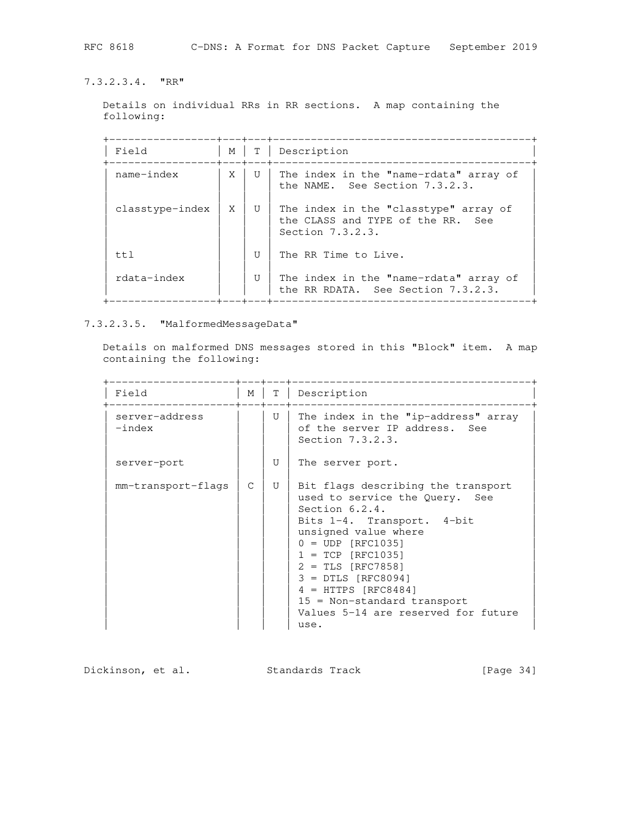7.3.2.3.4. "RR"

 Details on individual RRs in RR sections. A map containing the following:

 +-----------------+---+---+-----------------------------------------+ | Field | M | T | Description +-----------------+---+---+-----------------------------------------+ | name-index | X | U | The index in the "name-rdata" array of | | | | | | | the NAME. See Section 7.3.2.3. | | | | | | classtype-index | X | U | The index in the "classtype" array of  $|$ | | | | | the CLASS and TYPE of the RR. See |  $\blacksquare$   $\blacksquare$   $\blacksquare$   $\blacksquare$   $\blacksquare$   $\blacksquare$   $\blacksquare$   $\blacksquare$   $\blacksquare$   $\blacksquare$   $\blacksquare$   $\blacksquare$   $\blacksquare$   $\blacksquare$   $\blacksquare$   $\blacksquare$   $\blacksquare$   $\blacksquare$   $\blacksquare$   $\blacksquare$   $\blacksquare$   $\blacksquare$   $\blacksquare$   $\blacksquare$   $\blacksquare$   $\blacksquare$   $\blacksquare$   $\blacksquare$   $\blacksquare$   $\blacksquare$   $\blacksquare$   $\blacks$  | | | | | | ttl  $|U|$  The RR Time to Live. | | | | | | rdata-index | | | U | The index in the "name-rdata" array of | | | | | | the RR RDATA. See Section 7.3.2.3. +-----------------+---+---+-----------------------------------------+

7.3.2.3.5. "MalformedMessageData"

 Details on malformed DNS messages stored in this "Block" item. A map containing the following:

| Field                       | М | T. | Description                                                                                                                                                                                                                                                                                                                                           |
|-----------------------------|---|----|-------------------------------------------------------------------------------------------------------------------------------------------------------------------------------------------------------------------------------------------------------------------------------------------------------------------------------------------------------|
| server-address<br>$-$ index |   | U  | The index in the "ip-address" array<br>of the server IP address. See<br>Section 7.3.2.3.                                                                                                                                                                                                                                                              |
| server-port                 |   | U  | The server port.                                                                                                                                                                                                                                                                                                                                      |
| mm-transport-flags          | C | U  | Bit flags describing the transport<br>used to service the Query. See<br>Section $6.2.4$ .<br>Bits 1-4. Transport. 4-bit<br>unsigned value where<br>$0 = UDP$ [RFC1035]<br>$1 = TCP [RFC1035]$<br>$2 = TLS [RFC7858]$<br>$3 = DTLS [RFC8094]$<br>$4 = HTTPS [RFC8484]$<br>$15$ = Non-standard transport<br>Values 5-14 are reserved for future<br>use. |

Dickinson, et al. Standards Track [Page 34]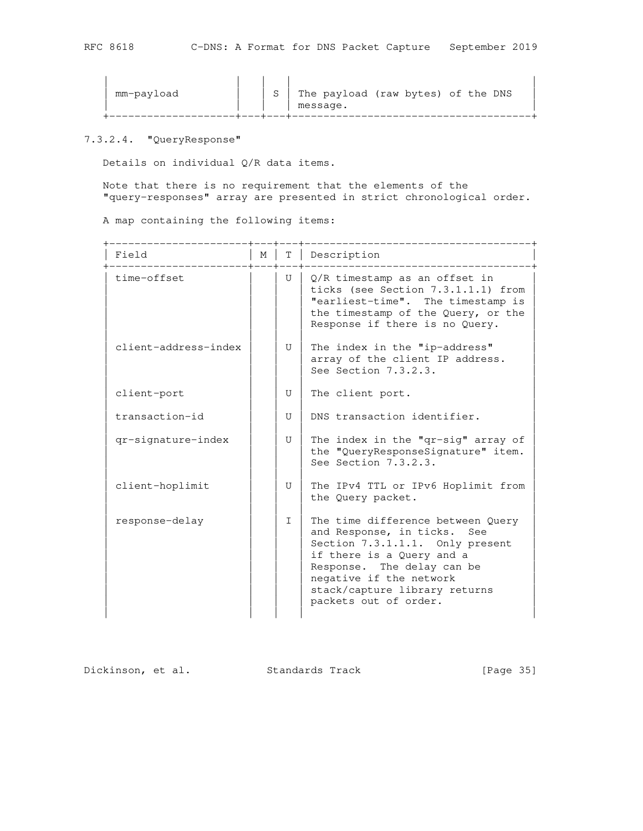| mm-payload |  |  | The payload (raw bytes) of the DNS<br>message. |
|------------|--|--|------------------------------------------------|
|------------|--|--|------------------------------------------------|

# 7.3.2.4. "QueryResponse"

Details on individual Q/R data items.

 Note that there is no requirement that the elements of the "query-responses" array are presented in strict chronological order.

A map containing the following items:

| Field                | М | T      | Description                                                                                                                                                                                                                                            |
|----------------------|---|--------|--------------------------------------------------------------------------------------------------------------------------------------------------------------------------------------------------------------------------------------------------------|
| time-offset          |   | U      | O/R timestamp as an offset in<br>ticks (see Section 7.3.1.1.1) from<br>"earliest-time". The timestamp is<br>the timestamp of the Query, or the<br>Response if there is no Query.                                                                       |
| client-address-index |   | U      | The index in the "ip-address"<br>array of the client IP address.<br>See Section 7.3.2.3.                                                                                                                                                               |
| client-port          |   | U      | The client port.                                                                                                                                                                                                                                       |
| transaction-id       |   | U      | DNS transaction identifier.                                                                                                                                                                                                                            |
| qr-signature-index   |   | U      | The index in the "qr-sig" array of<br>the "QueryResponseSignature" item.<br>See Section 7.3.2.3.                                                                                                                                                       |
| client-hoplimit      |   | U      | The IPv4 TTL or IPv6 Hoplimit from<br>the Query packet.                                                                                                                                                                                                |
| response-delay       |   | $\top$ | The time difference between Query<br>and Response, in ticks.<br>See<br>Section 7.3.1.1.1. Only present<br>if there is a Query and a<br>Response. The delay can be<br>negative if the network<br>stack/capture library returns<br>packets out of order. |

Dickinson, et al. Standards Track [Page 35]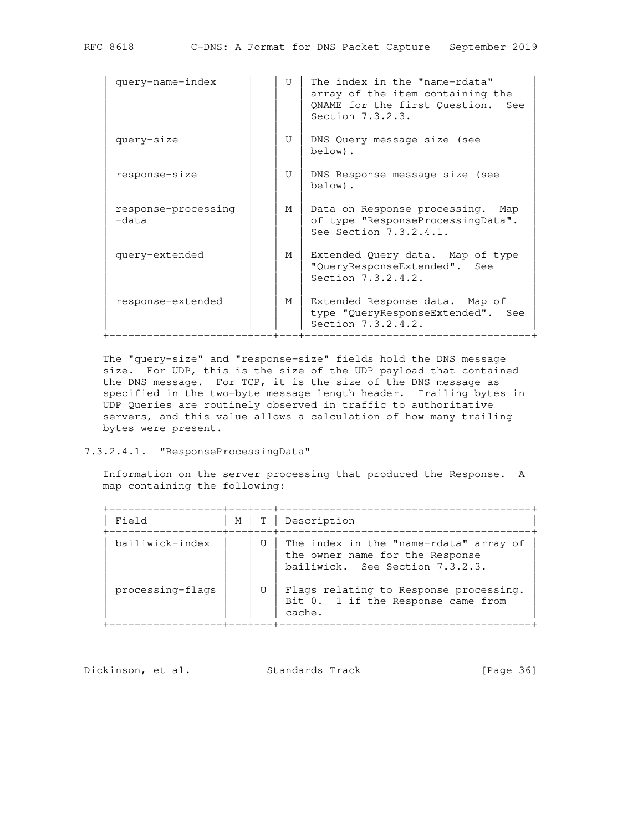| query-name-index             | $\mathbf{I}$ | The index in the "name-rdata"<br>array of the item containing the<br>QNAME for the first Question.<br>See<br>Section $7.3.2.3.$ |
|------------------------------|--------------|---------------------------------------------------------------------------------------------------------------------------------|
| query-size                   | U            | DNS Query message size (see<br>below).                                                                                          |
| response-size                | U            | DNS Response message size (see<br>below).                                                                                       |
| response-processing<br>-data | М            | Data on Response processing. Map<br>of type "ResponseProcessingData".<br>See Section 7.3.2.4.1.                                 |
| query-extended               | М            | Extended Query data. Map of type<br>"QueryResponseExtended". See<br>Section 7.3.2.4.2.                                          |
| response-extended            | М            | Extended Response data. Map of<br>type "QueryResponseExtended". See<br>Section 7.3.2.4.2.                                       |

 The "query-size" and "response-size" fields hold the DNS message size. For UDP, this is the size of the UDP payload that contained the DNS message. For TCP, it is the size of the DNS message as specified in the two-byte message length header. Trailing bytes in UDP Queries are routinely observed in traffic to authoritative servers, and this value allows a calculation of how many trailing bytes were present.

#### 7.3.2.4.1. "ResponseProcessingData"

 Information on the server processing that produced the Response. A map containing the following:

| Field            | M |   | Description                                                                                                  |
|------------------|---|---|--------------------------------------------------------------------------------------------------------------|
| bailiwick-index  |   | U | The index in the "name-rdata" array of<br>the owner name for the Response<br>bailiwick. See Section 7.3.2.3. |
| processing-flags |   |   | Flags relating to Response processing.<br>Bit 0. 1 if the Response came from<br>cache.                       |

Dickinson, et al. Standards Track [Page 36]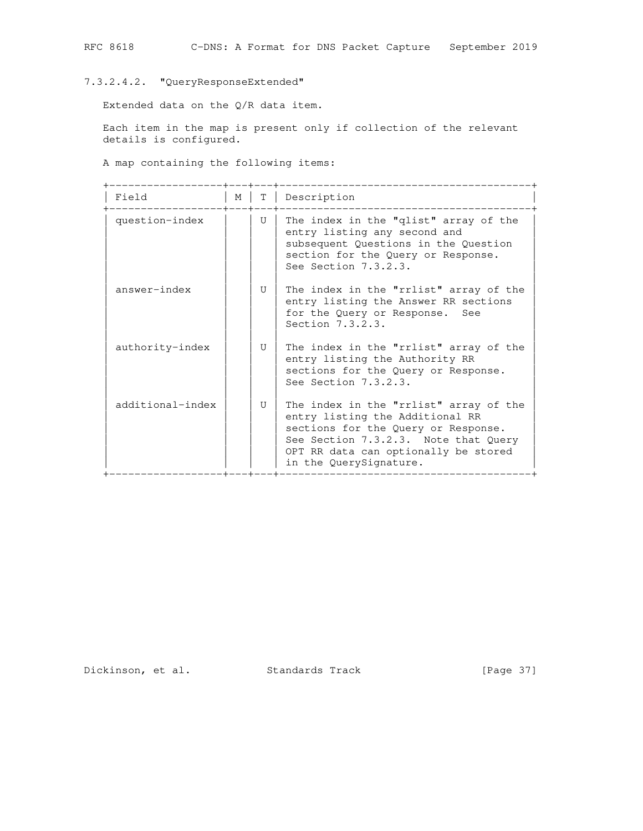# 7.3.2.4.2. "QueryResponseExtended"

Extended data on the Q/R data item.

 Each item in the map is present only if collection of the relevant details is configured.

A map containing the following items:

| Field            | М | T            | Description                                                                                                                                                                                                                |
|------------------|---|--------------|----------------------------------------------------------------------------------------------------------------------------------------------------------------------------------------------------------------------------|
| question-index   |   | U            | The index in the "qlist" array of the<br>entry listing any second and<br>subsequent Questions in the Question<br>section for the Query or Response.<br>See Section 7.3.2.3.                                                |
| answer-index     |   | U            | The index in the "rrlist" array of the<br>entry listing the Answer RR sections<br>for the Query or Response. See<br>Section 7.3.2.3.                                                                                       |
| authority-index  |   | U            | The index in the "rrlist" array of the<br>entry listing the Authority RR<br>sections for the Query or Response.<br>See Section $7.3.2.3.$                                                                                  |
| additional-index |   | $\mathbf{U}$ | The index in the "rrlist" array of the<br>entry listing the Additional RR<br>sections for the Query or Response.<br>See Section 7.3.2.3. Note that Query<br>OPT RR data can optionally be stored<br>in the QuerySignature. |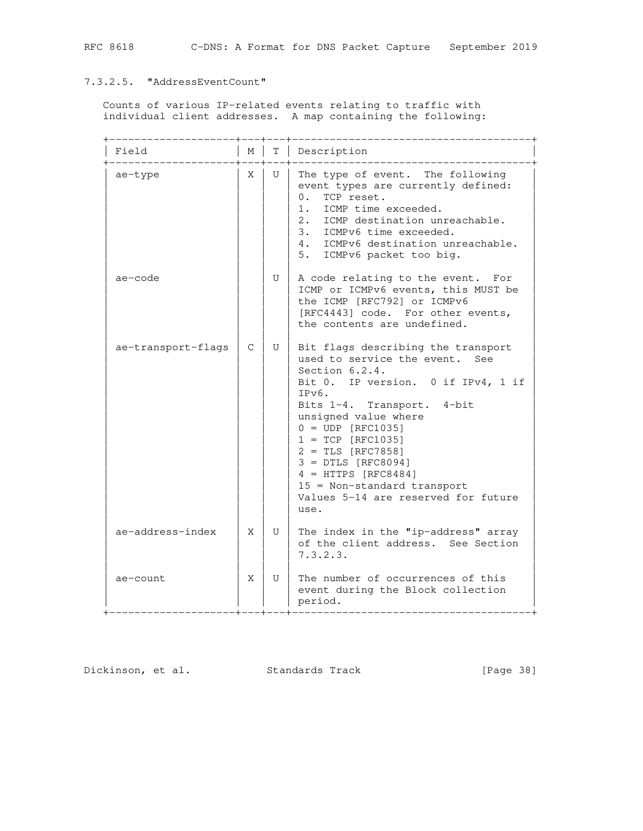# 7.3.2.5. "AddressEventCount"

 Counts of various IP-related events relating to traffic with individual client addresses. A map containing the following:

| Field              | М | Τ            | Description                                                                                                                                                                                                                                                                                                                                                                                         |
|--------------------|---|--------------|-----------------------------------------------------------------------------------------------------------------------------------------------------------------------------------------------------------------------------------------------------------------------------------------------------------------------------------------------------------------------------------------------------|
| ae-type            | X | U            | The type of event. The following<br>event types are currently defined:<br>$\Omega$ .<br>TCP reset.<br>1. ICMP time exceeded.<br>2. ICMP destination unreachable.<br>3. ICMPv6 time exceeded.<br>4. ICMPv6 destination unreachable.<br>5. ICMPv6 packet too big.                                                                                                                                     |
| ae-code            |   | U            | A code relating to the event.<br>For<br>ICMP or ICMPv6 events, this MUST be<br>the ICMP [RFC792] or ICMPv6<br>[RFC4443] code. For other events,<br>the contents are undefined.                                                                                                                                                                                                                      |
| ae-transport-flags | C | $\mathbf{U}$ | Bit flags describing the transport<br>used to service the event. See<br>Section $6.2.4.$<br>Bit 0. IP version. 0 if IPv4, 1 if<br>IPv6.<br>Bits 1-4. Transport. 4-bit<br>unsigned value where<br>$0 = UDP [RFC1035]$<br>$1 = TCP [RFC1035]$<br>$2 = TLS [RFC7858]$<br>$3 = DTLS [RFC8094]$<br>$4 = HTTPS [RFC8484]$<br>$15$ = Non-standard transport<br>Values 5-14 are reserved for future<br>use. |
| ae-address-index   | X | U            | The index in the "ip-address" array<br>of the client address. See Section<br>7.3.2.3.                                                                                                                                                                                                                                                                                                               |
| ae-count           | X | U            | The number of occurrences of this<br>event during the Block collection<br>period.                                                                                                                                                                                                                                                                                                                   |

Dickinson, et al. Standards Track [Page 38]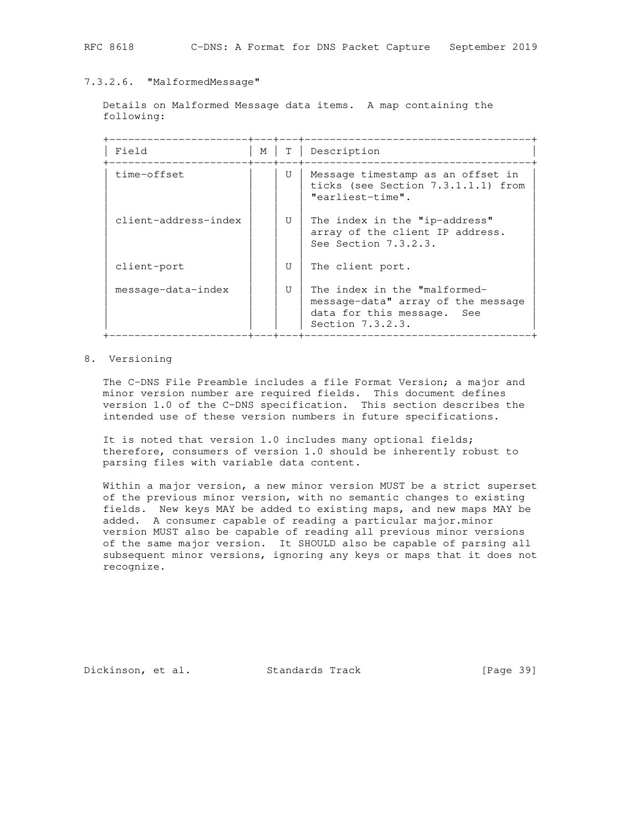## 7.3.2.6. "MalformedMessage"

 Details on Malformed Message data items. A map containing the following:

| Field                | М | T            | Description                                                                                                          |
|----------------------|---|--------------|----------------------------------------------------------------------------------------------------------------------|
| time-offset          |   | U            | Message timestamp as an offset in<br>ticks (see Section 7.3.1.1.1) from<br>"earliest-time".                          |
| client-address-index |   | U            | The index in the "ip-address"<br>array of the client IP address.<br>See Section 7.3.2.3.                             |
| client-port          |   | $\mathbf{U}$ | The client port.                                                                                                     |
| message-data-index   |   | $\mathbf{U}$ | The index in the "malformed-<br>message-data" array of the message<br>data for this message. See<br>Section 7.3.2.3. |

## 8. Versioning

 The C-DNS File Preamble includes a file Format Version; a major and minor version number are required fields. This document defines version 1.0 of the C-DNS specification. This section describes the intended use of these version numbers in future specifications.

 It is noted that version 1.0 includes many optional fields; therefore, consumers of version 1.0 should be inherently robust to parsing files with variable data content.

 Within a major version, a new minor version MUST be a strict superset of the previous minor version, with no semantic changes to existing fields. New keys MAY be added to existing maps, and new maps MAY be added. A consumer capable of reading a particular major.minor version MUST also be capable of reading all previous minor versions of the same major version. It SHOULD also be capable of parsing all subsequent minor versions, ignoring any keys or maps that it does not recognize.

Dickinson, et al. Standards Track [Page 39]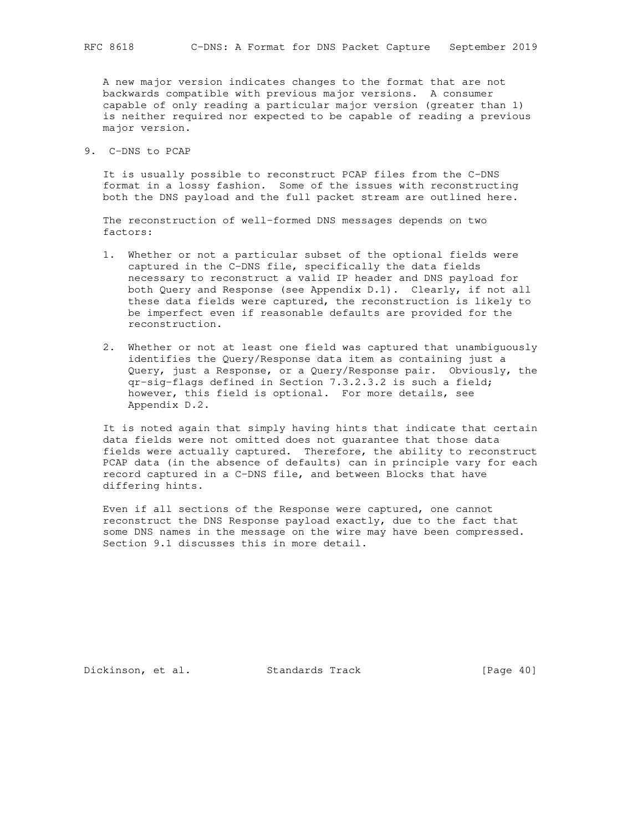A new major version indicates changes to the format that are not backwards compatible with previous major versions. A consumer capable of only reading a particular major version (greater than 1) is neither required nor expected to be capable of reading a previous major version.

9. C-DNS to PCAP

 It is usually possible to reconstruct PCAP files from the C-DNS format in a lossy fashion. Some of the issues with reconstructing both the DNS payload and the full packet stream are outlined here.

 The reconstruction of well-formed DNS messages depends on two factors:

- 1. Whether or not a particular subset of the optional fields were captured in the C-DNS file, specifically the data fields necessary to reconstruct a valid IP header and DNS payload for both Query and Response (see Appendix D.1). Clearly, if not all these data fields were captured, the reconstruction is likely to be imperfect even if reasonable defaults are provided for the reconstruction.
- 2. Whether or not at least one field was captured that unambiguously identifies the Query/Response data item as containing just a Query, just a Response, or a Query/Response pair. Obviously, the qr-sig-flags defined in Section 7.3.2.3.2 is such a field; however, this field is optional. For more details, see Appendix D.2.

 It is noted again that simply having hints that indicate that certain data fields were not omitted does not guarantee that those data fields were actually captured. Therefore, the ability to reconstruct PCAP data (in the absence of defaults) can in principle vary for each record captured in a C-DNS file, and between Blocks that have differing hints.

 Even if all sections of the Response were captured, one cannot reconstruct the DNS Response payload exactly, due to the fact that some DNS names in the message on the wire may have been compressed. Section 9.1 discusses this in more detail.

Dickinson, et al. Standards Track [Page 40]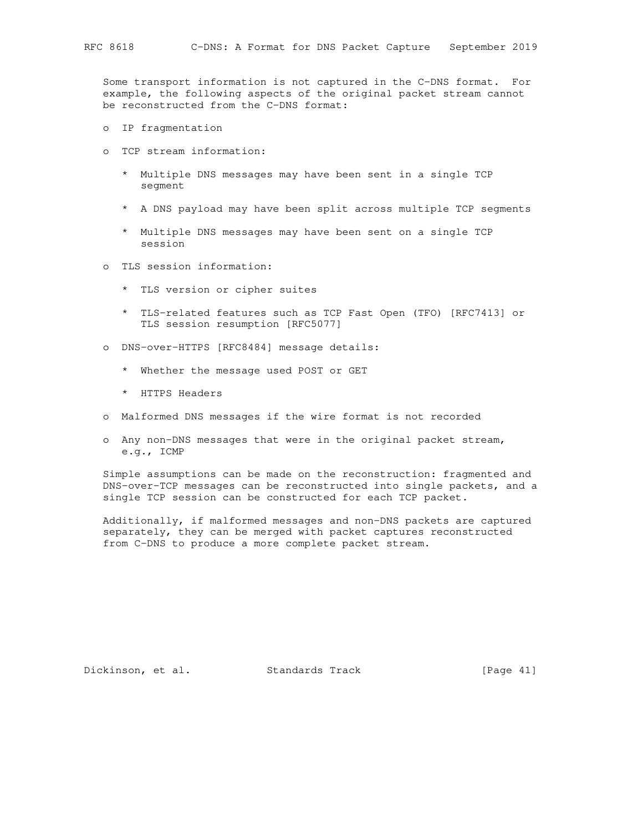Some transport information is not captured in the C-DNS format. For example, the following aspects of the original packet stream cannot be reconstructed from the C-DNS format:

- o IP fragmentation
- o TCP stream information:
	- \* Multiple DNS messages may have been sent in a single TCP segment
	- \* A DNS payload may have been split across multiple TCP segments
	- \* Multiple DNS messages may have been sent on a single TCP session
- o TLS session information:
	- \* TLS version or cipher suites
	- \* TLS-related features such as TCP Fast Open (TFO) [RFC7413] or TLS session resumption [RFC5077]
- o DNS-over-HTTPS [RFC8484] message details:
	- \* Whether the message used POST or GET
	- \* HTTPS Headers
- o Malformed DNS messages if the wire format is not recorded
- o Any non-DNS messages that were in the original packet stream, e.g., ICMP

 Simple assumptions can be made on the reconstruction: fragmented and DNS-over-TCP messages can be reconstructed into single packets, and a single TCP session can be constructed for each TCP packet.

 Additionally, if malformed messages and non-DNS packets are captured separately, they can be merged with packet captures reconstructed from C-DNS to produce a more complete packet stream.

Dickinson, et al. Standards Track [Page 41]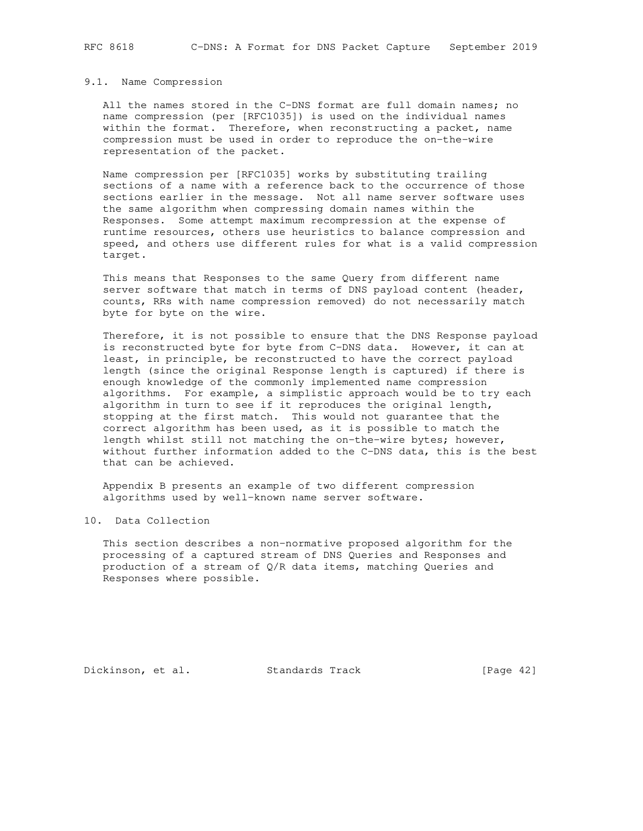#### 9.1. Name Compression

 All the names stored in the C-DNS format are full domain names; no name compression (per [RFC1035]) is used on the individual names within the format. Therefore, when reconstructing a packet, name compression must be used in order to reproduce the on-the-wire representation of the packet.

 Name compression per [RFC1035] works by substituting trailing sections of a name with a reference back to the occurrence of those sections earlier in the message. Not all name server software uses the same algorithm when compressing domain names within the Responses. Some attempt maximum recompression at the expense of runtime resources, others use heuristics to balance compression and speed, and others use different rules for what is a valid compression target.

 This means that Responses to the same Query from different name server software that match in terms of DNS payload content (header, counts, RRs with name compression removed) do not necessarily match byte for byte on the wire.

 Therefore, it is not possible to ensure that the DNS Response payload is reconstructed byte for byte from C-DNS data. However, it can at least, in principle, be reconstructed to have the correct payload length (since the original Response length is captured) if there is enough knowledge of the commonly implemented name compression algorithms. For example, a simplistic approach would be to try each algorithm in turn to see if it reproduces the original length, stopping at the first match. This would not guarantee that the correct algorithm has been used, as it is possible to match the length whilst still not matching the on-the-wire bytes; however, without further information added to the C-DNS data, this is the best that can be achieved.

 Appendix B presents an example of two different compression algorithms used by well-known name server software.

## 10. Data Collection

 This section describes a non-normative proposed algorithm for the processing of a captured stream of DNS Queries and Responses and production of a stream of Q/R data items, matching Queries and Responses where possible.

Dickinson, et al. Standards Track [Page 42]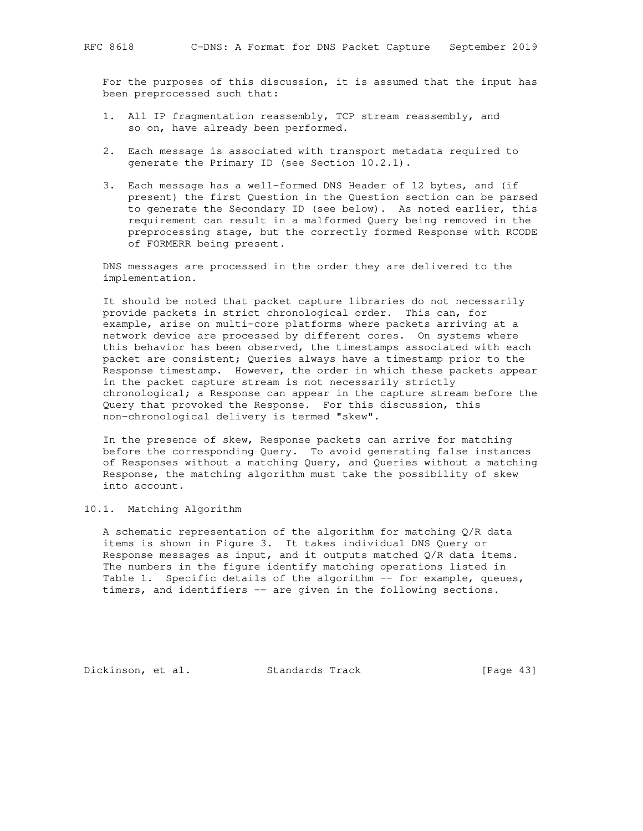For the purposes of this discussion, it is assumed that the input has been preprocessed such that:

- 1. All IP fragmentation reassembly, TCP stream reassembly, and so on, have already been performed.
- 2. Each message is associated with transport metadata required to generate the Primary ID (see Section 10.2.1).
- 3. Each message has a well-formed DNS Header of 12 bytes, and (if present) the first Question in the Question section can be parsed to generate the Secondary ID (see below). As noted earlier, this requirement can result in a malformed Query being removed in the preprocessing stage, but the correctly formed Response with RCODE of FORMERR being present.

 DNS messages are processed in the order they are delivered to the implementation.

 It should be noted that packet capture libraries do not necessarily provide packets in strict chronological order. This can, for example, arise on multi-core platforms where packets arriving at a network device are processed by different cores. On systems where this behavior has been observed, the timestamps associated with each packet are consistent; Queries always have a timestamp prior to the Response timestamp. However, the order in which these packets appear in the packet capture stream is not necessarily strictly chronological; a Response can appear in the capture stream before the Query that provoked the Response. For this discussion, this non-chronological delivery is termed "skew".

 In the presence of skew, Response packets can arrive for matching before the corresponding Query. To avoid generating false instances of Responses without a matching Query, and Queries without a matching Response, the matching algorithm must take the possibility of skew into account.

## 10.1. Matching Algorithm

 A schematic representation of the algorithm for matching Q/R data items is shown in Figure 3. It takes individual DNS Query or Response messages as input, and it outputs matched  $Q/R$  data items. The numbers in the figure identify matching operations listed in Table 1. Specific details of the algorithm -- for example, queues, timers, and identifiers -- are given in the following sections.

Dickinson, et al. Standards Track [Page 43]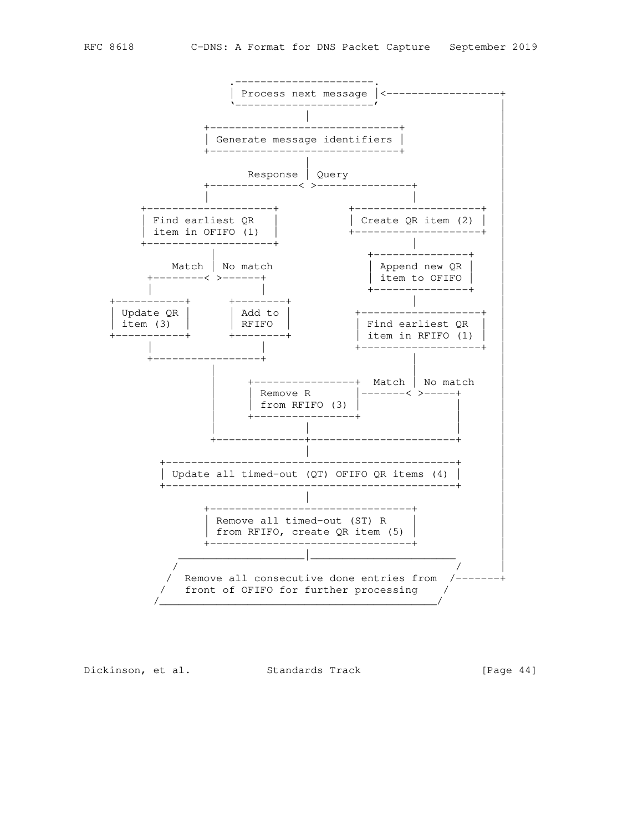

Dickinson, et al. Standards Track [Page 44]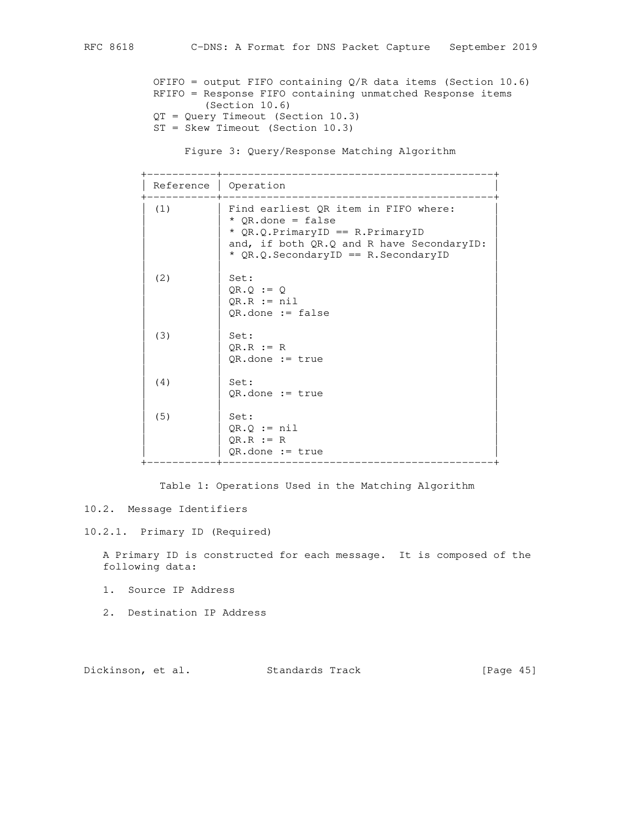```
 OFIFO = output FIFO containing Q/R data items (Section 10.6)
 RFIFO = Response FIFO containing unmatched Response items
```

```
 (Section 10.6)
 QT = Query Timeout (Section 10.3)
```

```
 ST = Skew Timeout (Section 10.3)
```
Figure 3: Query/Response Matching Algorithm

| Reference   Operation |                                                                                                                                                                                     |
|-----------------------|-------------------------------------------------------------------------------------------------------------------------------------------------------------------------------------|
| (1)                   | Find earliest QR item in FIFO where:<br>* $OR.dot = false$<br>* $QR.Q.PrimaryID == R.PrimaryID$<br>and, if both QR.Q and R have SecondaryID:<br>* QR.Q.SecondaryID == R.SecondaryID |
| (2)                   | Set:<br>$QR.Q := Q$<br>$QR.R := nil$<br>$QR.done := false$                                                                                                                          |
| (3)                   | Set:<br>$OR.R := R$<br>$QR.done := true$                                                                                                                                            |
| (4)                   | Set:<br>$OR.done := true$                                                                                                                                                           |
| (5)                   | Set:<br>$QR.Q := nil$<br>$QR.R := R$<br>$QR.done := true$                                                                                                                           |

Table 1: Operations Used in the Matching Algorithm

# 10.2. Message Identifiers

## 10.2.1. Primary ID (Required)

 A Primary ID is constructed for each message. It is composed of the following data:

- 1. Source IP Address
- 2. Destination IP Address

Dickinson, et al. Standards Track [Page 45]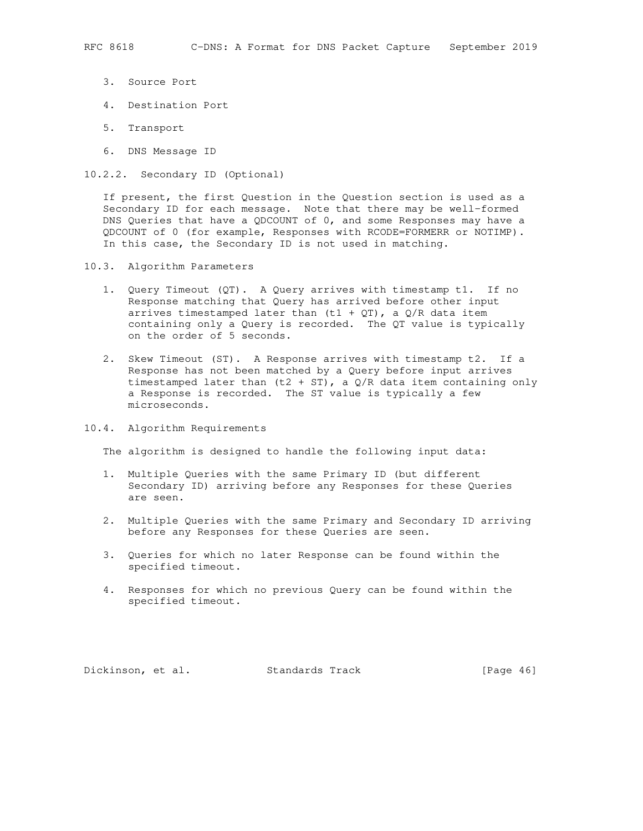- - 3. Source Port
	- 4. Destination Port
	- 5. Transport
	- 6. DNS Message ID
- 10.2.2. Secondary ID (Optional)

 If present, the first Question in the Question section is used as a Secondary ID for each message. Note that there may be well-formed DNS Queries that have a QDCOUNT of 0, and some Responses may have a QDCOUNT of 0 (for example, Responses with RCODE=FORMERR or NOTIMP). In this case, the Secondary ID is not used in matching.

- 10.3. Algorithm Parameters
	- 1. Query Timeout (QT). A Query arrives with timestamp t1. If no Response matching that Query has arrived before other input arrives timestamped later than  $(t1 + QT)$ , a  $Q/R$  data item containing only a Query is recorded. The QT value is typically on the order of 5 seconds.
	- 2. Skew Timeout (ST). A Response arrives with timestamp t2. If a Response has not been matched by a Query before input arrives timestamped later than  $(t2 + ST)$ , a  $Q/R$  data item containing only a Response is recorded. The ST value is typically a few microseconds.
- 10.4. Algorithm Requirements

The algorithm is designed to handle the following input data:

- 1. Multiple Queries with the same Primary ID (but different Secondary ID) arriving before any Responses for these Queries are seen.
- 2. Multiple Queries with the same Primary and Secondary ID arriving before any Responses for these Queries are seen.
- 3. Queries for which no later Response can be found within the specified timeout.
- 4. Responses for which no previous Query can be found within the specified timeout.

Dickinson, et al. Standards Track [Page 46]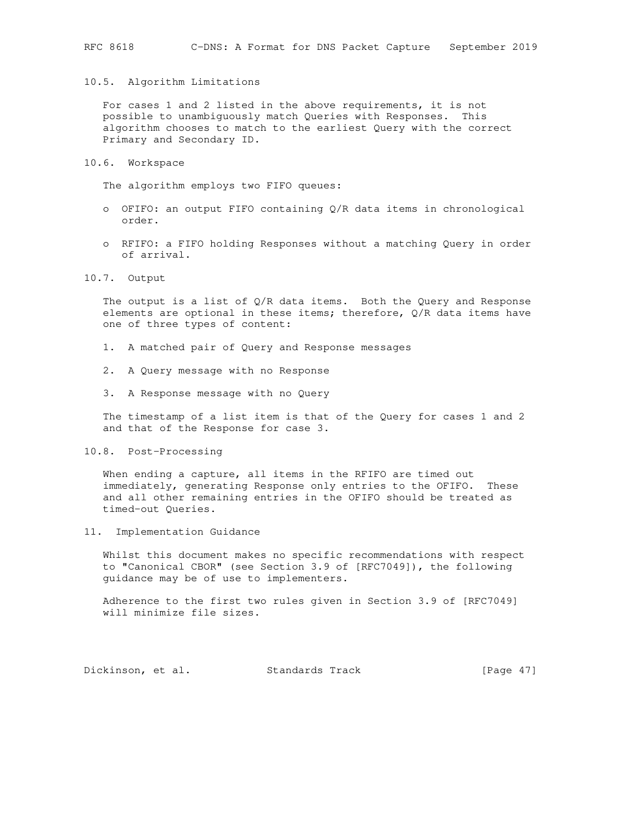#### 10.5. Algorithm Limitations

 For cases 1 and 2 listed in the above requirements, it is not possible to unambiguously match Queries with Responses. This algorithm chooses to match to the earliest Query with the correct Primary and Secondary ID.

10.6. Workspace

The algorithm employs two FIFO queues:

- o OFIFO: an output FIFO containing Q/R data items in chronological order.
- o RFIFO: a FIFO holding Responses without a matching Query in order of arrival.
- 10.7. Output

The output is a list of  $Q/R$  data items. Both the Query and Response elements are optional in these items; therefore, Q/R data items have one of three types of content:

- 1. A matched pair of Query and Response messages
- 2. A Query message with no Response
- 3. A Response message with no Query

 The timestamp of a list item is that of the Query for cases 1 and 2 and that of the Response for case 3.

10.8. Post-Processing

When ending a capture, all items in the RFIFO are timed out immediately, generating Response only entries to the OFIFO. These and all other remaining entries in the OFIFO should be treated as timed-out Queries.

11. Implementation Guidance

 Whilst this document makes no specific recommendations with respect to "Canonical CBOR" (see Section 3.9 of [RFC7049]), the following guidance may be of use to implementers.

 Adherence to the first two rules given in Section 3.9 of [RFC7049] will minimize file sizes.

Dickinson, et al. Standards Track [Page 47]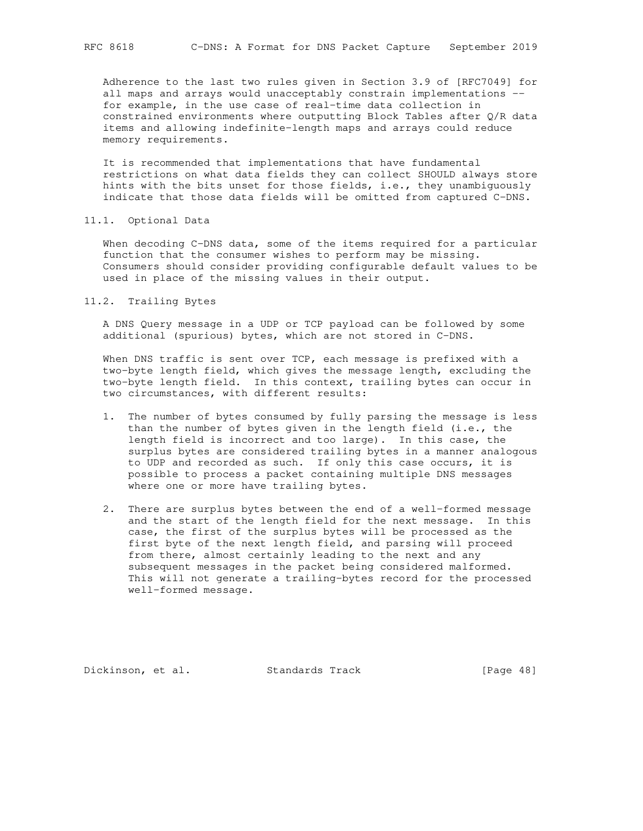Adherence to the last two rules given in Section 3.9 of [RFC7049] for all maps and arrays would unacceptably constrain implementations - for example, in the use case of real-time data collection in constrained environments where outputting Block Tables after Q/R data items and allowing indefinite-length maps and arrays could reduce memory requirements.

 It is recommended that implementations that have fundamental restrictions on what data fields they can collect SHOULD always store hints with the bits unset for those fields, i.e., they unambiguously indicate that those data fields will be omitted from captured C-DNS.

11.1. Optional Data

When decoding C-DNS data, some of the items required for a particular function that the consumer wishes to perform may be missing. Consumers should consider providing configurable default values to be used in place of the missing values in their output.

11.2. Trailing Bytes

 A DNS Query message in a UDP or TCP payload can be followed by some additional (spurious) bytes, which are not stored in C-DNS.

 When DNS traffic is sent over TCP, each message is prefixed with a two-byte length field, which gives the message length, excluding the two-byte length field. In this context, trailing bytes can occur in two circumstances, with different results:

- 1. The number of bytes consumed by fully parsing the message is less than the number of bytes given in the length field (i.e., the length field is incorrect and too large). In this case, the surplus bytes are considered trailing bytes in a manner analogous to UDP and recorded as such. If only this case occurs, it is possible to process a packet containing multiple DNS messages where one or more have trailing bytes.
- 2. There are surplus bytes between the end of a well-formed message and the start of the length field for the next message. In this case, the first of the surplus bytes will be processed as the first byte of the next length field, and parsing will proceed from there, almost certainly leading to the next and any subsequent messages in the packet being considered malformed. This will not generate a trailing-bytes record for the processed well-formed message.

Dickinson, et al. Standards Track [Page 48]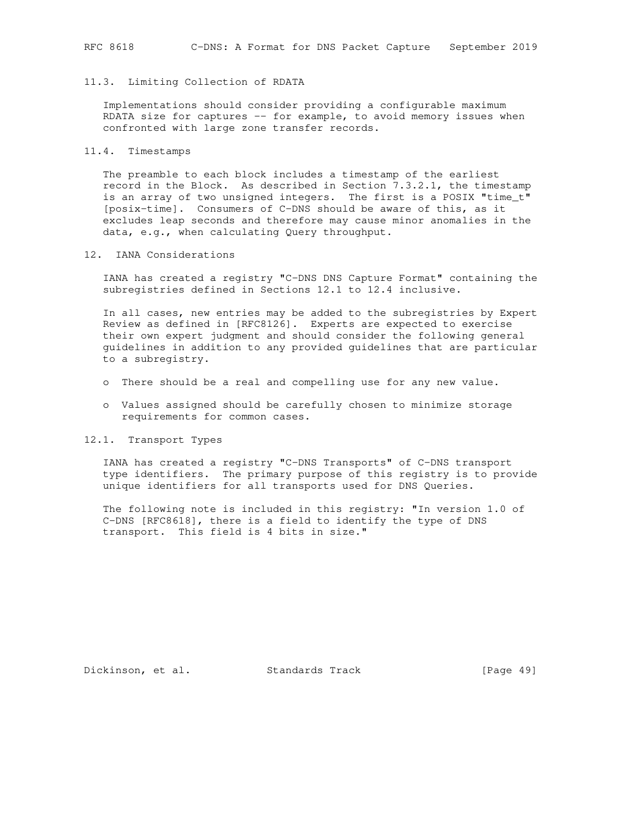## 11.3. Limiting Collection of RDATA

 Implementations should consider providing a configurable maximum RDATA size for captures -- for example, to avoid memory issues when confronted with large zone transfer records.

### 11.4. Timestamps

 The preamble to each block includes a timestamp of the earliest record in the Block. As described in Section 7.3.2.1, the timestamp is an array of two unsigned integers. The first is a POSIX "time\_t" [posix-time]. Consumers of C-DNS should be aware of this, as it excludes leap seconds and therefore may cause minor anomalies in the data, e.g., when calculating Query throughput.

### 12. IANA Considerations

 IANA has created a registry "C-DNS DNS Capture Format" containing the subregistries defined in Sections 12.1 to 12.4 inclusive.

 In all cases, new entries may be added to the subregistries by Expert Review as defined in [RFC8126]. Experts are expected to exercise their own expert judgment and should consider the following general guidelines in addition to any provided guidelines that are particular to a subregistry.

- o There should be a real and compelling use for any new value.
- o Values assigned should be carefully chosen to minimize storage requirements for common cases.

### 12.1. Transport Types

 IANA has created a registry "C-DNS Transports" of C-DNS transport type identifiers. The primary purpose of this registry is to provide unique identifiers for all transports used for DNS Queries.

 The following note is included in this registry: "In version 1.0 of C-DNS [RFC8618], there is a field to identify the type of DNS transport. This field is 4 bits in size."

Dickinson, et al. Standards Track [Page 49]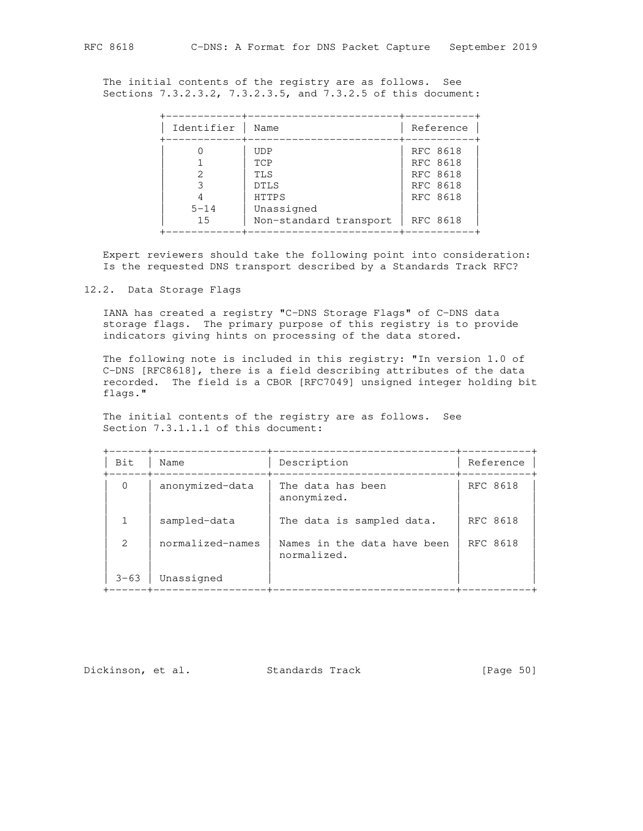The initial contents of the registry are as follows. See Sections 7.3.2.3.2, 7.3.2.3.5, and 7.3.2.5 of this document:

| Identifier     | Name                                                                                     | Reference                                                            |
|----------------|------------------------------------------------------------------------------------------|----------------------------------------------------------------------|
| $5 - 14$<br>15 | <b>UDP</b><br>TCP<br>TLS<br><b>DTLS</b><br>HTTPS<br>Unassigned<br>Non-standard transport | RFC 8618<br>RFC 8618<br>RFC 8618<br>RFC 8618<br>RFC 8618<br>RFC 8618 |

 Expert reviewers should take the following point into consideration: Is the requested DNS transport described by a Standards Track RFC?

12.2. Data Storage Flags

 IANA has created a registry "C-DNS Storage Flags" of C-DNS data storage flags. The primary purpose of this registry is to provide indicators giving hints on processing of the data stored.

 The following note is included in this registry: "In version 1.0 of C-DNS [RFC8618], there is a field describing attributes of the data recorded. The field is a CBOR [RFC7049] unsigned integer holding bit flags."

 The initial contents of the registry are as follows. See Section 7.3.1.1.1 of this document:

| Bit           | Name             | Description                                | Reference |
|---------------|------------------|--------------------------------------------|-----------|
| $\Omega$      | anonymized-data  | The data has been<br>anonymized.           | RFC 8618  |
| 1             | sampled-data     | The data is sampled data.                  | RFC 8618  |
| $\mathcal{L}$ | normalized-names | Names in the data have been<br>normalized. | RFC 8618  |
| $3 - 63$      | Unassigned       |                                            |           |

Dickinson, et al. Standards Track [Page 50]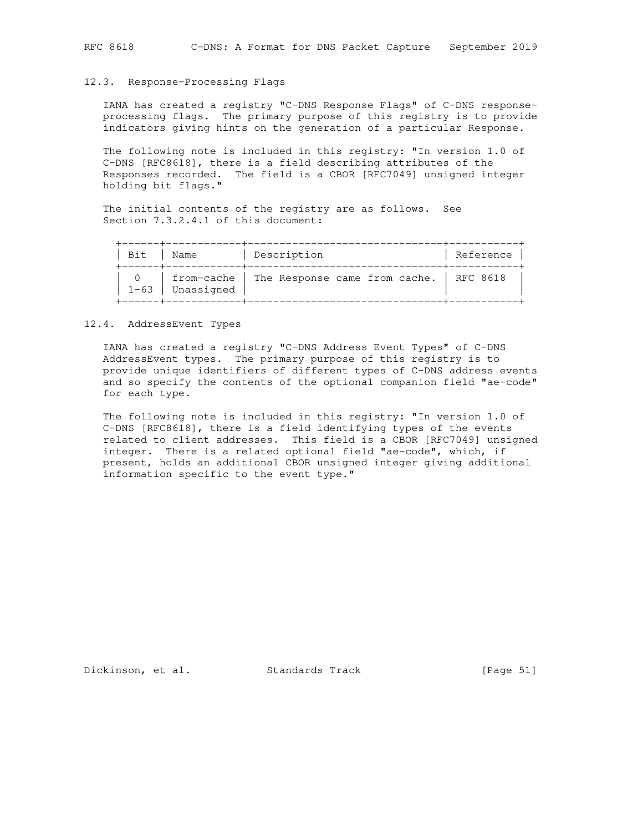#### 12.3. Response-Processing Flags

 IANA has created a registry "C-DNS Response Flags" of C-DNS response processing flags. The primary purpose of this registry is to provide indicators giving hints on the generation of a particular Response.

 The following note is included in this registry: "In version 1.0 of C-DNS [RFC8618], there is a field describing attributes of the Responses recorded. The field is a CBOR [RFC7049] unsigned integer holding bit flags."

 The initial contents of the registry are as follows. See Section 7.3.2.4.1 of this document:

| Bit.     | Name       | Description                                           | Reference |
|----------|------------|-------------------------------------------------------|-----------|
| $1 - 63$ | Unassigned | from-cache   The Response came from cache.   RFC 8618 |           |

#### 12.4. AddressEvent Types

 IANA has created a registry "C-DNS Address Event Types" of C-DNS AddressEvent types. The primary purpose of this registry is to provide unique identifiers of different types of C-DNS address events and so specify the contents of the optional companion field "ae-code" for each type.

 The following note is included in this registry: "In version 1.0 of C-DNS [RFC8618], there is a field identifying types of the events related to client addresses. This field is a CBOR [RFC7049] unsigned integer. There is a related optional field "ae-code", which, if present, holds an additional CBOR unsigned integer giving additional information specific to the event type."

Dickinson, et al. Standards Track [Page 51]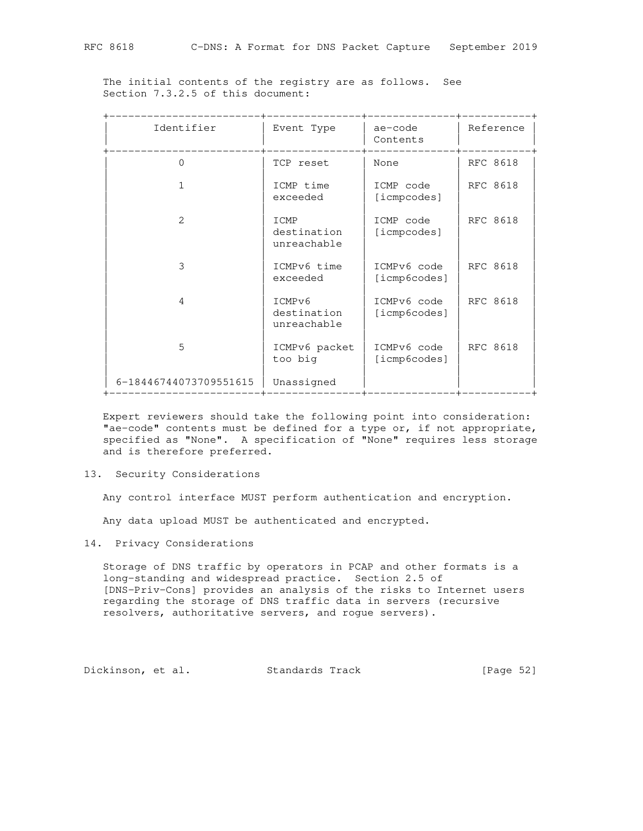The initial contents of the registry are as follows. See Section 7.3.2.5 of this document:

| Identifier             | Event Type                           | ae-code<br>Contents         | Reference |
|------------------------|--------------------------------------|-----------------------------|-----------|
| 0                      | TCP reset                            | None                        | RFC 8618  |
|                        | ICMP time<br>exceeded                | ICMP code<br>[icmpcodes]    | RFC 8618  |
| $\mathcal{L}$          | ICMP<br>destination<br>unreachable   | ICMP code<br>[icmpcodes]    | RFC 8618  |
| 3                      | ICMPv6 time<br>exceeded              | ICMPv6 code<br>[icmp6codes] | RFC 8618  |
| 4                      | ICMPv6<br>destination<br>unreachable | ICMPv6 code<br>[icmp6codes] | RFC 8618  |
| 5                      | ICMPv6 packet<br>too big             | ICMPv6 code<br>[icmp6codes] | RFC 8618  |
| 6-18446744073709551615 | Unassigned                           |                             |           |

 Expert reviewers should take the following point into consideration: "ae-code" contents must be defined for a type or, if not appropriate, specified as "None". A specification of "None" requires less storage and is therefore preferred.

13. Security Considerations

Any control interface MUST perform authentication and encryption.

Any data upload MUST be authenticated and encrypted.

14. Privacy Considerations

 Storage of DNS traffic by operators in PCAP and other formats is a long-standing and widespread practice. Section 2.5 of [DNS-Priv-Cons] provides an analysis of the risks to Internet users regarding the storage of DNS traffic data in servers (recursive resolvers, authoritative servers, and rogue servers).

Dickinson, et al. Standards Track [Page 52]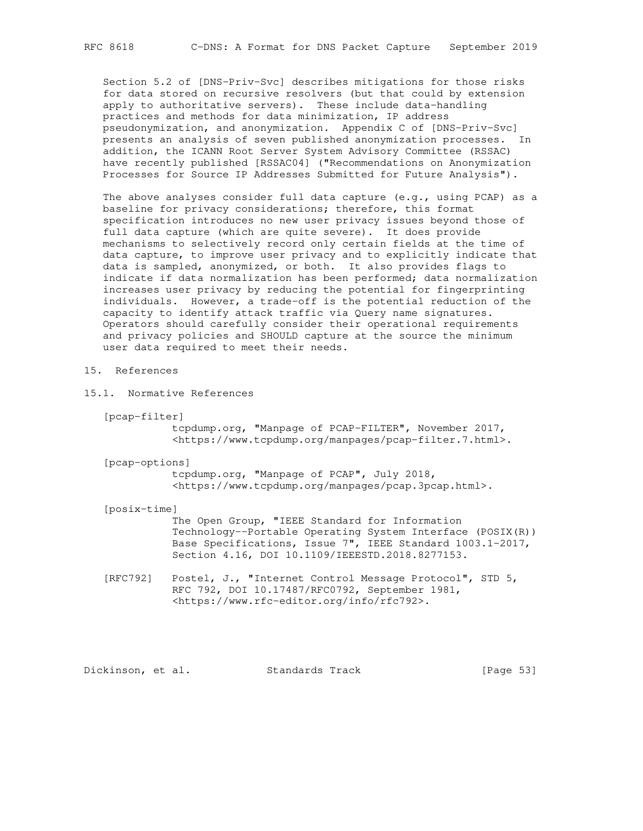Section 5.2 of [DNS-Priv-Svc] describes mitigations for those risks for data stored on recursive resolvers (but that could by extension apply to authoritative servers). These include data-handling practices and methods for data minimization, IP address pseudonymization, and anonymization. Appendix C of [DNS-Priv-Svc] presents an analysis of seven published anonymization processes. In addition, the ICANN Root Server System Advisory Committee (RSSAC) have recently published [RSSAC04] ("Recommendations on Anonymization Processes for Source IP Addresses Submitted for Future Analysis").

 The above analyses consider full data capture (e.g., using PCAP) as a baseline for privacy considerations; therefore, this format specification introduces no new user privacy issues beyond those of full data capture (which are quite severe). It does provide mechanisms to selectively record only certain fields at the time of data capture, to improve user privacy and to explicitly indicate that data is sampled, anonymized, or both. It also provides flags to indicate if data normalization has been performed; data normalization increases user privacy by reducing the potential for fingerprinting individuals. However, a trade-off is the potential reduction of the capacity to identify attack traffic via Query name signatures. Operators should carefully consider their operational requirements and privacy policies and SHOULD capture at the source the minimum user data required to meet their needs.

## 15. References

- 15.1. Normative References
	- [pcap-filter]

 tcpdump.org, "Manpage of PCAP-FILTER", November 2017, <https://www.tcpdump.org/manpages/pcap-filter.7.html>.

[pcap-options]

 tcpdump.org, "Manpage of PCAP", July 2018, <https://www.tcpdump.org/manpages/pcap.3pcap.html>.

[posix-time]

 The Open Group, "IEEE Standard for Information Technology--Portable Operating System Interface (POSIX(R)) Base Specifications, Issue 7", IEEE Standard 1003.1-2017, Section 4.16, DOI 10.1109/IEEESTD.2018.8277153.

 [RFC792] Postel, J., "Internet Control Message Protocol", STD 5, RFC 792, DOI 10.17487/RFC0792, September 1981, <https://www.rfc-editor.org/info/rfc792>.

Dickinson, et al. Standards Track [Page 53]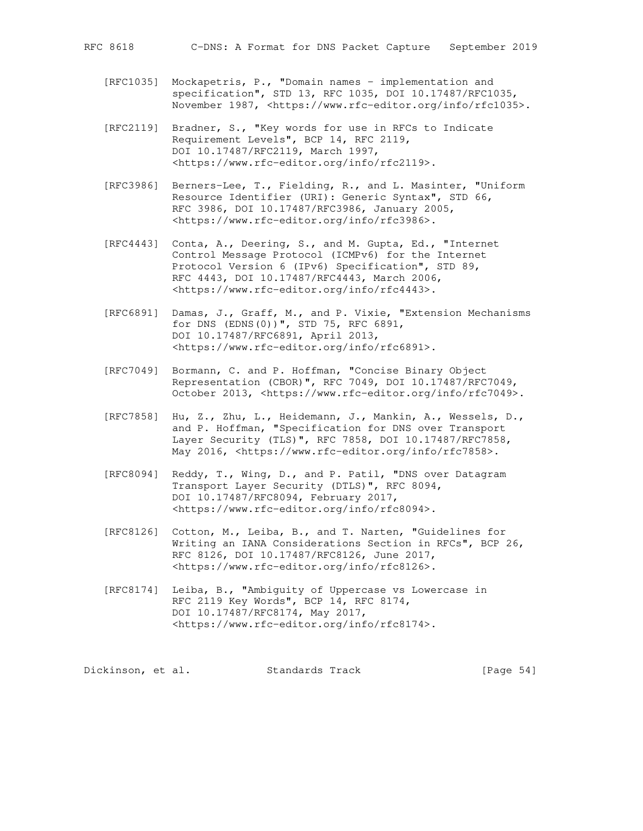- [RFC1035] Mockapetris, P., "Domain names implementation and specification", STD 13, RFC 1035, DOI 10.17487/RFC1035, November 1987, <https://www.rfc-editor.org/info/rfc1035>.
- [RFC2119] Bradner, S., "Key words for use in RFCs to Indicate Requirement Levels", BCP 14, RFC 2119, DOI 10.17487/RFC2119, March 1997, <https://www.rfc-editor.org/info/rfc2119>.
- [RFC3986] Berners-Lee, T., Fielding, R., and L. Masinter, "Uniform Resource Identifier (URI): Generic Syntax", STD 66, RFC 3986, DOI 10.17487/RFC3986, January 2005, <https://www.rfc-editor.org/info/rfc3986>.
- [RFC4443] Conta, A., Deering, S., and M. Gupta, Ed., "Internet Control Message Protocol (ICMPv6) for the Internet Protocol Version 6 (IPv6) Specification", STD 89, RFC 4443, DOI 10.17487/RFC4443, March 2006, <https://www.rfc-editor.org/info/rfc4443>.
- [RFC6891] Damas, J., Graff, M., and P. Vixie, "Extension Mechanisms for DNS (EDNS(0))", STD 75, RFC 6891, DOI 10.17487/RFC6891, April 2013, <https://www.rfc-editor.org/info/rfc6891>.
- [RFC7049] Bormann, C. and P. Hoffman, "Concise Binary Object Representation (CBOR)", RFC 7049, DOI 10.17487/RFC7049, October 2013, <https://www.rfc-editor.org/info/rfc7049>.
	- [RFC7858] Hu, Z., Zhu, L., Heidemann, J., Mankin, A., Wessels, D., and P. Hoffman, "Specification for DNS over Transport Layer Security (TLS)", RFC 7858, DOI 10.17487/RFC7858, May 2016, <https://www.rfc-editor.org/info/rfc7858>.
	- [RFC8094] Reddy, T., Wing, D., and P. Patil, "DNS over Datagram Transport Layer Security (DTLS)", RFC 8094, DOI 10.17487/RFC8094, February 2017, <https://www.rfc-editor.org/info/rfc8094>.
	- [RFC8126] Cotton, M., Leiba, B., and T. Narten, "Guidelines for Writing an IANA Considerations Section in RFCs", BCP 26, RFC 8126, DOI 10.17487/RFC8126, June 2017, <https://www.rfc-editor.org/info/rfc8126>.
	- [RFC8174] Leiba, B., "Ambiguity of Uppercase vs Lowercase in RFC 2119 Key Words", BCP 14, RFC 8174, DOI 10.17487/RFC8174, May 2017, <https://www.rfc-editor.org/info/rfc8174>.

Dickinson, et al. Standards Track [Page 54]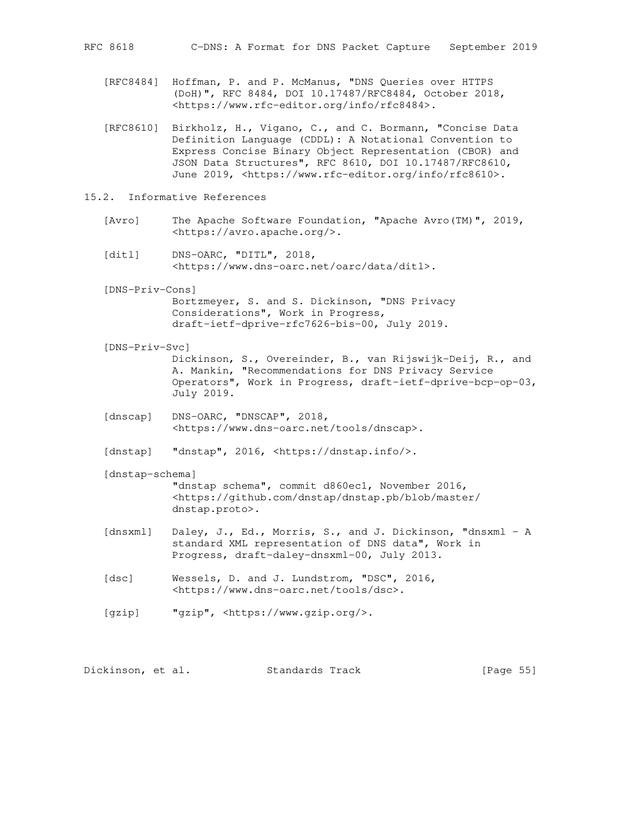- [RFC8484] Hoffman, P. and P. McManus, "DNS Queries over HTTPS (DoH)", RFC 8484, DOI 10.17487/RFC8484, October 2018, <https://www.rfc-editor.org/info/rfc8484>.
- [RFC8610] Birkholz, H., Vigano, C., and C. Bormann, "Concise Data Definition Language (CDDL): A Notational Convention to Express Concise Binary Object Representation (CBOR) and JSON Data Structures", RFC 8610, DOI 10.17487/RFC8610, June 2019, <https://www.rfc-editor.org/info/rfc8610>.
- 15.2. Informative References
	- [Avro] The Apache Software Foundation, "Apache Avro(TM)", 2019, <https://avro.apache.org/>.
	- [dit1] DNS-OARC, "DITL", 2018, <https://www.dns-oarc.net/oarc/data/ditl>.
	- [DNS-Priv-Cons]

 Bortzmeyer, S. and S. Dickinson, "DNS Privacy Considerations", Work in Progress, draft-ietf-dprive-rfc7626-bis-00, July 2019.

[DNS-Priv-Svc]

 Dickinson, S., Overeinder, B., van Rijswijk-Deij, R., and A. Mankin, "Recommendations for DNS Privacy Service Operators", Work in Progress, draft-ietf-dprive-bcp-op-03, July 2019.

 [dnscap] DNS-OARC, "DNSCAP", 2018, <https://www.dns-oarc.net/tools/dnscap>.

[dnstap] "dnstap", 2016, <https://dnstap.info/>.

[dnstap-schema]

 "dnstap schema", commit d860ec1, November 2016, <https://github.com/dnstap/dnstap.pb/blob/master/ dnstap.proto>.

- [dnsxml] Daley, J., Ed., Morris, S., and J. Dickinson, "dnsxml A standard XML representation of DNS data", Work in Progress, draft-daley-dnsxml-00, July 2013.
- [dsc] Wessels, D. and J. Lundstrom, "DSC", 2016, <https://www.dns-oarc.net/tools/dsc>.
- [gzip] "gzip", <https://www.gzip.org/>.

Dickinson, et al. Standards Track [Page 55]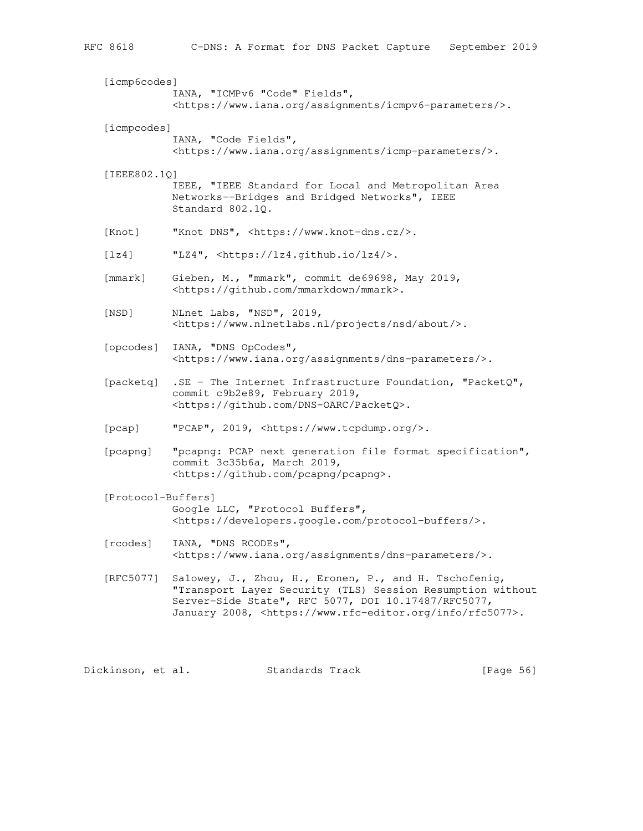| [icmp6codes]       |                                                                                                                                                                                                                                                         |
|--------------------|---------------------------------------------------------------------------------------------------------------------------------------------------------------------------------------------------------------------------------------------------------|
|                    | IANA, "ICMPv6 "Code" Fields",<br><https: assignments="" icmpv6-parameters="" www.iana.org=""></https:> .                                                                                                                                                |
| [icmpcodes]        | IANA, "Code Fields",<br><https: assignments="" icmp-parameters="" www.iana.org=""></https:> .                                                                                                                                                           |
| [IEEE802.1Q]       | IEEE, "IEEE Standard for Local and Metropolitan Area<br>Networks--Bridges and Bridged Networks", IEEE<br>Standard 802.10.                                                                                                                               |
| [Knot]             | "Knot DNS", <https: www.knot-dns.cz=""></https:> .                                                                                                                                                                                                      |
| [lx4]              | "LZ4", <https: lz4="" lz4.github.io=""></https:> .                                                                                                                                                                                                      |
| [mmark]            | Gieben, M., "mmark", commit de69698, May 2019,<br><https: github.com="" mmark="" mmarkdown="">.</https:>                                                                                                                                                |
| [NSD]              | NLnet Labs, "NSD", 2019,<br><https: about="" nsd="" projects="" www.nlnetlabs.nl=""></https:> .                                                                                                                                                         |
| [opcodes]          | IANA, "DNS OpCodes",<br><https: assignments="" dns-parameters="" www.iana.org=""></https:> .                                                                                                                                                            |
| [packetq]          | .SE - The Internet Infrastructure Foundation, "PacketQ",<br>commit c9b2e89, February 2019,<br><https: dns-oarc="" github.com="" packetq="">.</https:>                                                                                                   |
| [pcap]             | "PCAP", 2019, <https: www.tcpdump.org=""></https:> .                                                                                                                                                                                                    |
| [pcapng]           | "pcapng: PCAP next generation file format specification",<br>commit 3c35b6a, March 2019,<br><https: github.com="" pcapng="">.</https:>                                                                                                                  |
| [Protocol-Buffers] | Google LLC, "Protocol Buffers",<br><https: developers.google.com="" protocol-buffers=""></https:> .                                                                                                                                                     |
| [rcodes]           | "DNS RCODEs"<br>IANA,<br><https: assignments="" dns-parameters="" www.iana.org=""></https:> .                                                                                                                                                           |
| [RFC5077]          | Salowey, J., Zhou, H., Eronen, P., and H. Tschofenig,<br>"Transport Layer Security (TLS) Session Resumption without<br>Server-Side State", RFC 5077, DOI 10.17487/RFC5077,<br>January 2008, <https: info="" rfc5077="" www.rfc-editor.org="">.</https:> |
|                    |                                                                                                                                                                                                                                                         |

Dickinson, et al. Standards Track [Page 56]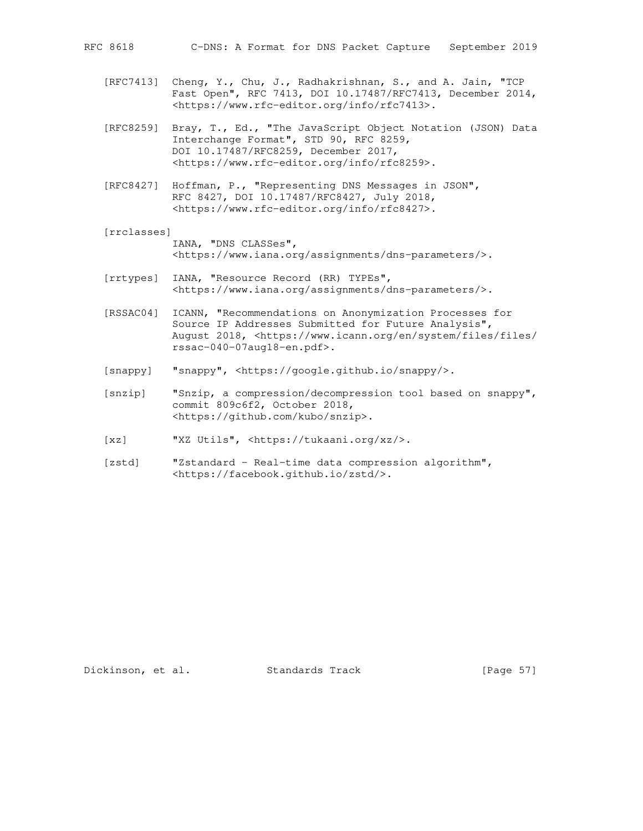- [RFC7413] Cheng, Y., Chu, J., Radhakrishnan, S., and A. Jain, "TCP Fast Open", RFC 7413, DOI 10.17487/RFC7413, December 2014, <https://www.rfc-editor.org/info/rfc7413>.
- [RFC8259] Bray, T., Ed., "The JavaScript Object Notation (JSON) Data Interchange Format", STD 90, RFC 8259, DOI 10.17487/RFC8259, December 2017, <https://www.rfc-editor.org/info/rfc8259>.
- [RFC8427] Hoffman, P., "Representing DNS Messages in JSON", RFC 8427, DOI 10.17487/RFC8427, July 2018, <https://www.rfc-editor.org/info/rfc8427>.
- [rrclasses] IANA, "DNS CLASSes", <https://www.iana.org/assignments/dns-parameters/>.
- [rrtypes] IANA, "Resource Record (RR) TYPEs", <https://www.iana.org/assignments/dns-parameters/>.
- [RSSAC04] ICANN, "Recommendations on Anonymization Processes for Source IP Addresses Submitted for Future Analysis", August 2018, <https://www.icann.org/en/system/files/files/ rssac-040-07aug18-en.pdf>.
- [snappy] "snappy", <https://google.github.io/snappy/>.
- [snzip] "Snzip, a compression/decompression tool based on snappy", commit 809c6f2, October 2018, <https://github.com/kubo/snzip>.
- [xz] "XZ Utils", <https://tukaani.org/xz/>.
- [zstd] "Zstandard Real-time data compression algorithm", <https://facebook.github.io/zstd/>.

Dickinson, et al. Standards Track [Page 57]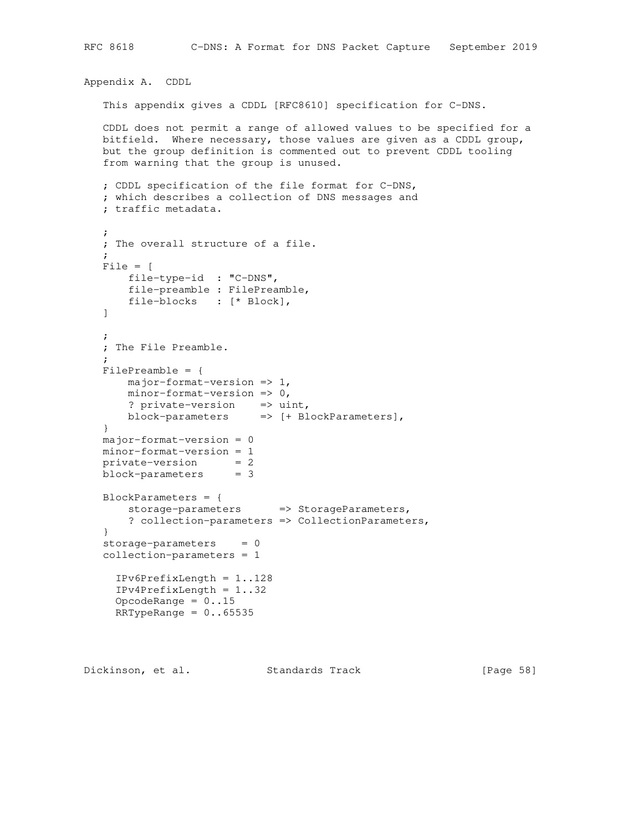```
Appendix A. CDDL
    This appendix gives a CDDL [RFC8610] specification for C-DNS.
    CDDL does not permit a range of allowed values to be specified for a
   bitfield. Where necessary, those values are given as a CDDL group,
   but the group definition is commented out to prevent CDDL tooling
    from warning that the group is unused.
    ; CDDL specification of the file format for C-DNS,
    ; which describes a collection of DNS messages and
    ; traffic metadata.
\mathcal{L} ; The overall structure of a file.
\mathcal{L} File = [
       file-type-id : "C-DNS",
       file-preamble : FilePreamble,
       file-blocks : [* Block],
   \mathbf{I}\mathcal{L} ; The File Preamble.
\mathcal{L} FilePreamble = {
      major-format-version => 1,
      minor-format-version => 0,
       ? private-version => uint,
       block-parameters => [+ BlockParameters],
    }
   major-format-version = 0
   minor-format-version = 1
  private-version = 2 block-parameters = 3
   BlockParameters = {
      storage-parameters => StorageParameters,
        ? collection-parameters => CollectionParameters,
    }
   storage-parameters = 0
    collection-parameters = 1
      IPv6PrefixLength = 1..128
      IPv4PrefixLength = 1..32
     OpcodeRange = 0..15RRTypeRange = 0.65535
```
Dickinson, et al. Standards Track [Page 58]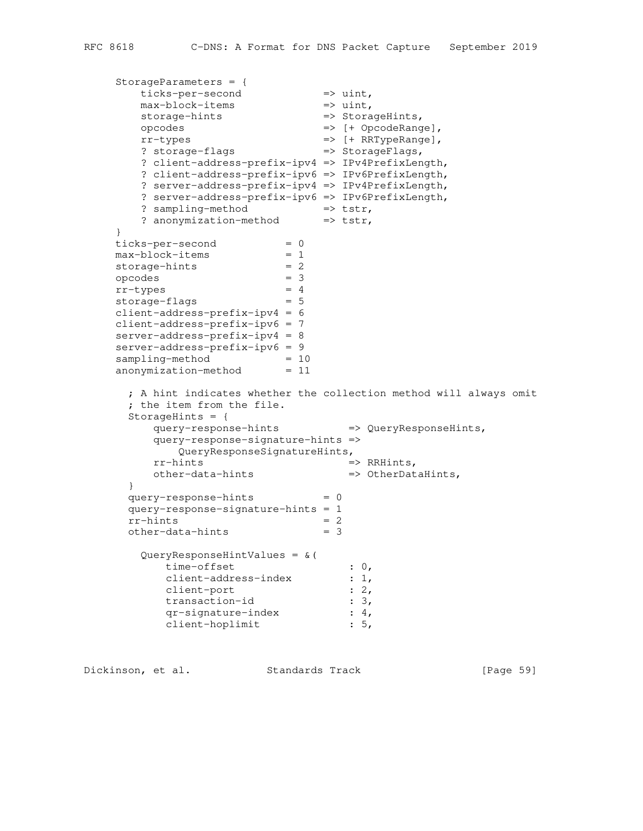```
 StorageParameters = {
ticks-per-second => uint,
max-block-items => uint,
storage-hints => StorageHints,
 opcodes => [+ OpcodeRange],
 rr-types => [+ RRTypeRange],
? storage-flags => StorageFlags,
       ? client-address-prefix-ipv4 => IPv4PrefixLength,
      ? client-address-prefix-ipv6 => IPv6PrefixLength,
       ? server-address-prefix-ipv4 => IPv4PrefixLength,
       ? server-address-prefix-ipv6 => IPv6PrefixLength,
? sampling-method => tstr,
? anonymization-method => tstr,
 }
ticks-per-second = 0
max-block-items = 1
storage-hints = 2
 opcodes = 3
rr-types = 4
storage-flags = 5
    client-address-prefix-ipv4 = 6
    client-address-prefix-ipv6 = 7
    server-address-prefix-ipv4 = 8
    server-address-prefix-ipv6 = 9
sampling-method = 10
anonymization-method = 11
      ; A hint indicates whether the collection method will always omit
      ; the item from the file.
    StorageHints = \{ query-response-hints => QueryResponseHints,
        query-response-signature-hints =>
 QueryResponseSignatureHints,
rr-hints \implies RRHints,
other-data-hints \Rightarrow OtherDataHints,
      }
     query-response-hints = 0
      query-response-signature-hints = 1
     rr\text{-}hints = 2<br>
\text{other}\text{-}data\text{-}hints = 2
    other-data-hints = 3
       QueryResponseHintValues = &(
         time-offset : 0,
client-address-index : 1,
client-port : 2,
transaction-id : 3,
 qr-signature-index : 4,
```
Dickinson, et al. Standards Track [Page 59]

client-hoplimit : 5,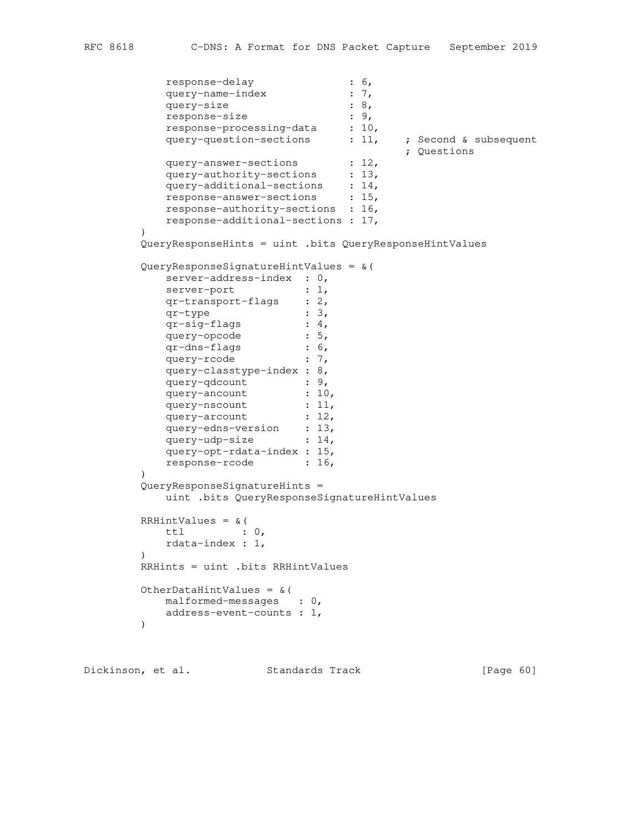```
response-delay : 6,
query-name-index : 7,
query-size : 8,
response-size : 9,
response-processing-data : 10,
query-question-sections : 11, ; Second & subsequent
 ; Questions
query-answer-sections : 12,
query-authority-sections : 13,
query-additional-sections : 14,
 response-answer-sections : 15,
         response-authority-sections : 16,
         response-additional-sections : 17,
\overline{\phantom{a}} QueryResponseHints = uint .bits QueryResponseHintValues
       QueryResponseSignatureHintValues = &(
        server-address-index : 0,
server-port : 1,
 qr-transport-flags : 2,
qr-type : 3,
 qr-sig-flags : 4,
query-opcode : 5,
 qr-dns-flags : 6,
query-rcode : 7,
         query-classtype-index : 8,
query-qdcount : 9,
query-ancount : 10,
query-nscount : 11,
query-arcount : 12,
query-edns-version : 13,
query-udp-size : 14,
         query-opt-rdata-index : 15,
        response-rcode : 16,
\overline{\phantom{a}} QueryResponseSignatureHints =
         uint .bits QueryResponseSignatureHintValues
      RRHintValues = \& (
         ttl : 0,
         rdata-index : 1,
\overline{\phantom{a}} RRHints = uint .bits RRHintValues
       OtherDataHintValues = &(
        malformed-messages : 0,
         address-event-counts : 1,
       )
```
Dickinson, et al. Standards Track [Page 60]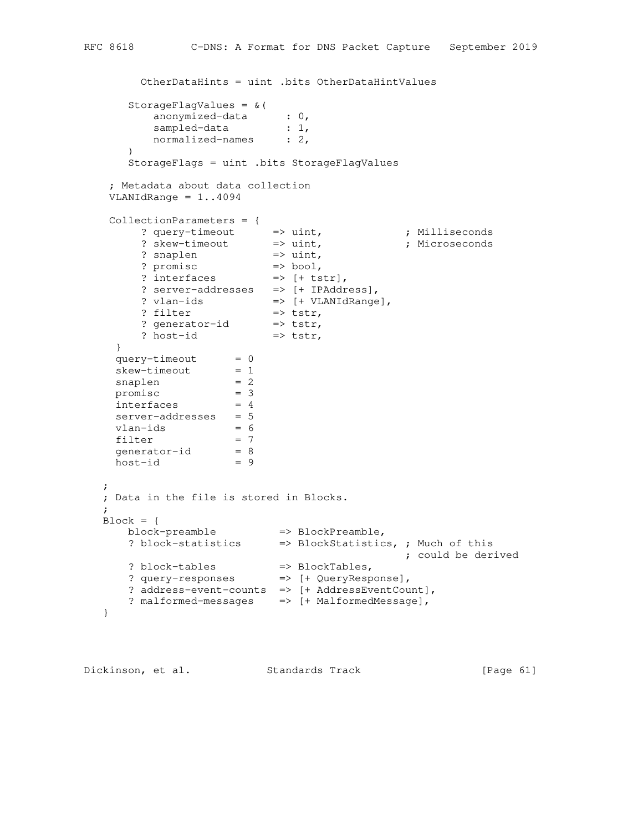```
 OtherDataHints = uint .bits OtherDataHintValues
      StorageFlagValues = &(
       anonymized-data : 0,
sampled-data : 1,
normalized-names : 2,
     ) StorageFlags = uint .bits StorageFlagValues
    ; Metadata about data collection
   VLANIdRange = 1..4094
   CollectionParameters = {
? query-timeout \qquad \Rightarrow uint, \qquad \qquad ; Milliseconds
 ? skew-timeout => uint, ; Microseconds
? snaplen \Rightarrow uint,
? promisc \Rightarrow bool,
? interfaces \Rightarrow [+ \text{tstr}], ? server-addresses => [+ IPAddress],
? vlan-ids => [+ VLANIdRange],
? filter \implies tstr,
? generator-id => tstr,
? host-id \Rightarrow tstr,
    }
query-timeout = 0skew-timeout = 1snaplen = 2
promisc = 3interfaces = 4
   server-addresses = 5
   vlan-ids = 6<br>filter = 7filter = 7generator-id = 8
host-id = 9\mathbf{z} ; Data in the file is stored in Blocks.
\mathcal{L}Block = \{ block-preamble => BlockPreamble,
 ? block-statistics => BlockStatistics, ; Much of this
 ; could be derived
? block-tables \implies BlockTables,
 ? query-responses => [+ QueryResponse],
    ? address-event-counts => [+ AddressEventCount],
    ? malformed-messages => [+ MalformedMessage],
   }
```
Dickinson, et al. Standards Track [Page 61]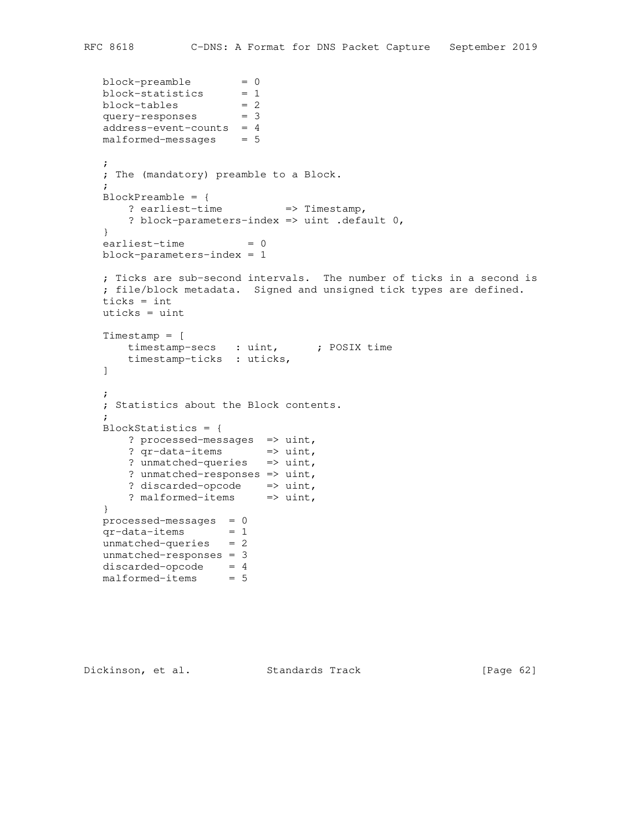```
block-preamble = 0block-statistics = 1
block-tables = 2query-responses = 3
   address-event-counts = 4
  malformed-messages = 5 ;
   ; The (mandatory) preamble to a Block.
\mathcal{L} BlockPreamble = {
    ? earliest-time => Timestamp,
      ? block-parameters-index => uint .default 0,
   }
  earliest-time = 0 block-parameters-index = 1
   ; Ticks are sub-second intervals. The number of ticks in a second is
   ; file/block metadata. Signed and unsigned tick types are defined.
   ticks = int
   uticks = uint
   Timestamp = [
     timestamp-secs : uint, ; POSIX time
      timestamp-ticks : uticks,
  \mathbf{I} ;
   ; Statistics about the Block contents.
\mathbf{z} BlockStatistics = {
     ? processed-messages => uint,
      ? qr-data-items => uint,
      ? unmatched-queries => uint,
      ? unmatched-responses => uint,
? discarded-opcode => uint,
? malformed-items => uint,
   }
  processed-messages = 0qr-data-items = 1 unmatched-queries = 2
   unmatched-responses = 3
  discarded-opcode = 4malformed-items = 5
```

```
Dickinson, et al. Standards Track [Page 62]
```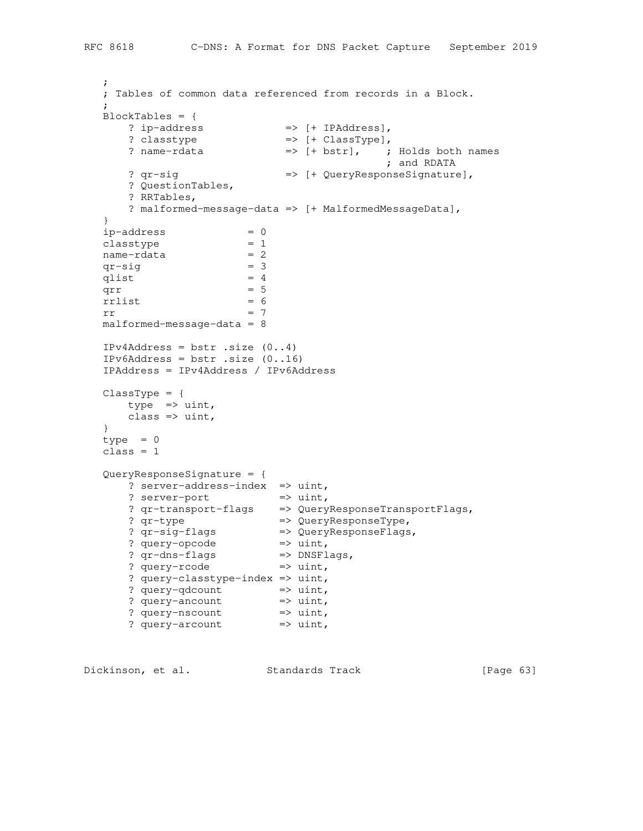```
\mathcal{L} ; Tables of common data referenced from records in a Block.
\mathbf{z} BlockTables = {
? ip-address \Rightarrow [+ IPAddress],
? classtype \Rightarrow [+ ClassType],
 ? name-rdata => [+ bstr], ; Holds both names
 ; and RDATA
    ? qr-sig <br>
=> [+ QueryResponseSignature],
      ? QuestionTables,
      ? RRTables,
      ? malformed-message-data => [+ MalformedMessageData],
   }
ip-address = 0 classtype = 1
name-rdata = 2
qr-sig = 3qlist = 4q l ist \frac{1}{q} = 4 \frac{1}{q} = 5
rrlist = 6
rr = 7 malformed-message-data = 8
  IPv4Address = bstr.size (0..4) IPv6Address = bstr .size (0..16)
   IPAddress = IPv4Address / IPv6Address
  \texttt{ClassType} = \{ type => uint,
    class \Rightarrow uint,
   }
  type = 0 class = 1
   QueryResponseSignature = {
     ? server-address-index => uint,
? server-port => uint,
 ? qr-transport-flags => QueryResponseTransportFlags,
 ? qr-type => QueryResponseType,
 ? qr-sig-flags => QueryResponseFlags,
? query-opcode \qquad => uint,
 ? qr-dns-flags => DNSFlags,
? query-rcode \qquad => uint,
      ? query-classtype-index => uint,
? query-qdcount => uint,
? query-ancount => uint,
? query-nscount => uint,
? query-arcount => uint,
```
Dickinson, et al. Standards Track [Page 63]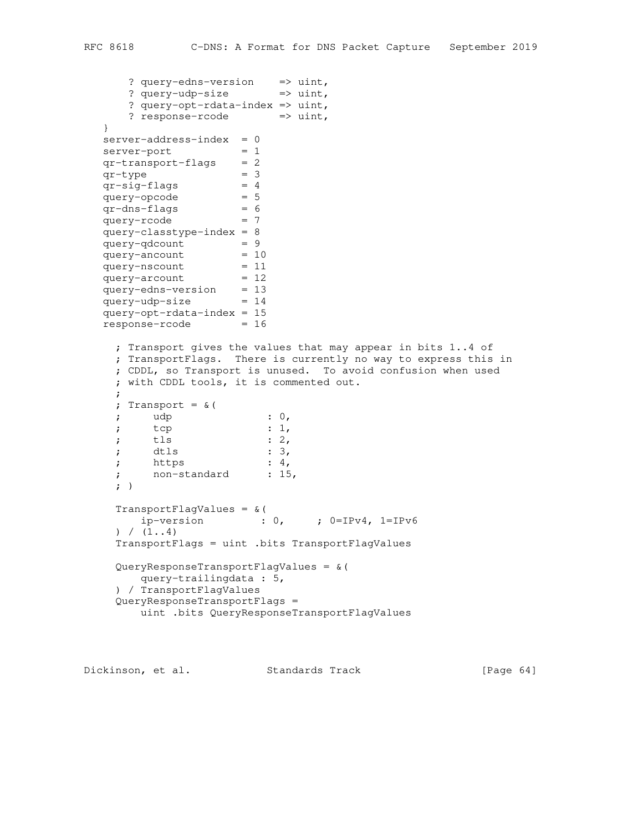```
 ? query-edns-version => uint,
```

```
 ? query-udp-size => uint,
      ? query-opt-rdata-index => uint,
     ? response-rcode => uint,
   }
  server-address-index = 0server-port = 1
  qr-transport-flags = 2qr-type = 3
qr-sig-flags = 4
query-opcode = 5
 qr-dns-flags = 6
query-rcode = 7
   query-classtype-index = 8
query-qdcount = 9
query-ancount = 10
query-nscount = 11
query-arcount = 12
   query-edns-version = 13
  query-udp-size = 14 query-opt-rdata-index = 15
  response - rooted = 16 ; Transport gives the values that may appear in bits 1..4 of
    ; TransportFlags. There is currently no way to express this in
    ; CDDL, so Transport is unused. To avoid confusion when used
    ; with CDDL tools, it is commented out.
    ;
    ; Transport = &(
; udp : 0,
; tcp : 1,
; tls : 2, ; dtls : 3,
; https : 4, ; non-standard : 15,
   ; ) TransportFlagValues = &(
       ip-version : 0, ; 0=IPv4, 1=IPv6
   ) / (1.14) TransportFlags = uint .bits TransportFlagValues
    QueryResponseTransportFlagValues = &(
      query-trailingdata : 5,
    ) / TransportFlagValues
    QueryResponseTransportFlags =
       uint .bits QueryResponseTransportFlagValues
```
Dickinson, et al. Standards Track [Page 64]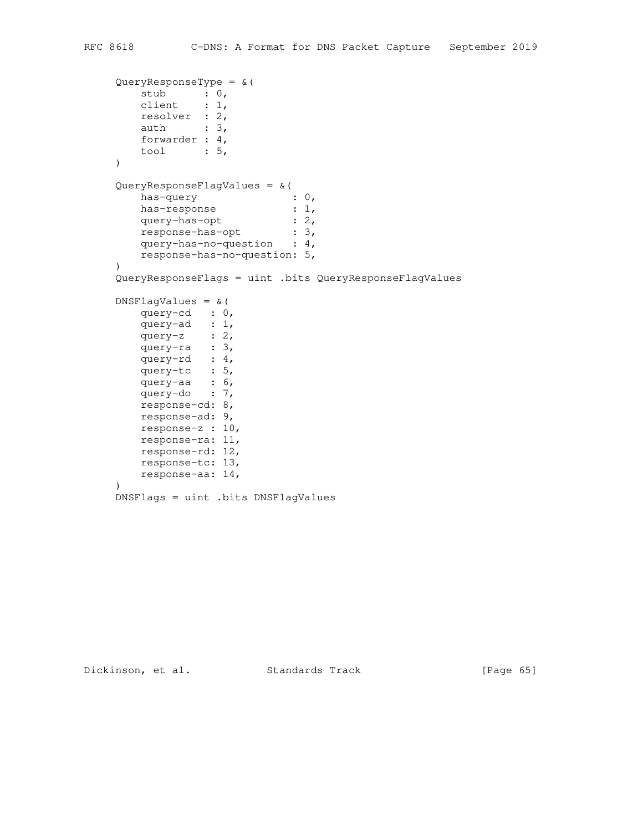```
QueryResponseType = & (stub : 0,
 client : 1,
 resolver : 2,
auth : 3,
 forwarder : 4,
       tool : 5,
   ) QueryResponseFlagValues = &(
has-query : 0,
has-response : 1,
query-has-opt : 2,
 response-has-opt : 3,
 query-has-no-question : 4,
       response-has-no-question: 5,
   ) QueryResponseFlags = uint .bits QueryResponseFlagValues
   DNSFlagValues = &( query-cd : 0,
       query-ad : 1,
query-z : 2,
 query-ra : 3,
 query-rd : 4,
 query-tc : 5,
 query-aa : 6,
query-do : 7,
       response-cd: 8,
      response-ad: 9,
      response-z : 10,
      response-ra: 11,
      response-rd: 12,
      response-tc: 13,
       response-aa: 14,
   \lambda DNSFlags = uint .bits DNSFlagValues
```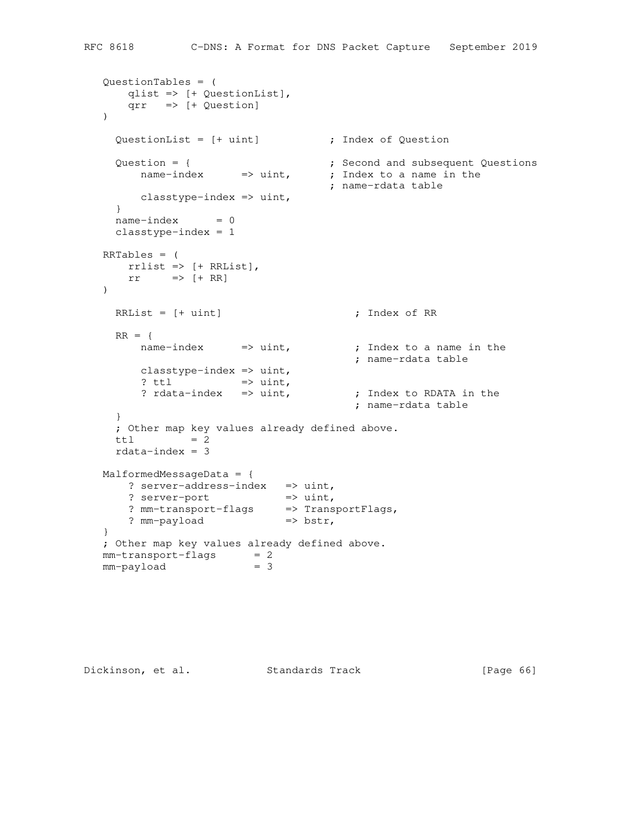```
 QuestionTables = (
      qlist => [+ QuestionList],
      qrr => [+ Question]
  \lambda QuestionList = [+ uint] ; Index of Question
Question = { \qquad \qquad ; Second and subsequent Questions
name-index => uint, ; Index to a name in the
                                  ; name-rdata table
        classtype-index => uint,
     }
    name-index = 0 classtype-index = 1
   RRTables = (
    rrrlist => [+ RRList],
     rr => [+ RR])RRList = [+ uint] ; Index of RR
    RR = {name-index => uint, ; Index to a name in the
 ; name-rdata table
       classtype-index \Rightarrow uint,
       ? ttl \Rightarrow uint,<br>? rdata-index \Rightarrow uint,
                                 ; Index to RDATA in the
                                      ; name-rdata table
     }
     ; Other map key values already defined above.
    \text{ttl} = 2
   rdata-index = 3 MalformedMessageData = {
     ? server-address-index => uint,
? server-port => uint,
 ? mm-transport-flags => TransportFlags,
? mm-payload => bstr,
   }
   ; Other map key values already defined above.
  mm-transport-flags = 2<br>mm-payload = 3mm-payload
```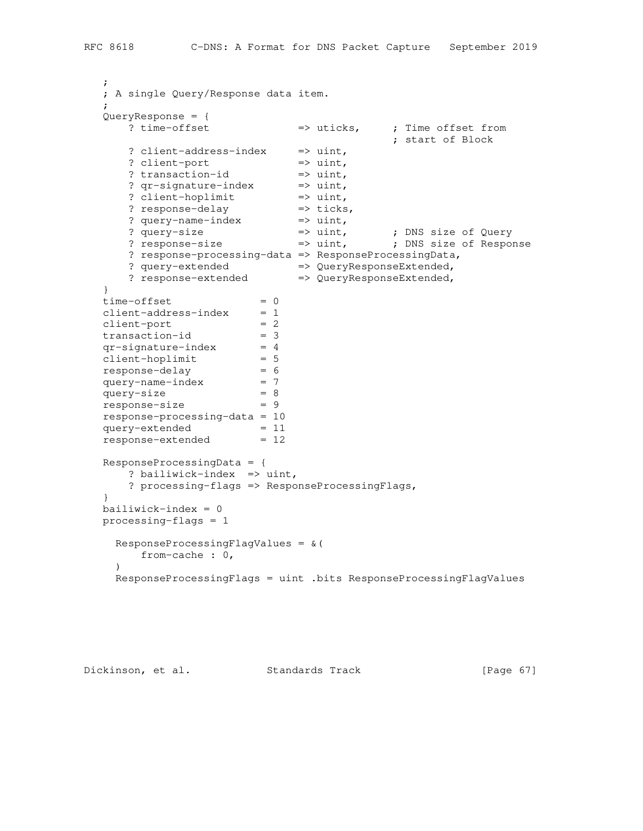```
 ; A single Query/Response data item.
  QueryResponse = {
                 => uticks, ; Time offset from
 ; start of Block
? client-address-index => uint,
? client-port => uint,
? transaction-id => uint,
? qr-signature-index => uint,
? client-hoplimit => uint,
? response-delay \Rightarrow ticks,
? query-name-index => uint,
 ? query-size => uint, ; DNS size of Query
 ? response-size => uint, ; DNS size of Response
     ? response-processing-data => ResponseProcessingData,
? query-extended \implies QueryResponseExtended,
```

```
? response-extended => QueryResponseExtended,
```

```
 }
time-offset = 0
 client-address-index = 1
client-port = 2
transaction-id = 3 qr-signature-index = 4
client-hoplimit = 5
 response-delay = 6
  query-name-index = 7<br>querv-size
query-size = 8 response-size = 9
   response-processing-data = 10
query-extended = 11
response-extended = 12
   ResponseProcessingData = {
     ? bailiwick-index => uint,
      ? processing-flags => ResponseProcessingFlags,
   }
   bailiwick-index = 0
   processing-flags = 1
    ResponseProcessingFlagValues = &(
     from-cache : 0,
    \lambda ResponseProcessingFlags = uint .bits ResponseProcessingFlagValues
```

```
Dickinson, et al. Standards Track [Page 67]
```
 $\mathcal{L}$ 

 $\mathbf{z}$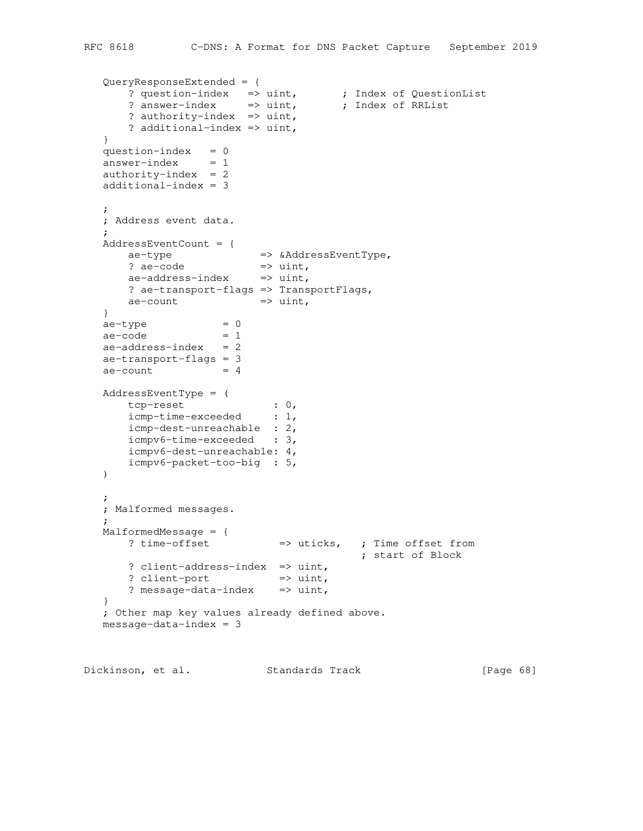```
 QueryResponseExtended = {
 ? question-index => uint, ; Index of QuestionList
? answer-index => uint, ; Index of RRList
 ? authority-index => uint,
     ? additional-index => uint,
   }
  question-index = 0answer-index = 1authority-index = 2 additional-index = 3
   ;
   ; Address event data.
\mathcal{L} AddressEventCount = {
ae-type \Rightarrow &AddressEventType,
? ae-code \Rightarrow uint,
ae-address-index => uint,
      ? ae-transport-flags => TransportFlags,
     ae-count \implies uint,
   }
ae-type = 0
ae -code = 1ae-address-index = 2 ae-transport-flags = 3
  ae-count = 4
   AddressEventType = (
 tcp-reset : 0,
 icmp-time-exceeded : 1,
      icmp-dest-unreachable : 2,
      icmpv6-time-exceeded : 3,
      icmpv6-dest-unreachable: 4,
      icmpv6-packet-too-big : 5,
  ) ;
   ; Malformed messages.
   ;
   MalformedMessage = {
     ? time-offset = 1 => uticks, ; Time offset from
                                       ; start of Block
     ? client-address-index => uint,
     ? client-port => uint,
     ? message-data-index => uint,
   }
   ; Other map key values already defined above.
  message-data-index = 3
```
Dickinson, et al. Standards Track [Page 68]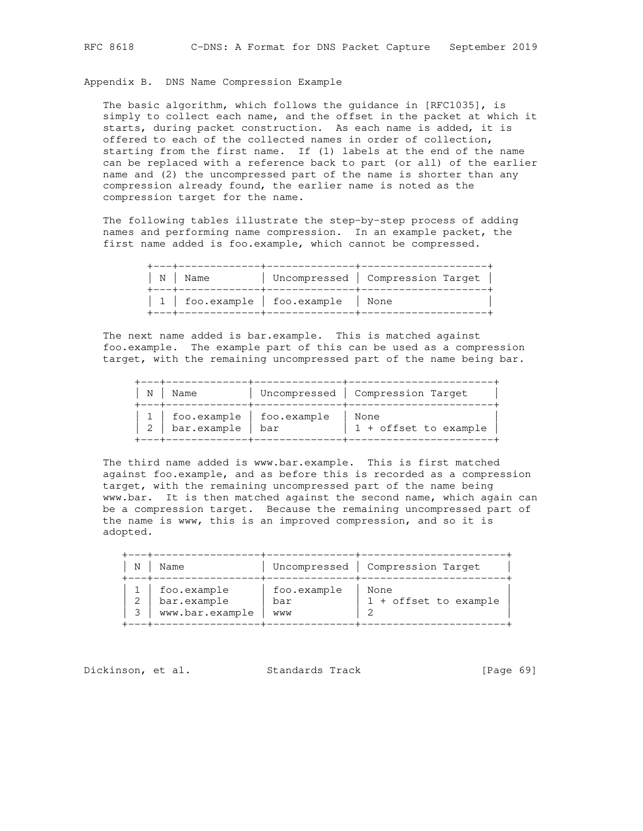Appendix B. DNS Name Compression Example

 The basic algorithm, which follows the guidance in [RFC1035], is simply to collect each name, and the offset in the packet at which it starts, during packet construction. As each name is added, it is offered to each of the collected names in order of collection, starting from the first name. If (1) labels at the end of the name can be replaced with a reference back to part (or all) of the earlier name and (2) the uncompressed part of the name is shorter than any compression already found, the earlier name is noted as the compression target for the name.

 The following tables illustrate the step-by-step process of adding names and performing name compression. In an example packet, the first name added is foo.example, which cannot be compressed.

| $  N  $ Name                                 | Uncompressed   Compression Target |
|----------------------------------------------|-----------------------------------|
| $\vert$ 1   foo.example   foo.example   None |                                   |

 The next name added is bar.example. This is matched against foo.example. The example part of this can be used as a compression target, with the remaining uncompressed part of the name being bar.

| N   Name                                               | Uncompressed   Compression Target |
|--------------------------------------------------------|-----------------------------------|
| 1   foo.example   foo.example<br>2   bar.example   bar | None<br>1 + offset to example     |

 The third name added is www.bar.example. This is first matched against foo.example, and as before this is recorded as a compression target, with the remaining uncompressed part of the name being www.bar. It is then matched against the second name, which again can be a compression target. Because the remaining uncompressed part of the name is www, this is an improved compression, and so it is adopted.

| N | Name                                          |                           | Uncompressed   Compression Target |
|---|-----------------------------------------------|---------------------------|-----------------------------------|
|   | foo.example<br>bar.example<br>www.bar.example | foo.example<br>bar<br>WWW | None<br>$1 +$ offset to example   |

Dickinson, et al. Standards Track [Page 69]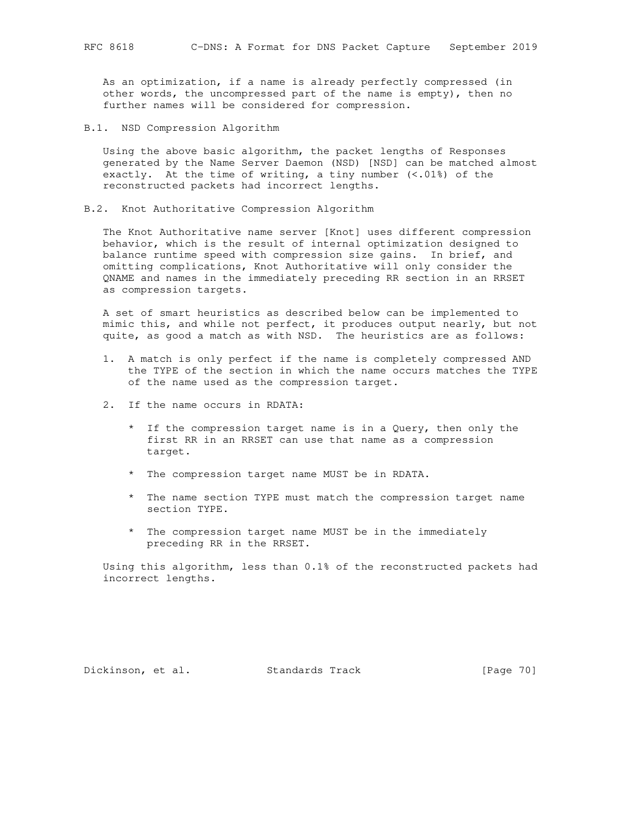As an optimization, if a name is already perfectly compressed (in other words, the uncompressed part of the name is empty), then no further names will be considered for compression.

B.1. NSD Compression Algorithm

 Using the above basic algorithm, the packet lengths of Responses generated by the Name Server Daemon (NSD) [NSD] can be matched almost exactly. At the time of writing, a tiny number  $(<.01\%)$  of the reconstructed packets had incorrect lengths.

B.2. Knot Authoritative Compression Algorithm

 The Knot Authoritative name server [Knot] uses different compression behavior, which is the result of internal optimization designed to balance runtime speed with compression size gains. In brief, and omitting complications, Knot Authoritative will only consider the QNAME and names in the immediately preceding RR section in an RRSET as compression targets.

 A set of smart heuristics as described below can be implemented to mimic this, and while not perfect, it produces output nearly, but not quite, as good a match as with NSD. The heuristics are as follows:

- 1. A match is only perfect if the name is completely compressed AND the TYPE of the section in which the name occurs matches the TYPE of the name used as the compression target.
- 2. If the name occurs in RDATA:
	- \* If the compression target name is in a Query, then only the first RR in an RRSET can use that name as a compression target.
	- \* The compression target name MUST be in RDATA.
	- \* The name section TYPE must match the compression target name section TYPE.
	- \* The compression target name MUST be in the immediately preceding RR in the RRSET.

 Using this algorithm, less than 0.1% of the reconstructed packets had incorrect lengths.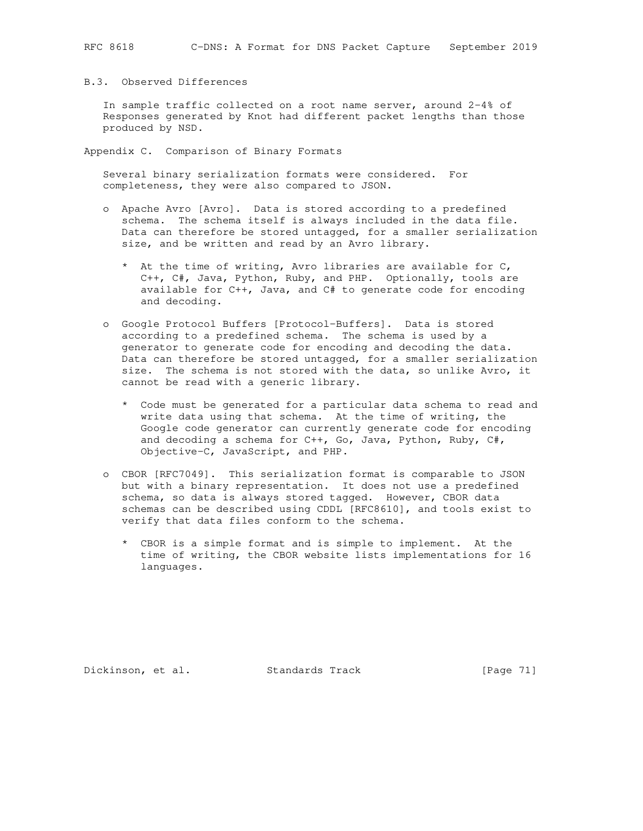## B.3. Observed Differences

 In sample traffic collected on a root name server, around 2-4% of Responses generated by Knot had different packet lengths than those produced by NSD.

Appendix C. Comparison of Binary Formats

 Several binary serialization formats were considered. For completeness, they were also compared to JSON.

- o Apache Avro [Avro]. Data is stored according to a predefined schema. The schema itself is always included in the data file. Data can therefore be stored untagged, for a smaller serialization size, and be written and read by an Avro library.
	- \* At the time of writing, Avro libraries are available for C, C++, C#, Java, Python, Ruby, and PHP. Optionally, tools are available for C++, Java, and C# to generate code for encoding and decoding.
- o Google Protocol Buffers [Protocol-Buffers]. Data is stored according to a predefined schema. The schema is used by a generator to generate code for encoding and decoding the data. Data can therefore be stored untagged, for a smaller serialization size. The schema is not stored with the data, so unlike Avro, it cannot be read with a generic library.
	- \* Code must be generated for a particular data schema to read and write data using that schema. At the time of writing, the Google code generator can currently generate code for encoding and decoding a schema for C++, Go, Java, Python, Ruby, C#, Objective-C, JavaScript, and PHP.
- o CBOR [RFC7049]. This serialization format is comparable to JSON but with a binary representation. It does not use a predefined schema, so data is always stored tagged. However, CBOR data schemas can be described using CDDL [RFC8610], and tools exist to verify that data files conform to the schema.
	- \* CBOR is a simple format and is simple to implement. At the time of writing, the CBOR website lists implementations for 16 languages.

Dickinson, et al. Standards Track [Page 71]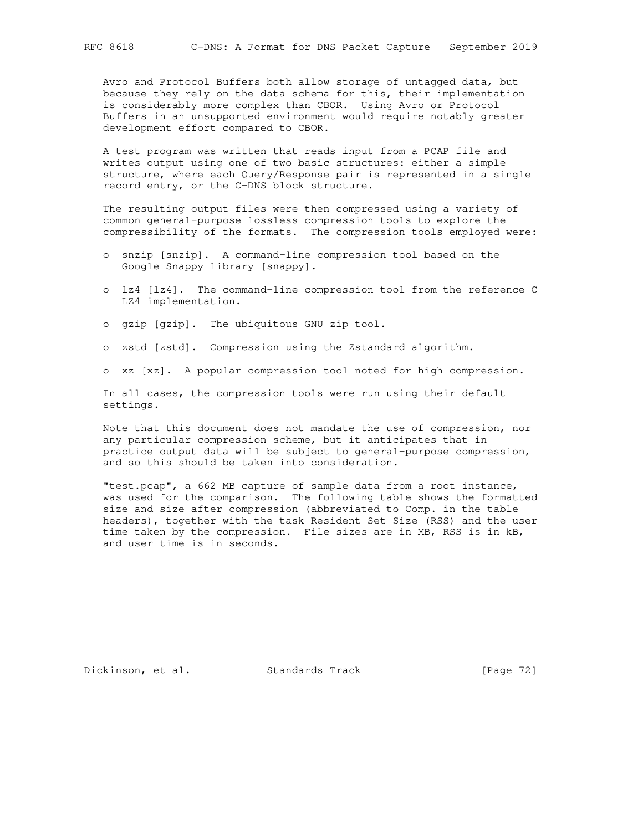Avro and Protocol Buffers both allow storage of untagged data, but because they rely on the data schema for this, their implementation is considerably more complex than CBOR. Using Avro or Protocol Buffers in an unsupported environment would require notably greater development effort compared to CBOR.

 A test program was written that reads input from a PCAP file and writes output using one of two basic structures: either a simple structure, where each Query/Response pair is represented in a single record entry, or the C-DNS block structure.

 The resulting output files were then compressed using a variety of common general-purpose lossless compression tools to explore the compressibility of the formats. The compression tools employed were:

- o snzip [snzip]. A command-line compression tool based on the Google Snappy library [snappy].
- o lz4 [lz4]. The command-line compression tool from the reference C LZ4 implementation.
- o gzip [gzip]. The ubiquitous GNU zip tool.
- o zstd [zstd]. Compression using the Zstandard algorithm.
- o xz [xz]. A popular compression tool noted for high compression.

 In all cases, the compression tools were run using their default settings.

 Note that this document does not mandate the use of compression, nor any particular compression scheme, but it anticipates that in practice output data will be subject to general-purpose compression, and so this should be taken into consideration.

 "test.pcap", a 662 MB capture of sample data from a root instance, was used for the comparison. The following table shows the formatted size and size after compression (abbreviated to Comp. in the table headers), together with the task Resident Set Size (RSS) and the user time taken by the compression. File sizes are in MB, RSS is in kB, and user time is in seconds.

Dickinson, et al. Standards Track [Page 72]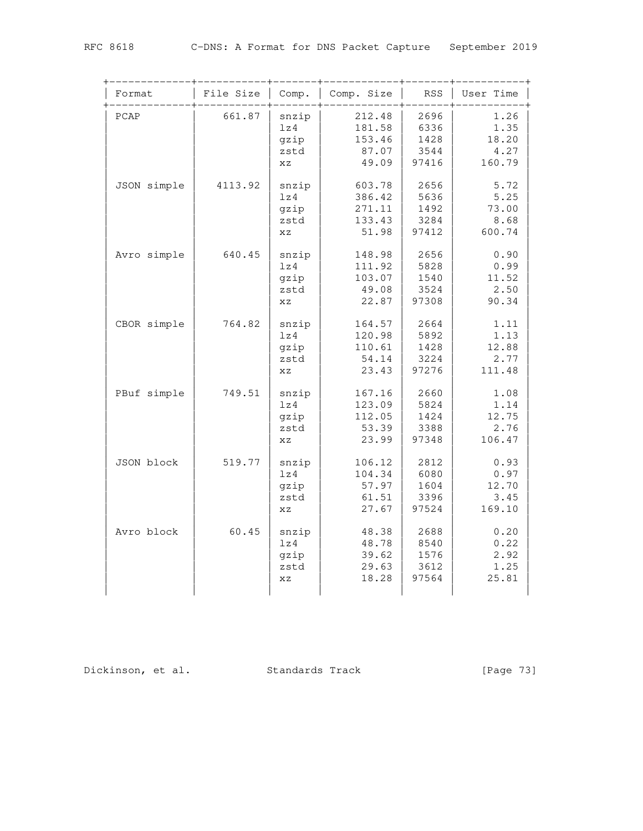| Format      | File Size | Comp.                              | Comp. Size                                    | <b>RSS</b>                            | User Time                               |
|-------------|-----------|------------------------------------|-----------------------------------------------|---------------------------------------|-----------------------------------------|
| PCAP        | 661.87    | snzip<br>1z4<br>gzip<br>zstd<br>XZ | 212.48<br>181.58<br>153.46<br>87.07<br>49.09  | 2696<br>6336<br>1428<br>3544<br>97416 | 1.26<br>1.35<br>18.20<br>4.27<br>160.79 |
| JSON simple | 4113.92   | snzip<br>lz4<br>gzip<br>zstd<br>XZ | 603.78<br>386.42<br>271.11<br>133.43<br>51.98 | 2656<br>5636<br>1492<br>3284<br>97412 | 5.72<br>5.25<br>73.00<br>8.68<br>600.74 |
| Avro simple | 640.45    | snzip<br>1z4<br>gzip<br>zstd<br>XZ | 148.98<br>111.92<br>103.07<br>49.08<br>22.87  | 2656<br>5828<br>1540<br>3524<br>97308 | 0.90<br>0.99<br>11.52<br>2.50<br>90.34  |
| CBOR simple | 764.82    | snzip<br>lz4<br>gzip<br>zstd<br>XZ | 164.57<br>120.98<br>110.61<br>54.14<br>23.43  | 2664<br>5892<br>1428<br>3224<br>97276 | 1.11<br>1.13<br>12.88<br>2.77<br>111.48 |
| PBuf simple | 749.51    | snzip<br>lz4<br>gzip<br>zstd<br>XZ | 167.16<br>123.09<br>112.05<br>53.39<br>23.99  | 2660<br>5824<br>1424<br>3388<br>97348 | 1.08<br>1.14<br>12.75<br>2.76<br>106.47 |
| JSON block  | 519.77    | snzip<br>lz4<br>gzip<br>zstd<br>XZ | 106.12<br>104.34<br>57.97<br>61.51<br>27.67   | 2812<br>6080<br>1604<br>3396<br>97524 | 0.93<br>0.97<br>12.70<br>3.45<br>169.10 |
| Avro block  | 60.45     | snzip<br>lz4<br>gzip<br>zstd<br>XZ | 48.38<br>48.78<br>39.62<br>29.63<br>18.28     | 2688<br>8540<br>1576<br>3612<br>97564 | 0.20<br>0.22<br>2.92<br>1.25<br>25.81   |

Dickinson, et al. Standards Track [Page 73]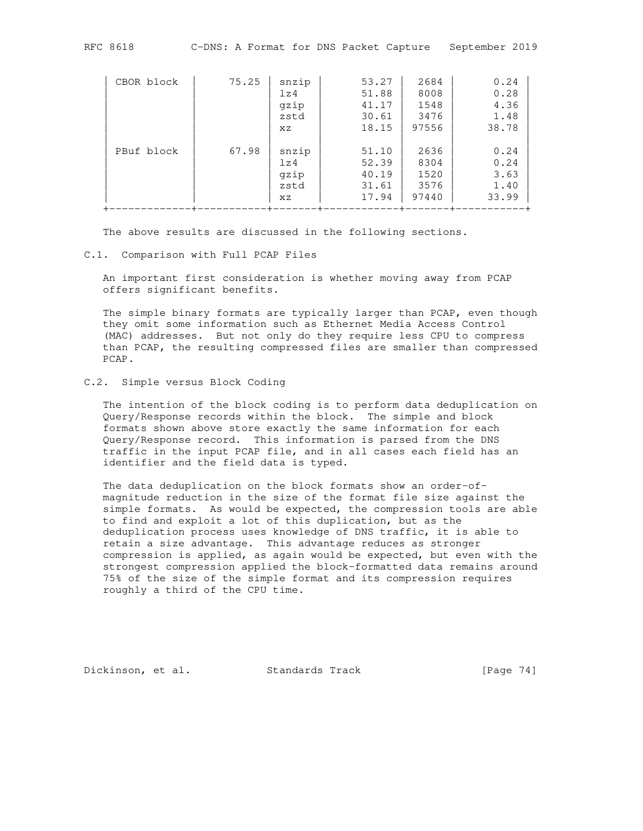| CBOR block | 75.25 | snzip | 53.27 | 2684  | 0.24  |
|------------|-------|-------|-------|-------|-------|
|            |       | 1z4   | 51.88 | 8008  | 0.28  |
|            |       | gzip  | 41.17 | 1548  | 4.36  |
|            |       | zstd  | 30.61 | 3476  | 1.48  |
|            |       | XZ.   | 18.15 | 97556 | 38.78 |
|            |       |       |       |       |       |
| PBuf block | 67.98 | snzip | 51.10 | 2636  | 0.24  |
|            |       | 1z4   | 52.39 | 8304  | 0.24  |
|            |       | gzip  | 40.19 | 1520  | 3.63  |
|            |       | zstd  | 31.61 | 3576  | 1.40  |
|            |       | XZ    | 17.94 | 97440 | 33.99 |

The above results are discussed in the following sections.

#### C.1. Comparison with Full PCAP Files

 An important first consideration is whether moving away from PCAP offers significant benefits.

+-------------+-----------+-------+------------+-------+-----------+

 The simple binary formats are typically larger than PCAP, even though they omit some information such as Ethernet Media Access Control (MAC) addresses. But not only do they require less CPU to compress than PCAP, the resulting compressed files are smaller than compressed PCAP.

# C.2. Simple versus Block Coding

 The intention of the block coding is to perform data deduplication on Query/Response records within the block. The simple and block formats shown above store exactly the same information for each Query/Response record. This information is parsed from the DNS traffic in the input PCAP file, and in all cases each field has an identifier and the field data is typed.

 The data deduplication on the block formats show an order-of magnitude reduction in the size of the format file size against the simple formats. As would be expected, the compression tools are able to find and exploit a lot of this duplication, but as the deduplication process uses knowledge of DNS traffic, it is able to retain a size advantage. This advantage reduces as stronger compression is applied, as again would be expected, but even with the strongest compression applied the block-formatted data remains around 75% of the size of the simple format and its compression requires roughly a third of the CPU time.

Dickinson, et al. Standards Track [Page 74]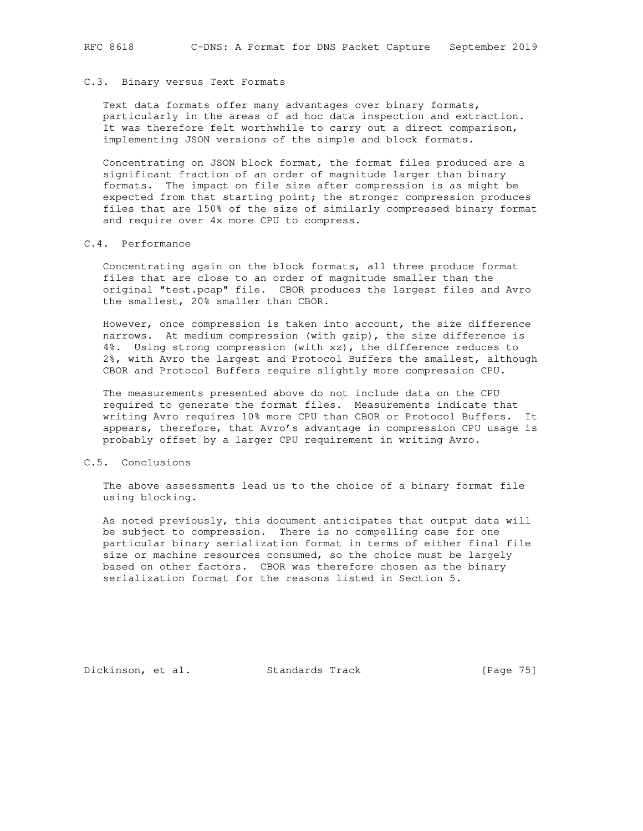### C.3. Binary versus Text Formats

 Text data formats offer many advantages over binary formats, particularly in the areas of ad hoc data inspection and extraction. It was therefore felt worthwhile to carry out a direct comparison, implementing JSON versions of the simple and block formats.

 Concentrating on JSON block format, the format files produced are a significant fraction of an order of magnitude larger than binary formats. The impact on file size after compression is as might be expected from that starting point; the stronger compression produces files that are 150% of the size of similarly compressed binary format and require over 4x more CPU to compress.

## C.4. Performance

 Concentrating again on the block formats, all three produce format files that are close to an order of magnitude smaller than the original "test.pcap" file. CBOR produces the largest files and Avro the smallest, 20% smaller than CBOR.

 However, once compression is taken into account, the size difference narrows. At medium compression (with gzip), the size difference is 4%. Using strong compression (with xz), the difference reduces to 2%, with Avro the largest and Protocol Buffers the smallest, although CBOR and Protocol Buffers require slightly more compression CPU.

 The measurements presented above do not include data on the CPU required to generate the format files. Measurements indicate that writing Avro requires 10% more CPU than CBOR or Protocol Buffers. It appears, therefore, that Avro's advantage in compression CPU usage is probably offset by a larger CPU requirement in writing Avro.

### C.5. Conclusions

 The above assessments lead us to the choice of a binary format file using blocking.

 As noted previously, this document anticipates that output data will be subject to compression. There is no compelling case for one particular binary serialization format in terms of either final file size or machine resources consumed, so the choice must be largely based on other factors. CBOR was therefore chosen as the binary serialization format for the reasons listed in Section 5.

Dickinson, et al. Standards Track [Page 75]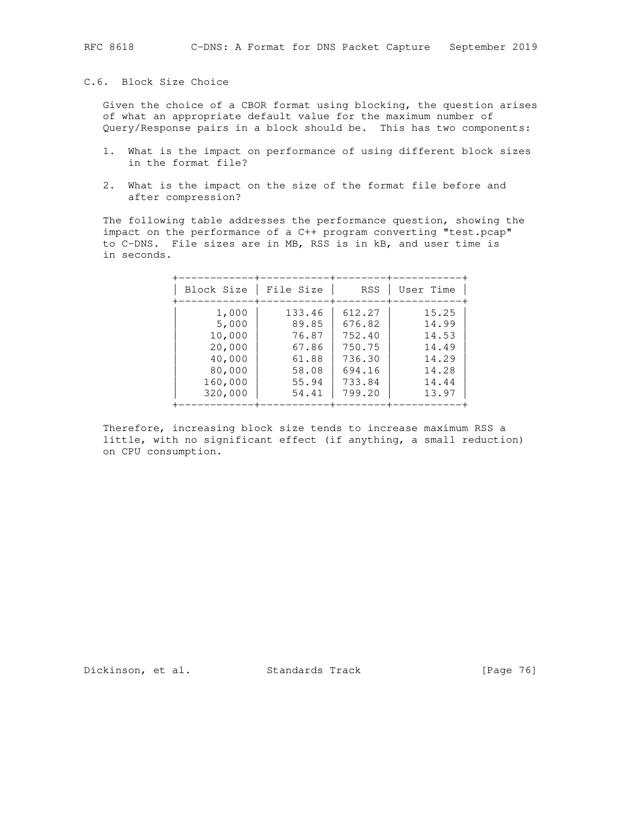## C.6. Block Size Choice

 Given the choice of a CBOR format using blocking, the question arises of what an appropriate default value for the maximum number of Query/Response pairs in a block should be. This has two components:

- 1. What is the impact on performance of using different block sizes in the format file?
- 2. What is the impact on the size of the format file before and after compression?

 The following table addresses the performance question, showing the impact on the performance of a C++ program converting "test.pcap" to C-DNS. File sizes are in MB, RSS is in kB, and user time is in seconds.

| Block Size | File Size | RSS    | User Time |
|------------|-----------|--------|-----------|
| 1,000      | 133.46    | 612.27 | 15.25     |
| 5,000      | 89.85     | 676.82 | 14.99     |
| 10,000     | 76.87     | 752.40 | 14.53     |
| 20,000     | 67.86     | 750.75 | 14.49     |
| 40,000     | 61.88     | 736.30 | 14.29     |
| 80,000     | 58.08     | 694.16 | 14.28     |
| 160,000    | 55.94     | 733.84 | 14.44     |
| 320,000    | 54.41     | 799.20 | 13.97     |

 Therefore, increasing block size tends to increase maximum RSS a little, with no significant effect (if anything, a small reduction) on CPU consumption.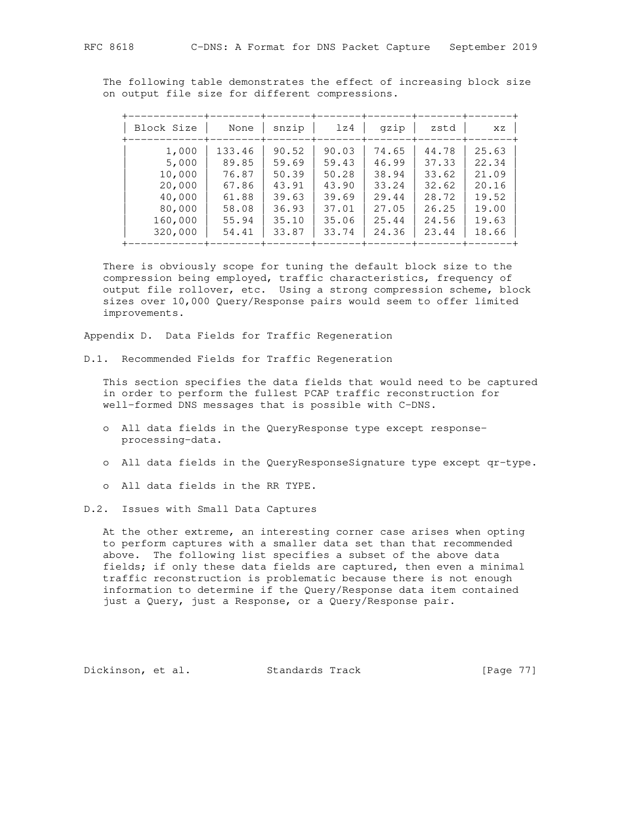The following table demonstrates the effect of increasing block size on output file size for different compressions.

| Block Size | None   | snzip | 1z4   | gzip  | zstd  | XZ    |
|------------|--------|-------|-------|-------|-------|-------|
| 1,000      | 133.46 | 90.52 | 90.03 | 74.65 | 44.78 | 25.63 |
| 5,000      | 89.85  | 59.69 | 59.43 | 46.99 | 37.33 | 22.34 |
| 10,000     | 76.87  | 50.39 | 50.28 | 38.94 | 33.62 | 21.09 |
| 20,000     | 67.86  | 43.91 | 43.90 | 33.24 | 32.62 | 20.16 |
| 40,000     | 61.88  | 39.63 | 39.69 | 29.44 | 28.72 | 19.52 |
| 80,000     | 58.08  | 36.93 | 37.01 | 27.05 | 26.25 | 19.00 |
| 160,000    | 55.94  | 35.10 | 35.06 | 25.44 | 24.56 | 19.63 |
| 320,000    | 54.41  | 33.87 | 33.74 | 24.36 | 23.44 | 18.66 |

 There is obviously scope for tuning the default block size to the compression being employed, traffic characteristics, frequency of output file rollover, etc. Using a strong compression scheme, block sizes over 10,000 Query/Response pairs would seem to offer limited improvements.

Appendix D. Data Fields for Traffic Regeneration

D.1. Recommended Fields for Traffic Regeneration

 This section specifies the data fields that would need to be captured in order to perform the fullest PCAP traffic reconstruction for well-formed DNS messages that is possible with C-DNS.

- o All data fields in the QueryResponse type except response processing-data.
- o All data fields in the QueryResponseSignature type except qr-type.
- o All data fields in the RR TYPE.
- D.2. Issues with Small Data Captures

 At the other extreme, an interesting corner case arises when opting to perform captures with a smaller data set than that recommended above. The following list specifies a subset of the above data fields; if only these data fields are captured, then even a minimal traffic reconstruction is problematic because there is not enough information to determine if the Query/Response data item contained just a Query, just a Response, or a Query/Response pair.

Dickinson, et al. Standards Track [Page 77]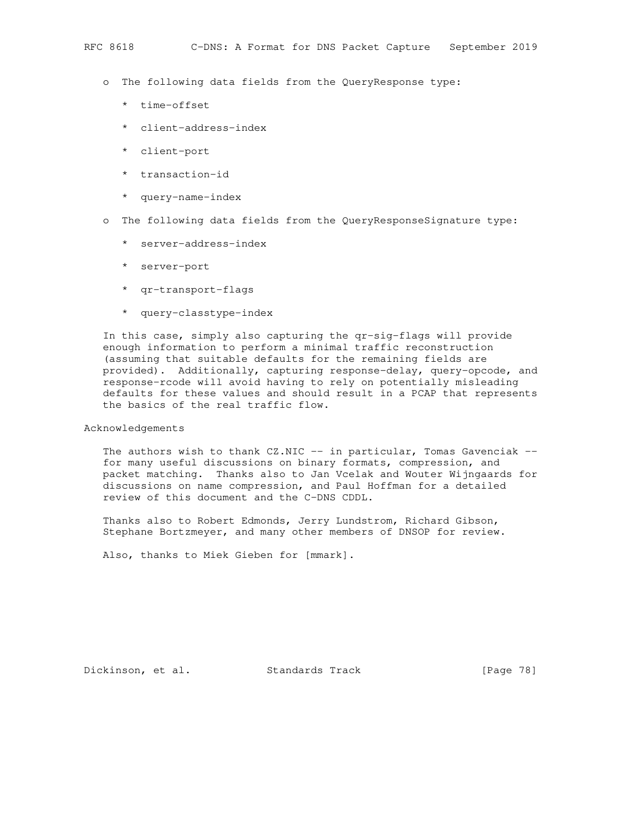- o The following data fields from the QueryResponse type:
	- \* time-offset
	- \* client-address-index
	- \* client-port
	- \* transaction-id
	- \* query-name-index
- o The following data fields from the QueryResponseSignature type:
	- \* server-address-index
	- \* server-port
	- \* qr-transport-flags
	- \* query-classtype-index

 In this case, simply also capturing the qr-sig-flags will provide enough information to perform a minimal traffic reconstruction (assuming that suitable defaults for the remaining fields are provided). Additionally, capturing response-delay, query-opcode, and response-rcode will avoid having to rely on potentially misleading defaults for these values and should result in a PCAP that represents the basics of the real traffic flow.

Acknowledgements

The authors wish to thank  $CZ.NIC$  -- in particular, Tomas Gavenciak - for many useful discussions on binary formats, compression, and packet matching. Thanks also to Jan Vcelak and Wouter Wijngaards for discussions on name compression, and Paul Hoffman for a detailed review of this document and the C-DNS CDDL.

 Thanks also to Robert Edmonds, Jerry Lundstrom, Richard Gibson, Stephane Bortzmeyer, and many other members of DNSOP for review.

Also, thanks to Miek Gieben for [mmark].

Dickinson, et al. Standards Track [Page 78]